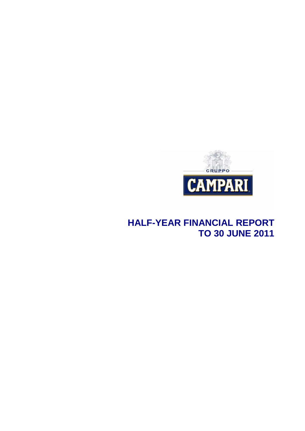

# **HALF-YEAR FINANCIAL REPORT TO 30 JUNE 2011**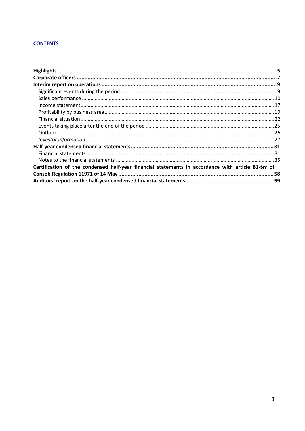## **CONTENTS**

| Certification of the condensed half-year financial statements in accordance with article 81-ter of |  |
|----------------------------------------------------------------------------------------------------|--|
|                                                                                                    |  |
|                                                                                                    |  |
|                                                                                                    |  |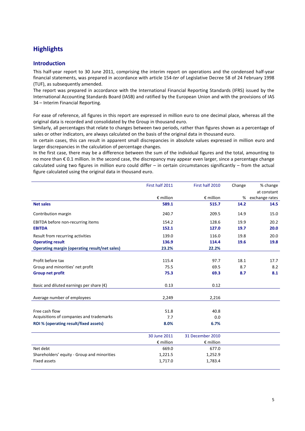## **Highlights**

## **Introduction**

This half-year report to 30 June 2011, comprising the interim report on operations and the condensed half-year financial statements, was prepared in accordance with article 154-*ter* of Legislative Decree 58 of 24 February 1998 (TUF), as subsequently amended.

The report was prepared in accordance with the International Financial Reporting Standards (IFRS) issued by the International Accounting Standards Board (IASB) and ratified by the European Union and with the provisions of IAS 34 – Interim Financial Reporting.

For ease of reference, all figures in this report are expressed in million euro to one decimal place, whereas all the original data is recorded and consolidated by the Group in thousand euro.

Similarly, all percentages that relate to changes between two periods, rather than figures shown as a percentage of sales or other indicators, are always calculated on the basis of the original data in thousand euro.

In certain cases, this can result in apparent small discrepancies in absolute values expressed in million euro and larger discrepancies in the calculation of percentage changes.

In the first case, there may be a difference between the sum of the individual figures and the total, amounting to no more than € 0.1 million. In the second case, the discrepancy may appear even larger, since a percentage change calculated using two figures in million euro could differ – in certain circumstances significantly – from the actual figure calculated using the original data in thousand euro.

|                                                      | First half 2011    | First half 2010    | Change | % change       |
|------------------------------------------------------|--------------------|--------------------|--------|----------------|
|                                                      |                    |                    |        | at constant    |
|                                                      | $\epsilon$ million | $\epsilon$ million | %      | exchange rates |
| <b>Net sales</b>                                     | 589.1              | 515.7              | 14.2   | 14.5           |
| Contribution margin                                  | 240.7              | 209.5              | 14.9   | 15.0           |
| EBITDA before non-recurring items                    | 154.2              | 128.6              | 19.9   | 20.2           |
| <b>EBITDA</b>                                        | 152.1              | 127.0              | 19.7   | 20.0           |
| Result from recurring activities                     | 139.0              | 116.0              | 19.8   | 20.0           |
| <b>Operating result</b>                              | 136.9              | 114.4              | 19.6   | 19.8           |
| <b>Operating margin (operating result/net sales)</b> | 23.2%              | 22.2%              |        |                |
|                                                      |                    |                    |        |                |
| Profit before tax                                    | 115.4              | 97.7               | 18.1   | 17.7           |
| Group and minorities' net profit                     | 75.5               | 69.5               | 8.7    | 8.2            |
| <b>Group net profit</b>                              | 75.3               | 69.3               | 8.7    | 8.1            |
|                                                      |                    |                    |        |                |
| Basic and diluted earnings per share $(\epsilon)$    | 0.13               | 0.12               |        |                |
|                                                      |                    |                    |        |                |
| Average number of employees                          | 2,249              | 2,216              |        |                |
|                                                      |                    |                    |        |                |
| Free cash flow                                       | 51.8               | 40.8               |        |                |
| Acquisitions of companies and trademarks             | 7.7                | 0.0                |        |                |
| ROI % (operating result/fixed assets)                | 8.0%               | 6.7%               |        |                |
|                                                      |                    |                    |        |                |
|                                                      | 30 June 2011       | 31 December 2010   |        |                |
|                                                      | $\epsilon$ million | $\epsilon$ million |        |                |
| Net debt                                             | 669.0              | 677.0              |        |                |
| Shareholders' equity - Group and minorities          | 1,221.5            | 1,252.9            |        |                |
| <b>Fixed assets</b>                                  | 1,717.0            | 1,783.4            |        |                |
|                                                      |                    |                    |        |                |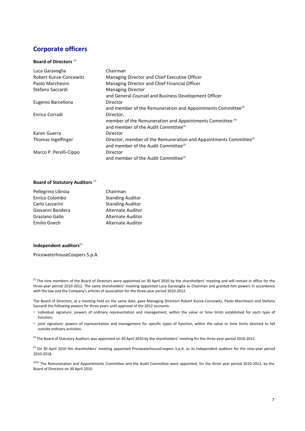## **Corporate officers**

#### **Board of Directors**<sup>(1)</sup>

| Luca Garavoglia        | Chairman                                                                                                                           |
|------------------------|------------------------------------------------------------------------------------------------------------------------------------|
| Robert Kunze-Concewitz | Managing Director and Chief Executive Officer                                                                                      |
| Paolo Marchesini       | Managing Director and Chief Financial Officer                                                                                      |
| Stefano Saccardi       | <b>Managing Director</b>                                                                                                           |
|                        | and General Counsel and Business Development Officer                                                                               |
| Eugenio Barcellona     | Director                                                                                                                           |
|                        | and member of the Remuneration and Appointments Committee <sup>(4)</sup>                                                           |
| Enrico Corradi         | Director,                                                                                                                          |
|                        | member of the Remuneration and Appointments Committee <sup>(4)</sup><br>and member of the Audit Committee <sup>(5)</sup>           |
| Karen Guerra           | Director                                                                                                                           |
| Thomas Ingelfinger     | Director, member of the Remuneration and Appointments Committee <sup>(4)</sup><br>and member of the Audit Committee <sup>(5)</sup> |
| Marco P. Perelli-Cippo | Director                                                                                                                           |
|                        | and member of the Audit Committee <sup>(5)</sup>                                                                                   |

#### **Board of Statutory Auditors** (2)

| Pellegrino Libroia | Chairman                 |
|--------------------|--------------------------|
| Enrico Colombo     | <b>Standing Auditor</b>  |
| Carlo Lazzarini    | <b>Standing Auditor</b>  |
| Giovanni Bandera   | <b>Alternate Auditor</b> |
| Graziano Gallo     | <b>Alternate Auditor</b> |
| Emilio Gnech       | <b>Alternate Auditor</b> |

#### **Independent auditors**<sup>(3)</sup>

PricewaterhouseCoopers S.p.A.

<sup>(1)</sup> The nine members of the Board of Directors were appointed on 30 April 2010 by the shareholders' meeting and will remain in office for the three-year period 2010-2012. The same shareholders' meeting appointed Luca Garavoglia as Chairman and granted him powers in accordance with the law and the Company's articles of association for the three-year period 2010-2012.

The Board of Directors, at a meeting held on the same date, gave Managing Directors Robert Kunze-Concewitz, Paolo Marchesini and Stefano Saccardi the following powers for three years until approval of the 2012 accounts:

- individual signature: powers of ordinary representation and management, within the value or time limits established for each type of function;
- joint signature: powers of representation and management for specific types of function, within the value or time limits deemed to fall outside ordinary activities.

<sup>(2)</sup> The Board of Statutory Auditors was appointed on 30 April 2010 by the shareholders' meeting for the three-year period 2010-2012.

<sup>(3)</sup> On 30 April 2010 the shareholders' meeting appointed PricewaterhouseCoopers S.p.A. as its independent auditors for the nine-year period 2010-2018.

<sup>(4)(5)</sup> The Remuneration and Appointments Committee and the Audit Committee were appointed, for the three year period 2010-2012, by the Board of Directors on 30 April 2010.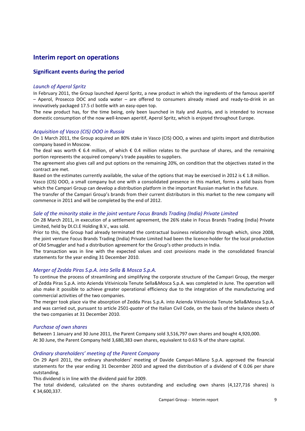## **Interim report on operations**

## **Significant events during the period**

### *Launch of Aperol Spritz*

In February 2011, the Group launched Aperol Spritz, a new product in which the ingredients of the famous aperitif – Aperol, Prosecco DOC and soda water – are offered to consumers already mixed and ready-to-drink in an innovatively packaged 17.5 cl bottle with an easy-open top.

The new product has, for the time being, only been launched in Italy and Austria, and is intended to increase domestic consumption of the now well-known aperitif, Aperol Spritz, which is enjoyed throughout Europe.

#### *Acquisition of Vasco (CIS) OOO in Russia*

On 1 March 2011, the Group acquired an 80% stake in Vasco (CIS) OOO, a wines and spirits import and distribution company based in Moscow.

The deal was worth  $\epsilon$  6.4 million, of which  $\epsilon$  0.4 million relates to the purchase of shares, and the remaining portion represents the acquired company's trade payables to suppliers.

The agreement also gives call and put options on the remaining 20%, on condition that the objectives stated in the contract are met.

Based on the estimates currently available, the value of the options that may be exercised in 2012 is  $\epsilon$  1.8 million.

Vasco (CIS) OOO, a small company but one with a consolidated presence in this market, forms a solid basis from which the Campari Group can develop a distribution platform in the important Russian market in the future.

The transfer of the Campari Group's brands from their current distributors in this market to the new company will commence in 2011 and will be completed by the end of 2012.

## *Sale of the minority stake in the joint venture Focus Brands Trading (India) Private Limited*

On 28 March 2011, in execution of a settlement agreement, the 26% stake in Focus Brands Trading (India) Private Limited, held by DI.CI.E Holding B.V., was sold.

Prior to this, the Group had already terminated the contractual business relationship through which, since 2008, the joint venture Focus Brands Trading (India) Private Limited had been the licence-holder for the local production of Old Smuggler and had a distribution agreement for the Group's other products in India.

The transaction was in line with the expected values and cost provisions made in the consolidated financial statements for the year ending 31 December 2010.

#### *Merger of Zedda Piras S.p.A. into Sella & Mosca S.p.A.*

To continue the process of streamlining and simplifying the corporate structure of the Campari Group, the merger of Zedda Piras S.p.A. into Azienda Vitivinicola Tenute Sella&Mosca S.p.A. was completed in June. The operation will also make it possible to achieve greater operational efficiency due to the integration of the manufacturing and commercial activities of the two companies.

The merger took place via the absorption of Zedda Piras S.p.A. into Azienda Vitivinicola Tenute Sella&Mosca S.p.A. and was carried out, pursuant to article 2501-*quater* of the Italian Civil Code, on the basis of the balance sheets of the two companies at 31 December 2010.

#### *Purchase of own shares*

Between 1 January and 30 June 2011, the Parent Company sold 3,516,797 own shares and bought 4,920,000. At 30 June, the Parent Company held 3,680,383 own shares, equivalent to 0.63 % of the share capital.

## *Ordinary shareholders' meeting of the Parent Company*

On 29 April 2011, the ordinary shareholders' meeting of Davide Campari-Milano S.p.A. approved the financial statements for the year ending 31 December 2010 and agreed the distribution of a dividend of € 0.06 per share outstanding.

This dividend is in line with the dividend paid for 2009.

The total dividend, calculated on the shares outstanding and excluding own shares (4,127,716 shares) is € 34,600,337.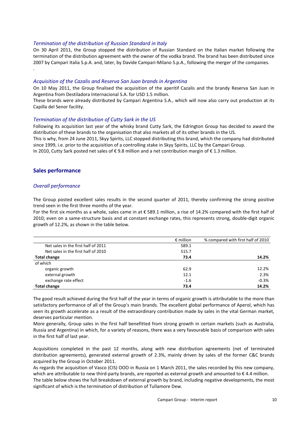### *Termination of the distribution of Russian Standard in Italy*

On 30 April 2011, the Group stopped the distribution of Russian Standard on the Italian market following the termination of the distribution agreement with the owner of the vodka brand. The brand has been distributed since 2007 by Campari Italia S.p.A. and, later, by Davide Campari-Milano S.p.A., following the merger of the companies. .

#### *Acquisition of the Cazalis and Reserva San Juan brands in Argentina*

On 10 May 2011, the Group finalised the acquisition of the aperitif Cazalis and the brandy Reserva San Juan in Argentina from Destiladora Internacional S.A. for USD 1.5 million.

These brands were already distributed by Campari Argentina S.A., which will now also carry out production at its Capilla del Senor facility.

#### *Termination of the distribution of Cutty Sark in the US*

Following its acquisition last year of the whisky brand Cutty Sark, the Edrington Group has decided to award the distribution of these brands to the organisation that also markets all of its other brands in the US.

This is why, from 24 June 2011, Skyy Spirits, LLC stopped distributing this brand, which the company had distributed since 1999, i.e. prior to the acquisition of a controlling stake in Skyy Spirits, LLC by the Campari Group.

In 2010, Cutty Sark posted net sales of € 9.8 million and a net contribution margin of € 1.3 million.

## **Sales performance**

#### *Overall performance*

The Group posted excellent sales results in the second quarter of 2011, thereby confirming the strong positive trend seen in the first three months of the year.

For the first six months as a whole, sales came in at € 589.1 million, a rise of 14.2% compared with the first half of 2010; even on a same-structure basis and at constant exchange rates, this represents strong, double-digit organic growth of 12.2%, as shown in the table below.

|                                     | $\epsilon$ million | % compared with first half of 2010 |
|-------------------------------------|--------------------|------------------------------------|
| Net sales in the first half of 2011 | 589.1              |                                    |
| Net sales in the first half of 2010 | 515.7              |                                    |
| <b>Total change</b>                 | 73.4               | 14.2%                              |
| of which                            |                    |                                    |
| organic growth                      | 62.9               | 12.2%                              |
| external growth                     | 12.1               | 2.3%                               |
| exchange rate effect                | $-1.6$             | $-0.3%$                            |
| <b>Total change</b>                 | 73.4               | 14.2%                              |

The good result achieved during the first half of the year in terms of organic growth is attributable to the more than satisfactory performance of all of the Group's main brands. The excellent global performance of Aperol, which has seen its growth accelerate as a result of the extraordinary contribution made by sales in the vital German market, deserves particular mention.

More generally, Group sales in the first half benefitted from strong growth in certain markets (such as Australia, Russia and Argentina) in which, for a variety of reasons, there was a very favourable basis of comparison with sales in the first half of last year.

Acquisitions completed in the past 12 months, along with new distribution agreements (net of terminated distribution agreements), generated external growth of 2.3%, mainly driven by sales of the former C&C brands acquired by the Group in October 2011.

As regards the acquisition of Vasco (CIS) OOO in Russia on 1 March 2011, the sales recorded by this new company, which are attributable to new third-party brands, are reported as external growth and amounted to  $\epsilon$  4.4 million.

The table below shows the full breakdown of external growth by brand, including negative developments, the most significant of which is the termination of distribution of Tullamore Dew.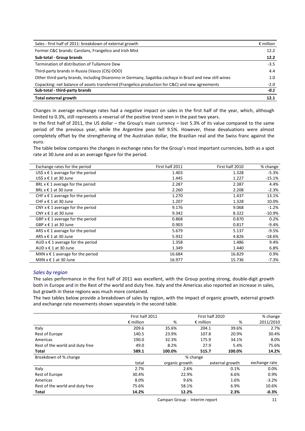| Sales - first half of 2011: breakdown of external growth                                                 | $\epsilon$ million |
|----------------------------------------------------------------------------------------------------------|--------------------|
| Former C&C brands: Carolans, Frangelico and Irish Mist                                                   | 12.2               |
| Sub-total - Group brands                                                                                 | 12.2               |
| Termination of distribution of Tullamore Dew                                                             | $-3.5$             |
| Third-party brands in Russia (Vasco (CIS) OOO)                                                           | 4.4                |
| Other third-party brands, including Disaronno in Germany, Sagatiba cachaça in Brazil and new still wines | 1.0                |
| Copacking: net balance of assets transferred (Frangelico production for C&C) and new agreements          | $-2.0$             |
| Sub-total - third-party brands                                                                           | $-0.1$             |
| Total external growth                                                                                    | 12.1               |

Changes in average exchange rates had a negative impact on sales in the first half of the year, which, although limited to 0.3%, still represents a reversal of the positive trend seen in the past two years.

In the first half of 2011, the US dollar – the Group's main currency – lost 5.3% of its value compared to the same period of the previous year, while the Argentine peso fell 9.5%. However, these devaluations were almost completely offset by the strengthening of the Australian dollar, the Brazilian real and the Swiss franc against the euro.

The table below compares the changes in exchange rates for the Group's most important currencies, both as a spot rate at 30 June and as an average figure for the period.

| Exchange rates for the period         | First half 2011 | First half 2010 | % change  |
|---------------------------------------|-----------------|-----------------|-----------|
| US\$ $x \in 1$ average for the period | 1.403           | 1.328           | $-5.3%$   |
| US\$ $x \notin 1$ at 30 June          | 1.445           | 1.227           | $-15.1%$  |
| BRL $x \in 1$ average for the period  | 2.287           | 2.387           | 4.4%      |
| BRL $x \in 1$ at 30 June              | 2.260           | 2.208           | $-2.3%$   |
| CHF $x \in 1$ average for the period  | 1.270           | 1.437           | 13.1%     |
| CHF $x \in 1$ at 30 June              | 1.207           | 1.328           | 10.0%     |
| CNY $x \in 1$ average for the period  | 9.176           | 9.068           | $-1.2%$   |
| CNY $x \in 1$ at 30 June              | 9.342           | 8.322           | $-10.9\%$ |
| GBP $x \in 1$ average for the period  | 0.868           | 0.870           | 0.2%      |
| GBP $x \in 1$ at 30 June              | 0.903           | 0.817           | $-9.4%$   |
| ARS $x \in 1$ average for the period  | 5.679           | 5.137           | $-9.5%$   |
| ARS $x \in 1$ at 30 June              | 5.932           | 4.826           | $-18.6%$  |
| AUD $x \in 1$ average for the period  | 1.358           | 1.486           | 9.4%      |
| AUD $x \in 1$ at 30 June              | 1.349           | 1.440           | 6.8%      |
| MXN $x \in 1$ average for the period  | 16.684          | 16.829          | 0.9%      |
| MXN $x \in 1$ at 30 June              | 16.977          | 15.736          | -7.3%     |

#### *Sales by region*

The sales performance in the first half of 2011 was excellent, with the Group posting strong, double-digit growth both in Europe and in the Rest of the world and duty free. Italy and the Americas also reported an increase in sales, but growth in these regions was much more contained.

The two tables below provide a breakdown of sales by region, with the impact of organic growth, external growth and exchange rate movements shown separately in the second table.

|                                 | First half 2011    |                | First half 2010    |                 | % change      |
|---------------------------------|--------------------|----------------|--------------------|-----------------|---------------|
|                                 | $\epsilon$ million | %              | $\epsilon$ million | %               | 2011/2010     |
| Italy                           | 209.6              | 35.6%          | 204.1              | 39.6%           | 2.7%          |
| Rest of Europe                  | 140.5              | 23.9%          | 107.8              | 20.9%           | 30.4%         |
| Americas                        | 190.0              | 32.3%          | 175.9              | 34.1%           | 8.0%          |
| Rest of the world and duty free | 49.0               | 8.2%           | 27.9               | 5.4%            | 75.6%         |
| Total                           | 589.1              | 100.0%         | 515.7              | 100.0%          | 14.2%         |
| Breakdown of % change           |                    |                | % change           |                 |               |
|                                 | total              | organic growth |                    | external growth | exchange rate |
| Italy                           | 2.7%               | 2.6%           |                    | 0.1%            | 0.0%          |
| Rest of Europe                  | 30.4%              | 22.9%          |                    | 6.6%            | 0.9%          |
| Americas                        | 8.0%               | 9.6%           |                    | 1.6%            | $-3.2%$       |
| Rest of the world and duty free | 75.6%              | 58.1%          |                    | 6.9%            | 10.6%         |
| Total                           | 14.2%              | 12.2%          |                    | 2.3%            | $-0.3%$       |

Campari Group - Interim report 11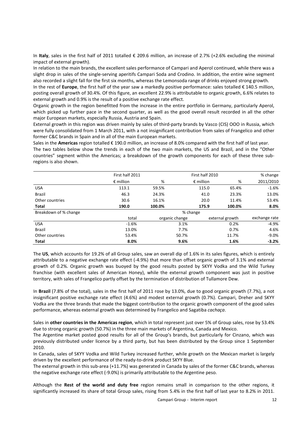In **Italy**, sales in the first half of 2011 totalled € 209.6 million, an increase of 2.7% (+2.6% excluding the minimal impact of external growth).

In relation to the main brands, the excellent sales performance of Campari and Aperol continued, while there was a slight drop in sales of the single-serving aperitifs Campari Soda and Crodino. In addition, the entire wine segment also recorded a slight fall for the first six months, whereas the Lemonsoda range of drinks enjoyed strong growth.

In the rest of **Europe**, the first half of the year saw a markedly positive performance: sales totalled € 140.5 million, posting overall growth of 30.4%. Of this figure, an excellent 22.9% is attributable to organic growth, 6.6% relates to external growth and 0.9% is the result of a positive exchange rate effect.

Organic growth in the region benefitted from the increase in the entire portfolio in Germany, particularly Aperol, which picked up further pace in the second quarter, as well as the good overall result recorded in all the other major European markets, especially Russia, Austria and Spain.

External growth in this region was driven mainly by sales of third-party brands by Vasco (CIS) OOO in Russia, which were fully consolidated from 1 March 2011, with a not insignificant contribution from sales of Frangelico and other former C&C brands in Spain and in all of the main European markets.

Sales in the **Americas** region totalled € 190.0 million, an increase of 8.0% compared with the first half of last year. The two tables below show the trends in each of the two main markets, the US and Brazil, and in the "Other countries" segment within the Americas; a breakdown of the growth components for each of these three subregions is also shown.

|                       | First half 2011    |                | First half 2010    |                 | % change      |
|-----------------------|--------------------|----------------|--------------------|-----------------|---------------|
|                       | $\epsilon$ million | %              | $\epsilon$ million | %               | 2011/2010     |
| <b>USA</b>            | 113.1              | 59.5%          | 115.0              | 65.4%           | $-1.6%$       |
| <b>Brazil</b>         | 46.3               | 24.3%          | 41.0               | 23.3%           | 13.0%         |
| Other countries       | 30.6               | 16.1%          | 20.0               | 11.4%           | 53.4%         |
| Total                 | 190.0              | 100.0%         | 175.9              | 100.0%          | 8.0%          |
| Breakdown of % change |                    |                | % change           |                 |               |
|                       | total              | organic change |                    | external growth | exchange rate |
| <b>USA</b>            | $-1.6%$            |                | 3.1%               | 0.2%            | $-4.9%$       |
| <b>Brazil</b>         | 13.0%              |                | 7.7%               | 0.7%            | 4.6%          |
| Other countries       | 53.4%              |                | 50.7%              | 11.7%           | $-9.0%$       |
| Total                 | 8.0%               |                | 9.6%               | 1.6%            | $-3.2%$       |

The **US**, which accounts for 19.2% of all Group sales, saw an overall dip of 1.6% in its sales figures, which is entirely attributable to a negative exchange rate effect (-4.9%) that more than offset organic growth of 3.1% and external growth of 0.2%. Organic growth was buoyed by the good results posted by SKYY Vodka and the Wild Turkey franchise (with excellent sales of American Honey), while the external growth component was just in positive territory, with sales of Frangelico partly offset by the termination of distribution of Tullamore Dew.

In **Brazil** (7.8% of the total), sales in the first half of 2011 rose by 13.0%, due to good organic growth (7.7%), a not insignificant positive exchange rate effect (4.6%) and modest external growth (0.7%). Campari, Dreher and SKYY Vodka are the three brands that made the biggest contribution to the organic growth component of the good sales performance, whereas external growth was determined by Frangelico and Sagatiba *cachaça*.

Sales in **other countries in the Americas region**, which in total represent just over 5% of Group sales, rose by 53.4% due to strong organic growth (50.7%) in the three main markets of Argentina, Canada and Mexico.

The Argentine market posted good results for all of the Group's brands, but particularly for Cinzano, which was previously distributed under licence by a third party, but has been distributed by the Group since 1 September 2010.

In Canada, sales of SKYY Vodka and Wild Turkey increased further, while growth on the Mexican market is largely driven by the excellent performance of the ready-to-drink product SKYY Blue.

The external growth in this sub-area (+11.7%) was generated in Canada by sales of the former C&C brands, whereas the negative exchange rate effect (-9.0%) is primarily attributable to the Argentine peso.

Although the **Rest of the world and duty free** region remains small in comparison to the other regions, it significantly increased its share of total Group sales, rising from 5.4% in the first half of last year to 8.2% in 2011.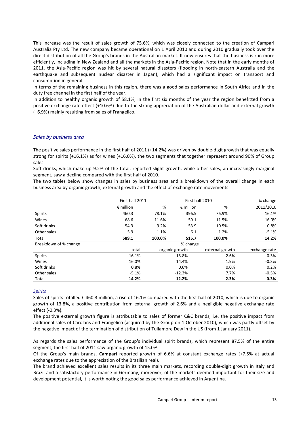This increase was the result of sales growth of 75.6%, which was closely connected to the creation of Campari Australia Pty Ltd. The new company became operational on 1 April 2010 and during 2010 gradually took over the direct distribution of all the Group's brands in the Australian market. It now ensures that the business is run more efficiently, including in New Zealand and all the markets in the Asia-Pacific region. Note that in the early months of 2011, the Asia-Pacific region was hit by several natural disasters (flooding in north-eastern Australia and the earthquake and subsequent nuclear disaster in Japan), which had a significant impact on transport and consumption in general.

In terms of the remaining business in this region, there was a good sales performance in South Africa and in the duty free channel in the first half of the year.

In addition to healthy organic growth of 58.1%, in the first six months of the year the region benefitted from a positive exchange rate effect (+10.6%) due to the strong appreciation of the Australian dollar and external growth (+6.9%) mainly resulting from sales of Frangelico.

#### *Sales by business area*

The positive sales performance in the first half of 2011 (+14.2%) was driven by double-digit growth that was equally strong for spirits (+16.1%) as for wines (+16.0%), the two segments that together represent around 90% of Group sales.

Soft drinks, which make up 9.2% of the total, reported slight growth, while other sales, an increasingly marginal segment, saw a decline compared with the first half of 2010*.*

The two tables below show changes in sales by business area and a breakdown of the overall change in each business area by organic growth, external growth and the effect of exchange rate movements.

|                       | First half 2011    | First half 2010 |                    |                 | % change      |
|-----------------------|--------------------|-----------------|--------------------|-----------------|---------------|
|                       | $\epsilon$ million | %               | $\epsilon$ million | %               | 2011/2010     |
| Spirits               | 460.3              | 78.1%           | 396.5              | 76.9%           | 16.1%         |
| Wines                 | 68.6               | 11.6%           | 59.1               | 11.5%           | 16.0%         |
| Soft drinks           | 54.3               | 9.2%            | 53.9               | 10.5%           | 0.8%          |
| Other sales           | 5.9                | 1.1%            | 6.1                | 1.2%            | $-5.1%$       |
| Total                 | 589.1              | 100.0%          | 515.7              | 100.0%          | 14.2%         |
| Breakdown of % change |                    |                 | % change           |                 |               |
|                       | total              |                 | organic growth     | external growth | exchange rate |
| <b>Spirits</b>        | 16.1%              |                 | 13.8%              | 2.6%            | $-0.3%$       |
| Wines                 | 16.0%              |                 | 14.4%              | 1.9%            | $-0.3%$       |
| Soft drinks           | 0.8%               | 0.6%            |                    | 0.0%            | 0.2%          |
| Other sales           | $-5.1%$            |                 | $-12.3%$           | 7.7%            | $-0.5%$       |
| Total                 | 14.2%              |                 | 12.2%              | 2.3%            | $-0.3%$       |

#### *Spirits*

Sales of spirits totalled  $\epsilon$  460.3 million, a rise of 16.1% compared with the first half of 2010, which is due to organic growth of 13.8%, a positive contribution from external growth of 2.6% and a negligible negative exchange rate effect (-0.3%).

The positive external growth figure is attributable to sales of former C&C brands, i.e. the positive impact from additional sales of Carolans and Frangelico (acquired by the Group on 1 October 2010), which was partly offset by the negative impact of the termination of distribution of Tullamore Dew in the US (from 1 January 2011).

As regards the sales performance of the Group's individual spirit brands, which represent 87.5% of the entire segment, the first half of 2011 saw organic growth of 15.0%.

Of the Group's main brands, **Campari** reported growth of 6.6% at constant exchange rates (+7.5% at actual exchange rates due to the appreciation of the Brazilian real).

The brand achieved excellent sales results in its three main markets, recording double-digit growth in Italy and Brazil and a satisfactory performance in Germany; moreover, of the markets deemed important for their size and development potential, it is worth noting the good sales performance achieved in Argentina.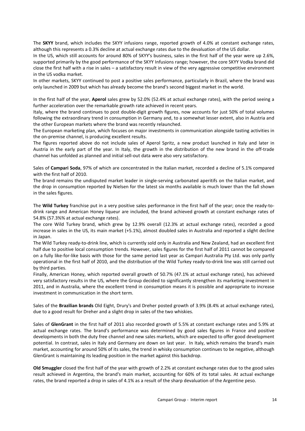The **SKYY** brand, which includes the SKYY infusions range, reported growth of 4.0% at constant exchange rates, although this represents a 0.3% decline at actual exchange rates due to the devaluation of the US dollar.

In the US, which still accounts for around 80% of SKYY's business, sales in the first half of the year were up 2.6%, supported primarily by the good performance of the SKYY Infusions range; however, the core SKYY Vodka brand did close the first half with a rise in sales – a satisfactory result in view of the very aggressive competitive environment in the US vodka market.

In other markets, SKYY continued to post a positive sales performance, particularly in Brazil, where the brand was only launched in 2009 but which has already become the brand's second biggest market in the world.

In the first half of the year, **Aperol** sales grew by 52.0% (52.4% at actual exchange rates), with the period seeing a further acceleration over the remarkable growth rate achieved in recent years.

Italy, where the brand continues to post double-digit growth figures, now accounts for just 50% of total volumes following the extraordinary trend in consumption in Germany and, to a somewhat lesser extent, also in Austria and the other European markets where the brand was recently relaunched.

The European marketing plan, which focuses on major investments in communication alongside tasting activities in the on-premise channel, is producing excellent results.

The figures reported above do not include sales of Aperol Spritz, a new product launched in Italy and later in Austria in the early part of the year. In Italy, the growth in the distribution of the new brand in the off-trade channel has unfolded as planned and initial sell-out data were also very satisfactory.

Sales of **Campari Soda**, 97% of which are concentrated in the Italian market, recorded a decline of 5.1% compared with the first half of 2010.

The brand remains the undisputed market leader in single-serving carbonated aperitifs on the Italian market, and the drop in consumption reported by Nielsen for the latest six months available is much lower than the fall shown in the sales figures.

The **Wild Turkey** franchise put in a very positive sales performance in the first half of the year; once the ready-todrink range and American Honey liqueur are included, the brand achieved growth at constant exchange rates of 54.8% (57.3%% at actual exchange rates).

The core Wild Turkey brand, which grew by 12.9% overall (12.3% at actual exchange rates), recorded a good increase in sales in the US, its main market (+5.1%), almost doubled sales in Australia and reported a slight decline in Japan.

The Wild Turkey ready-to-drink line, which is currently sold only in Australia and New Zealand, had an excellent first half due to positive local consumption trends. However, sales figures for the first half of 2011 cannot be compared on a fully like-for-like basis with those for the same period last year as Campari Australia Pty Ltd. was only partly operational in the first half of 2010, and the distribution of the Wild Turkey ready-to-drink line was still carried out by third parties.

Finally, American Honey, which reported overall growth of 50.7% (47.1% at actual exchange rates), has achieved very satisfactory results in the US, where the Group decided to significantly strengthen its marketing investment in 2011, and in Australia, where the excellent trend in consumption means it is possible and appropriate to increase investment in communication in the short term.

Sales of the **Brazilian brands** Old Eight, Drury's and Dreher posted growth of 3.9% (8.4% at actual exchange rates), due to a good result for Dreher and a slight drop in sales of the two whiskies.

Sales of **GlenGrant** in the first half of 2011 also recorded growth of 5.5% at constant exchange rates and 5.9% at actual exchange rates. The brand's performance was determined by good sales figures in France and positive developments in both the duty free channel and new sales markets, which are expected to offer good development potential. In contrast, sales in Italy and Germany are down on last year. In Italy, which remains the brand's main market, accounting for around 50% of its sales, the trend in whisky consumption continues to be negative, although GlenGrant is maintaining its leading position in the market against this backdrop.

**Old Smuggler** closed the first half of the year with growth of 2.2% at constant exchange rates due to the good sales result achieved in Argentina, the brand's main market, accounting for 60% of its total sales*.* At actual exchange rates, the brand reported a drop in sales of 4.1% as a result of the sharp devaluation of the Argentine peso.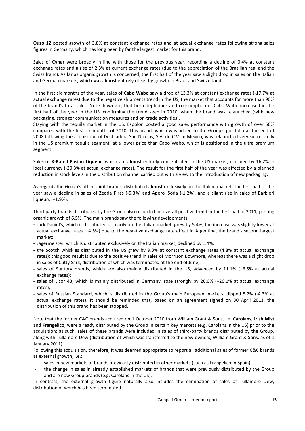**Ouzo 12** posted growth of 3.8% at constant exchange rates and at actual exchange rates following strong sales figures in Germany, which has long been by far the largest market for this brand*.* 

Sales of **Cynar** were broadly in line with those for the previous year, recording a decline of 0.4% at constant exchange rates and a rise of 2.3% at current exchange rates (due to the appreciation of the Brazilian real and the Swiss franc). As far as organic growth is concerned, the first half of the year saw a slight drop in sales on the Italian and German markets, which was almost entirely offset by growth in Brazil and Switzerland.

In the first six months of the year, sales of **Cabo Wabo** saw a drop of 13.3% at constant exchange rates (-17.7% at actual exchange rates) due to the negative shipments trend in the US, the market that accounts for more than 90% of the brand's total sales. Note, however, that both depletions and consumption of Cabo Wabo increased in the first half of the year in the US, confirming the trend seen in 2010, when the brand was relaunched (with new packaging, stronger communication measures and on-trade activities).

Staying with the tequila market in the US, Espolón posted a good sales performance with growth of over 50% compared with the first six months of 2010. This brand, which was added to the Group's portfolio at the end of 2008 following the acquisition of Destiladora San Nicolas, S.A. de C.V. in Mexico, was relaunched very successfully in the US premium tequila segment, at a lower price than Cabo Wabo, which is positioned in the ultra premium segment.

Sales of **X-Rated Fusion Liqueur**, which are almost entirely concentrated in the US market, declined by 16.2% in local currency (-20.3% at actual exchange rates). The result for the first half of the year was affected by a planned reduction in stock levels in the distribution channel carried out with a view to the introduction of new packaging.

As regards the Group's other spirit brands, distributed almost exclusively on the Italian market, the first half of the year saw a decline in sales of Zedda Piras (-5.3%) and Aperol Soda (-1.2%), and a slight rise in sales of Barbieri liqueurs (+1.9%).

Third-party brands distributed by the Group also recorded an overall positive trend in the first half of 2011, posting organic growth of 6.5%. The main brands saw the following developments:

- Jack Daniel's, which is distributed primarily on the Italian market, grew by 5.4%; the increase was slightly lower at actual exchange rates (+4.5%) due to the negative exchange rate effect in Argentina, the brand's second largest market;
- Jägermeister, which is distributed exclusively on the Italian market, declined by 1.4%;
- the Scotch whiskies distributed in the US grew by 9.3% at constant exchange rates (4.8% at actual exchange rates); this good result is due to the positive trend in sales of Morrison Bowmore, whereas there was a slight drop in sales of Cutty Sark, distribution of which was terminated at the end of June;
- sales of Suntory brands, which are also mainly distributed in the US, advanced by 11.1% (+6.5% at actual exchange rates);
- sales of Licor 43, which is mainly distributed in Germany, rose strongly by 26.0% (+26.1% at actual exchange rates);
- sales of Russian Standard, which is distributed in the Group's main European markets, dipped 5.2% (-4.3% at actual exchange rates). It should be reminded that, based on an agreement signed on 30 April 2011, the distribution of this brand has been stopped.

Note that the former C&C brands acquired on 1 October 2010 from William Grant & Sons, i.e. **Carolans**, **Irish Mist**  and **Frangelico**, were already distributed by the Group in certain key markets (e.g. Carolans in the US) prior to the acquisition; as such, sales of these brands were included in sales of third-party brands distributed by the Group, along with Tullamore Dew (distribution of which was transferred to the new owners, William Grant & Sons, as of 1 January 2011).

Following this acquisition, therefore, it was deemed appropriate to report all additional sales of former C&C brands as external growth, i.e.:

- sales in new markets of brands previously distributed in other markets (such as Frangelico in Spain);
- the change in sales in already established markets of brands that were previously distributed by the Group and are now Group brands (e.g. Carolans in the US).

In contrast, the external growth figure naturally also includes the elimination of sales of Tullamore Dew, distribution of which has been terminated.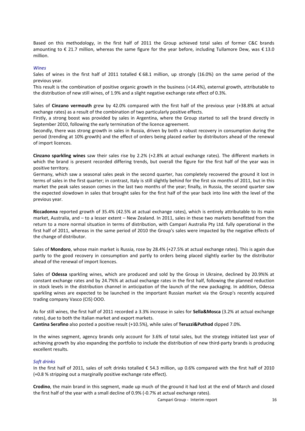Based on this methodology, in the first half of 2011 the Group achieved total sales of former C&C brands amounting to € 21.7 million, whereas the same figure for the year before, including Tullamore Dew, was € 13.0 million.

#### *Wines*

Sales of wines in the first half of 2011 totalled  $\epsilon$  68.1 million, up strongly (16.0%) on the same period of the previous year.

This result is the combination of positive organic growth in the business (+14.4%), external growth, attributable to the distribution of new still wines, of 1.9% and a slight negative exchange rate effect of 0.3%.

Sales of **Cinzano vermouth** grew by 42.0% compared with the first half of the previous year (+38.8% at actual exchange rates) as a result of the combination of two particularly positive effects.

Firstly, a strong boost was provided by sales in Argentina, where the Group started to sell the brand directly in September 2010, following the early termination of the licence agreement.

Secondly, there was strong growth in sales in Russia, driven by both a robust recovery in consumption during the period (trending at 10% growth) and the effect of orders being placed earlier by distributors ahead of the renewal of import licences.

**Cinzano sparkling wines** saw their sales rise by 2.2% (+2.8% at actual exchange rates). The different markets in which the brand is present recorded differing trends, but overall the figure for the first half of the year was in positive territory.

Germany, which saw a seasonal sales peak in the second quarter, has completely recovered the ground it lost in terms of sales in the first quarter; in contrast, Italy is still slightly behind for the first six months of 2011, but in this market the peak sales season comes in the last two months of the year; finally, in Russia, the second quarter saw the expected slowdown in sales that brought sales for the first half of the year back into line with the level of the previous year.

**Riccadonna** reported growth of 35.4% (42.5% at actual exchange rates), which is entirely attributable to its main market, Australia, and – to a lesser extent – New Zealand. In 2011, sales in these two markets benefitted from the return to a more normal situation in terms of distribution, with Campari Australia Pty Ltd. fully operational in the first half of 2011, whereas in the same period of 2010 the Group's sales were impacted by the negative effects of the change of distributor.

Sales of **Mondoro**, whose main market is Russia, rose by 28.4% (+27.5% at actual exchange rates). This is again due partly to the good recovery in consumption and partly to orders being placed slightly earlier by the distributor ahead of the renewal of import licences.

Sales of **Odessa** sparkling wines, which are produced and sold by the Group in Ukraine, declined by 20.9%% at constant exchange rates and by 24.7%% at actual exchange rates in the first half, following the planned reduction in stock levels in the distribution channel in anticipation of the launch of the new packaging. In addition, Odessa sparkling wines are expected to be launched in the important Russian market via the Group's recently acquired trading company Vasco (CIS) OOO.

As for still wines, the first half of 2011 recorded a 3.3% increase in sales for **Sella&Mosca** (3.2% at actual exchange rates), due to both the Italian market and export markets. **Cantina Serafino** also posted a positive result (+10.5%), while sales of **Teruzzi&Puthod** dipped 7.0%.

In the wines segment, agency brands only account for 3.6% of total sales, but the strategy initiated last year of achieving growth by also expanding the portfolio to include the distribution of new third-party brands is producing

#### *Soft drinks*

excellent results.

In the first half of 2011, sales of soft drinks totalled € 54.3 million, up 0.6% compared with the first half of 2010 (+0.8 % stripping out a marginally positive exchange rate effect).

**Crodino**, the main brand in this segment, made up much of the ground it had lost at the end of March and closed the first half of the year with a small decline of 0.9% (-0.7% at actual exchange rates).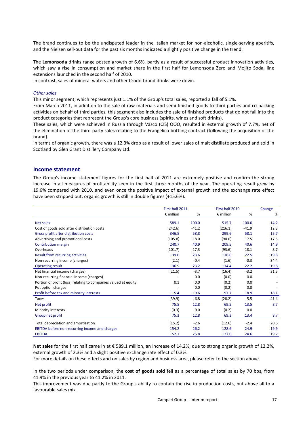The brand continues to be the undisputed leader in the Italian market for non-alcoholic, single-serving aperitifs, and the Nielsen sell-out data for the past six months indicated a slightly positive change in the trend.

The **Lemonsoda** drinks range posted growth of 6.6%, partly as a result of successful product innovation activities, which saw a rise in consumption and market share in the first half for Lemonsoda Zero and Mojito Soda, line extensions launched in the second half of 2010.

In contrast, sales of mineral waters and other Crodo-brand drinks were down.

#### *Other sales*

This minor segment, which represents just 1.1% of the Group's total sales, reported a fall of 5.1%.

From March 2011, in addition to the sale of raw materials and semi-finished goods to third parties and co-packing activities on behalf of third parties, this segment also includes the sale of finished products that do not fall into the product categories that represent the Group's core business (spirits, wines and soft drinks).

These sales, which were achieved in Russia through Vasco (CIS) OOO, resulted in external growth of 7.7%, net of the elimination of the third-party sales relating to the Frangelico bottling contract (following the acquisition of the brand).

In terms of organic growth, there was a 12.3% drop as a result of lower sales of malt distillate produced and sold in Scotland by Glen Grant Distillery Company Ltd.

#### **Income statement**

The Group's income statement figures for the first half of 2011 are extremely positive and confirm the strong increase in all measures of profitability seen in the first three months of the year. The operating result grew by 19.6% compared with 2010, and even once the positive impact of external growth and the exchange rate effect have been stripped out, organic growth is still in double figures (+15.6%).

|                                                                 | First half 2011    |         | First half 2010    |         | Change |
|-----------------------------------------------------------------|--------------------|---------|--------------------|---------|--------|
|                                                                 | $\epsilon$ million | %       | $\epsilon$ million | %       | %      |
| Net sales                                                       | 589.1              | 100.0   | 515.7              | 100.0   | 14.2   |
| Cost of goods sold after distribution costs                     | (242.6)            | $-41.2$ | (216.1)            | $-41.9$ | 12.3   |
| Gross profit after distribution costs                           | 346.5              | 58.8    | 299.6              | 58.1    | 15.7   |
| Advertising and promotional costs                               | (105.8)            | $-18.0$ | (90.0)             | $-17.5$ | 17.5   |
| Contribution margin                                             | 240.7              | 40.9    | 209.5              | 40.6    | 14.9   |
| Overheads                                                       | (101.7)            | $-17.3$ | (93.6)             | $-18.1$ | 8.7    |
| Result from recurring activities                                | 139.0              | 23.6    | 116.0              | 22.5    | 19.8   |
| Non-recurring income (charges)                                  | (2.1)              | $-0.4$  | (1.6)              | $-0.3$  | 34.4   |
| <b>Operating result</b>                                         | 136.9              | 23.2    | 114.4              | 22.2    | 19.6   |
| Net financial income (charges)                                  | (21.5)             | $-3.7$  | (16.4)             | $-3.2$  | 31.5   |
| Non-recurring financial income (charges)                        |                    | 0.0     | (0.0)              | 0.0     |        |
| Portion of profit (loss) relating to companies valued at equity | 0.1                | 0.0     | (0.2)              | 0.0     |        |
| Put option charges                                              |                    | 0.0     | (0.2)              | 0.0     |        |
| Profit before tax and minority interests                        | 115.4              | 19.6    | 97.7               | 18.9    | 18.1   |
| Taxes                                                           | (39.9)             | $-6.8$  | (28.2)             | $-5.5$  | 41.4   |
| Net profit                                                      | 75.5               | 12.8    | 69.5               | 13.5    | 8.7    |
| Minority interests                                              | (0.3)              | 0.0     | (0.2)              | 0.0     |        |
| Group net profit                                                | 75.3               | 12.8    | 69.3               | 13.4    | 8.7    |
| Total depreciation and amortisation                             | (15.2)             | $-2.6$  | (12.6)             | $-2.4$  | 20.6   |
| EBITDA before non-recurring income and charges                  | 154.2              | 26.2    | 128.6              | 24.9    | 19.9   |
| <b>EBITDA</b>                                                   | 152.1              | 25.8    | 127.0              | 24.6    | 19.7   |

**Net sales** for the first half came in at € 589.1 million, an increase of 14.2%, due to strong organic growth of 12.2%, external growth of 2.3% and a slight positive exchange rate effect of 0.3%.

For more details on these effects and on sales by region and business area, please refer to the section above.

In the two periods under comparison, the **cost of goods sold** fell as a percentage of total sales by 70 bps, from 41.9% in the previous year to 41.2% in 2011.

This improvement was due partly to the Group's ability to contain the rise in production costs, but above all to a favourable sales mix.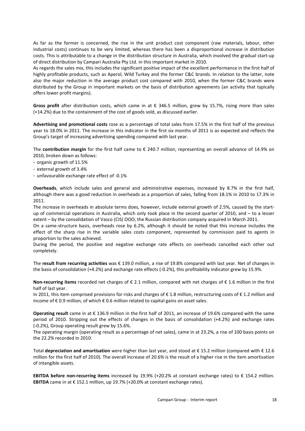As far as the former is concerned, the rise in the unit product cost component (raw materials, labour, other industrial costs) continues to be very limited, whereas there has been a disproportional increase in distribution costs. This is attributable to a change in the distribution structure in Australia, which involved the gradual start-up of direct distribution by Campari Australia Pty Ltd. in this important market in 2010.

As regards the sales mix, this includes the significant positive impact of the excellent performance in the first half of highly profitable products, such as Aperol, Wild Turkey and the former C&C brands. In relation to the latter, note also the major reduction in the average product cost compared with 2010, when the former C&C brands were distributed by the Group in important markets on the basis of distribution agreements (an activity that typically offers lower profit margins).

**Gross profit** after distribution costs, which came in at € 346.5 million, grew by 15.7%, rising more than sales (+14.2%) due to the containment of the cost of goods sold, as discussed earlier.

**Advertising and promotional costs** rose as a percentage of total sales from 17.5% in the first half of the previous year to 18.0% in 2011. The increase in this indicator in the first six months of 2011 is as expected and reflects the Group's target of increasing advertising spending compared with last year.

The **contribution margin** for the first half came to € 240.7 million, representing an overall advance of 14.9% on 2010, broken down as follows:

- organic growth of 11.5%
- external growth of 3.4%
- unfavourable exchange rate effect of -0.1%

**Overheads**, which include sales and general and administrative expenses, increased by 8.7% in the first half, although there was a good reduction in overheads as a proportion of sales, falling from 18.1% in 2010 to 17.3% in 2011.

The increase in overheads in absolute terms does, however, include external growth of 2.5%, caused by the startup of commercial operations in Australia, which only took place in the second quarter of 2010, and – to a lesser extent – by the consolidation of Vasco (CIS) OOO, the Russian distribution company acquired in March 2011.

On a same-structure basis, overheads rose by 6.2%, although it should be noted that this increase includes the effect of the sharp rise in the variable sales costs component, represented by commission paid to agents in proportion to the sales achieved.

During the period, the positive and negative exchange rate effects on overheads cancelled each other out completely.

The **result from recurring activities** was € 139.0 million, a rise of 19.8% compared with last year. Net of changes in the basis of consolidation (+4.2%) and exchange rate effects (-0.2%), this profitability indicator grew by 15.9%.

**Non-recurring items** recorded net charges of € 2.1 million, compared with net charges of € 1.6 million in the first half of last year.

In 2011, this item comprised provisions for risks and charges of € 1.8 million, restructuring costs of € 1.2 million and income of € 0.9 million, of which € 0.6 million related to capital gains on asset sales.

**Operating result** came in at € 136.9 million in the first half of 2011, an increase of 19.6% compared with the same period of 2010. Stripping out the effects of changes in the basis of consolidation (+4.2%) and exchange rates (-0.2%), Group operating result grew by 15.6%.

The operating margin (operating result as a percentage of net sales), came in at 23.2%, a rise of 100 basis points on the 22.2% recorded in 2010.

Total **depreciation and amortisation** were higher than last year, and stood at € 15.2 million (compared with € 12.6 million for the first half of 2010). The overall increase of 20.6% is the result of a higher rise in the item amortisation of intangible assets.

**EBITDA before non-recurring items** increased by 19.9% (+20.2% at constant exchange rates) to € 154.2 million. **EBITDA** came in at € 152.1 million, up 19.7% (+20.0% at constant exchange rates).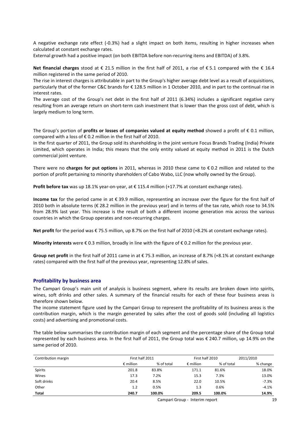A negative exchange rate effect (-0.3%) had a slight impact on both items, resulting in higher increases when calculated at constant exchange rates.

External growth had a positive impact (on both EBITDA before non-recurring items and EBITDA) of 3.8%.

**Net financial charges** stood at € 21.5 million in the first half of 2011, a rise of € 5.1 compared with the € 16.4 million registered in the same period of 2010.

The rise in interest charges is attributable in part to the Group's higher average debt level as a result of acquisitions, particularly that of the former C&C brands for € 128.5 million in 1 October 2010, and in part to the continual rise in interest rates.

The average cost of the Group's net debt in the first half of 2011 (6.34%) includes a significant negative carry resulting from an average return on short-term cash investment that is lower than the gross cost of debt, which is largely medium to long term.

The Group's portion of **profits or losses of companies valued at equity method** showed a profit of € 0.1 million, compared with a loss of € 0.2 million in the first half of 2010.

In the first quarter of 2011, the Group sold its shareholding in the joint venture Focus Brands Trading (India) Private Limited, which operates in India; this means that the only entity valued at equity method in 2011 is the Dutch commercial joint venture.

There were no **charges for put options** in 2011, whereas in 2010 these came to € 0.2 million and related to the portion of profit pertaining to minority shareholders of Cabo Wabo, LLC (now wholly owned by the Group).

**Profit before tax** was up 18.1% year-on-year, at € 115.4 million (+17.7% at constant exchange rates).

**Income tax** for the period came in at € 39.9 million, representing an increase over the figure for the first half of 2010 both in absolute terms (€ 28.2 million in the previous year) and in terms of the tax rate, which rose to 34.5% from 28.9% last year. This increase is the result of both a different income generation mix across the various countries in which the Group operates and non-recurring charges.

**Net profit** for the period was € 75.5 million, up 8.7% on the first half of 2010 (+8.2% at constant exchange rates).

**Minority interests** were € 0.3 million, broadly in line with the figure of € 0.2 million for the previous year.

**Group net profit** in the first half of 2011 came in at € 75.3 million, an increase of 8.7% (+8.1% at constant exchange rates) compared with the first half of the previous year, representing 12.8% of sales.

#### **Profitability by business area**

The Campari Group's main unit of analysis is business segment, where its results are broken down into spirits, wines, soft drinks and other sales. A summary of the financial results for each of these four business areas is therefore shown below.

The income statement figure used by the Campari Group to represent the profitability of its business areas is the contribution margin, which is the margin generated by sales after the cost of goods sold (including all logistics costs) and advertising and promotional costs.

The table below summarises the contribution margin of each segment and the percentage share of the Group total represented by each business area. In the first half of 2011, the Group total was € 240.7 million, up 14.9% on the same period of 2010.

| Contribution margin | First half 2011    |            | First half 2010    |            | 2011/2010 |
|---------------------|--------------------|------------|--------------------|------------|-----------|
|                     | $\epsilon$ million | % of total | $\epsilon$ million | % of total | % change  |
| Spirits             | 201.8              | 83.8%      | 171.1              | 81.6%      | 18.0%     |
| Wines               | 17.3               | 7.2%       | 15.3               | 7.3%       | 13.0%     |
| Soft drinks         | 20.4               | 8.5%       | 22.0               | 10.5%      | $-7.3%$   |
| Other               | 1.2                | 0.5%       | 1.3                | 0.6%       | $-4.1%$   |
| <b>Total</b>        | 240.7              | 100.0%     | 209.5              | 100.0%     | 14.9%     |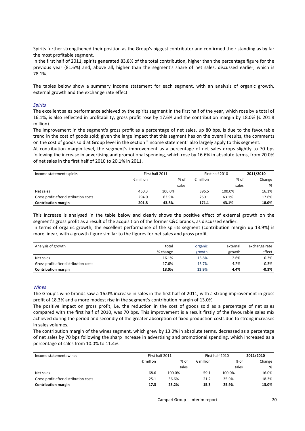Spirits further strengthened their position as the Group's biggest contributor and confirmed their standing as by far the most profitable segment.

In the first half of 2011, spirits generated 83.8% of the total contribution, higher than the percentage figure for the previous year (81.6%) and, above all, higher than the segment's share of net sales, discussed earlier, which is 78.1%.

The tables below show a summary income statement for each segment, with an analysis of organic growth, external growth and the exchange rate effect.

#### *Spirits*

The excellent sales performance achieved by the spirits segment in the first half of the year, which rose by a total of 16.1%, is also reflected in profitability; gross profit rose by 17.6% and the contribution margin by 18.0% (€ 201.8 million).

The improvement in the segment's gross profit as a percentage of net sales, up 80 bps, is due to the favourable trend in the cost of goods sold; given the large impact that this segment has on the overall results, the comments on the cost of goods sold at Group level in the section "Income statement" also largely apply to this segment.

At contribution margin level, the segment's improvement as a percentage of net sales drops slightly to 70 bps following the increase in advertising and promotional spending, which rose by 16.6% in absolute terms, from 20.0% of net sales in the first half of 2010 to 20.1% in 2011.

| Income statement: spirits             |                    | First half 2011 |                            | First half 2010 | 2011/2010 |  |
|---------------------------------------|--------------------|-----------------|----------------------------|-----------------|-----------|--|
|                                       | $\epsilon$ million |                 | % of<br>$\epsilon$ million | % of            | Change    |  |
|                                       |                    |                 | sales                      | sales           | %         |  |
| Net sales                             | 460.3              | 100.0%          | 396.5                      | 100.0%          | 16.1%     |  |
| Gross profit after distribution costs | 294.0              | 63.9%           | 250.1                      | 63.1%           | 17.6%     |  |
| <b>Contribution margin</b>            | 201.8              | 43.8%           | 171.1                      | 43.1%           | 18.0%     |  |

This increase is analysed in the table below and clearly shows the positive effect of external growth on the segment's gross profit as a result of the acquisition of the former C&C brands, as discussed earlier.

In terms of organic growth, the excellent performance of the spirits segment (contribution margin up 13.9%) is more linear, with a growth figure similar to the figures for net sales and gross profit.

| Analysis of growth                    | total    | organic | external | exchange rate |
|---------------------------------------|----------|---------|----------|---------------|
|                                       | % change | growth  | growth   | effect        |
| Net sales                             | 16.1%    | 13.8%   | 2.6%     | $-0.3%$       |
| Gross profit after distribution costs | 17.6%    | 13.7%   | 4.2%     | $-0.3%$       |
| <b>Contribution margin</b>            | 18.0%    | 13.9%   | 4.4%     | $-0.3%$       |

#### *Wines*

The Group's wine brands saw a 16.0% increase in sales in the first half of 2011, with a strong improvement in gross profit of 18.3% and a more modest rise in the segment's contribution margin of 13.0%.

The positive impact on gross profit, i.e. the reduction in the cost of goods sold as a percentage of net sales compared with the first half of 2010, was 70 bps. This improvement is a result firstly of the favourable sales mix achieved during the period and secondly of the greater absorption of fixed production costs due to strong increases in sales volumes.

The contribution margin of the wines segment, which grew by 13.0% in absolute terms, decreased as a percentage of net sales by 70 bps following the sharp increase in advertising and promotional spending, which increased as a percentage of sales from 10.0% to 11.4%.

| Income statement: wines               | First half 2011    |        |                    | First half 2010 |        |  |
|---------------------------------------|--------------------|--------|--------------------|-----------------|--------|--|
|                                       | $\epsilon$ million | % of   | $\epsilon$ million | % of            | Change |  |
|                                       |                    | sales  |                    | sales           | %      |  |
| Net sales                             | 68.6               | 100.0% | 59.1               | 100.0%          | 16.0%  |  |
| Gross profit after distribution costs | 25.1               | 36.6%  | 21.2               | 35.9%           | 18.3%  |  |
| <b>Contribution margin</b>            | 17.3               | 25.2%  | 15.3               | 25.9%           | 13.0%  |  |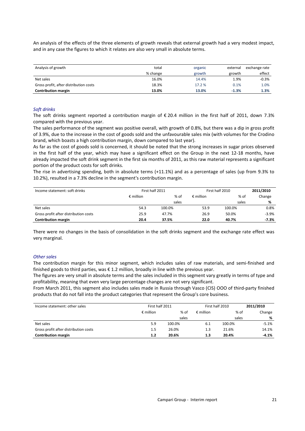An analysis of the effects of the three elements of growth reveals that external growth had a very modest impact, and in any case the figures to which it relates are also very small in absolute terms.

| Analysis of growth                     | total    | organic | external | exchange rate |
|----------------------------------------|----------|---------|----------|---------------|
|                                        | % change | growth  | growth   | effect        |
| Net sales                              | 16.0%    | 14.4%   | 1.9%     | $-0.3%$       |
| Gross profit, after distribution costs | 18.3%    | 17.2 %  | 0.1%     | 1.0%          |
| <b>Contribution margin</b>             | 13.0%    | 13.0%   | $-1.3%$  | 1.3%          |

#### *Soft drinks*

The soft drinks segment reported a contribution margin of € 20.4 million in the first half of 2011, down 7.3% compared with the previous year.

The sales performance of the segment was positive overall, with growth of 0.8%, but there was a dip in gross profit of 3.9%, due to the increase in the cost of goods sold and the unfavourable sales mix (with volumes for the Crodino brand, which boasts a high contribution margin, down compared to last year).

As far as the cost of goods sold is concerned, it should be noted that the strong increases in sugar prices observed in the first half of the year, which may have a significant effect on the Group in the next 12-18 months, have already impacted the soft drink segment in the first six months of 2011, as this raw material represents a significant portion of the product costs for soft drinks.

The rise in advertising spending, both in absolute terms (+11.1%) and as a percentage of sales (up from 9.3% to 10.2%), resulted in a 7.3% decline in the segment's contribution margin.

| Income statement: soft drinks         |                    | First half 2011 | First half 2010    | 2011/2010 |         |  |
|---------------------------------------|--------------------|-----------------|--------------------|-----------|---------|--|
|                                       | $\epsilon$ million | % of            | $\epsilon$ million | % of      | Change  |  |
|                                       |                    | sales           |                    | sales     | %       |  |
| Net sales                             | 54.3               | 100.0%          | 53.9               | 100.0%    | 0.8%    |  |
| Gross profit after distribution costs | 25.9               | 47.7%           | 26.9               | 50.0%     | $-3.9%$ |  |
| <b>Contribution margin</b>            | 20.4               | 37.5%           | 22.0               | 40.7%     | $-7.3%$ |  |

There were no changes in the basis of consolidation in the soft drinks segment and the exchange rate effect was very marginal.

#### *Other sales*

The contribution margin for this minor segment, which includes sales of raw materials, and semi-finished and finished goods to third parties, was € 1.2 million, broadly in line with the previous year.

The figures are very small in absolute terms and the sales included in this segment vary greatly in terms of type and profitability, meaning that even very large percentage changes are not very significant.

From March 2011, this segment also includes sales made in Russia through Vasco (CIS) OOO of third-party finished products that do not fall into the product categories that represent the Group's core business.

| Income statement: other sales         | First half 2011    |        | First half 2010    | 2011/2010 |         |
|---------------------------------------|--------------------|--------|--------------------|-----------|---------|
|                                       | $\epsilon$ million | % of   | $\epsilon$ million | % of      | Change  |
|                                       |                    | sales  |                    | sales     | %       |
| Net sales                             | 5.9                | 100.0% | 6.1                | 100.0%    | $-5.1%$ |
| Gross profit after distribution costs | 1.5                | 26.0%  | 1.3                | 21.6%     | 14.1%   |
| <b>Contribution margin</b>            | 1.2                | 20.6%  | 1.3                | 20.4%     | $-4.1%$ |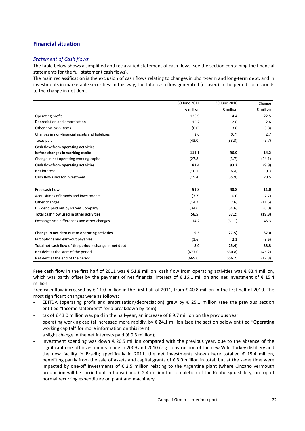## **Financial situation**

## *Statement of Cash flows*

The table below shows a simplified and reclassified statement of cash flows (see the section containing the financial statements for the full statement cash flows).

The main reclassification is the exclusion of cash flows relating to changes in short-term and long-term debt, and in investments in marketable securities: in this way, the total cash flow generated (or used) in the period corresponds to the change in net debt.

|                                                        | 30 June 2011       | 30 June 2010       | Change             |
|--------------------------------------------------------|--------------------|--------------------|--------------------|
|                                                        | $\epsilon$ million | $\epsilon$ million | $\epsilon$ million |
| Operating profit                                       | 136.9              | 114.4              | 22.5               |
| Depreciation and amortisation                          | 15.2               | 12.6               | 2.6                |
| Other non-cash items                                   | (0.0)              | 3.8                | (3.8)              |
| Changes in non-financial assets and liabilities        | 2.0                | (0.7)              | 2.7                |
| Taxes paid                                             | (43.0)             | (33.3)             | (9.7)              |
| Cash flow from operating activities                    |                    |                    |                    |
| before changes in working capital                      | 111.1              | 96.9               | 14.2               |
| Change in net operating working capital                | (27.8)             | (3.7)              | (24.1)             |
| Cash flow from operating activities                    | 83.4               | 93.2               | (9.8)              |
| Net interest                                           | (16.1)             | (16.4)             | 0.3                |
| Cash flow used for investment                          | (15.4)             | (35.9)             | 20.5               |
|                                                        |                    |                    |                    |
| Free cash flow                                         | 51.8               | 40.8               | 11.0               |
| Acquisitions of brands and investments                 | (7.7)              | 0.0                | (7.7)              |
| Other changes                                          | (14.2)             | (2.6)              | (11.6)             |
| Dividend paid out by Parent Company                    | (34.6)             | (34.6)             | (0.0)              |
| Total cash flow used in other activities               | (56.5)             | (37.2)             | (19.3)             |
| Exchange rate differences and other changes            | 14.2               | (31.1)             | 45.3               |
|                                                        |                    |                    |                    |
| Change in net debt due to operating activities         | 9.5                | (27.5)             | 37.0               |
| Put options and earn-out payables                      | (1.6)              | 2.1                | (3.6)              |
| Total net cash flow of the period = change in net debt | 8.0                | (25.4)             | 33.3               |
| Net debt at the start of the period                    | (677.0)            | (630.8)            | (46.2)             |
| Net debt at the end of the period                      | (669.0)            | (656.2)            | (12.8)             |

Free cash flow in the first half of 2011 was € 51.8 million: cash flow from operating activities was € 83.4 million, which was partly offset by the payment of net financial interest of € 16.1 million and net investment of € 15.4 million.

Free cash flow increased by € 11.0 million in the first half of 2011, from € 40.8 million in the first half of 2010. The most significant changes were as follows:

- EBITDA (operating profit and amortisation/depreciation) grew by  $\epsilon$  25.1 million (see the previous section entitled "Income statement" for a breakdown by item);
- tax of €43.0 million was paid in the half-year, an increase of €9.7 million on the previous year;
- operating working capital increased more rapidly, by  $\epsilon$  24.1 million (see the section below entitled "Operating working capital" for more information on this item);
- a slight change in the net interests paid ( $\epsilon$  0.3 million);
- investment spending was down € 20.5 million compared with the previous year, due to the absence of the significant one-off investments made in 2009 and 2010 (e.g. construction of the new Wild Turkey distillery and the new facility in Brazil); specifically in 2011, the net investments shown here totalled  $\epsilon$  15.4 million, benefiting partly from the sale of assets and capital grants of € 3.0 million in total, but at the same time were impacted by one-off investments of € 2.5 million relating to the Argentine plant (where Cinzano vermouth production will be carried out in house) and € 2.4 million for completion of the Kentucky distillery, on top of normal recurring expenditure on plant and machinery.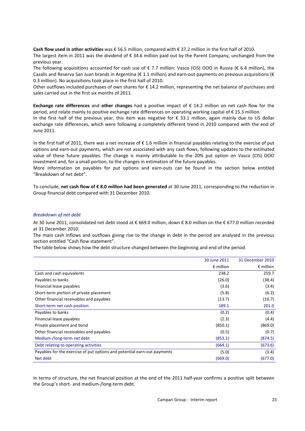**Cash flow used in other activities** was € 56.5 million, compared with € 37.2 million in the first half of 2010. The largest item in 2011 was the dividend of € 34.6 million paid out by the Parent Company, unchanged from the previous year.

The following acquisitions accounted for cash use of  $\epsilon$  7.7 million: Vasco (CIS) OOO in Russia ( $\epsilon$  6.4 million), the Cazalis and Reserva San Juan brands in Argentina ( $\epsilon$  1.1 million) and earn-out payments on previous acquisitions ( $\epsilon$ 0.3 million). No acquisitions took place in the first half of 2010.

Other outflows included purchases of own shares for € 14.2 million, representing the net balance of purchases and sales carried out in the first six months of 2011.

**Exchange rate differences** and **other changes** had a positive impact of € 14.2 million on net cash flow for the period, and relate mainly to positive exchange rate differences on operating working capital of € 15.3 million.

In the first half of the previous year, this item was negative for € 33.1 million, again mainly due to US dollar exchange rate differences, which were following a completely different trend in 2010 compared with the end of June 2011.

In the first half of 2011, there was a net increase of  $\epsilon$  1.6 million in financial payables relating to the exercise of put options and earn-out payments, which are not associated with any cash flows, following updates to the estimated value of these future payables. The change is mainly attributable to the 20% put option on Vasco (CIS) OOO investment and, for a small portion, to the changes in estimation of the future payables.

More information on payables for put options and earn-outs can be found in the section below entitled "Breakdown of net debt".

To conclude, **net cash flow of € 8.0 million had been generated** at 30 June 2011, corresponding to the reduction in Group financial debt compared with 31 December 2010.

#### *Breakdown of net debt*

At 30 June 2011, consolidated net debt stood at € 669.0 million, down € 8.0 million on the € 677.0 million recorded at 31 December 2010.

The main cash inflows and outflows giving rise to the change in debt in the period are analysed in the previous section entitled "Cash flow statement".

The table below shows how the debt structure changed between the beginning and end of the period.

|                                                                          | 30 June 2011       | 31 December 2010   |
|--------------------------------------------------------------------------|--------------------|--------------------|
|                                                                          | $\epsilon$ million | $\epsilon$ million |
| Cash and cash equivalents                                                | 238.2              | 259.7              |
| Payables to banks                                                        | (26.0)             | (38.4)             |
| Financial lease payables                                                 | (3.6)              | (3.4)              |
| Short-term portion of private placement                                  | (5.8)              | (6.2)              |
| Other financial receivables and payables                                 | (13.7)             | (10.7)             |
| Short-term net cash position                                             | 189.1              | 201.0              |
| Payables to banks                                                        | (0.2)              | (0.4)              |
| Financial lease payables                                                 | (2.3)              | (4.4)              |
| Private placement and bond                                               | (850.1)            | (869.0)            |
| Other financial receivables and payables                                 | (0.5)              | (0.7)              |
| Medium-/long-term net debt                                               | (853.1)            | (874.5)            |
| Debt relating to operating activities                                    | (664.1)            | (673.6)            |
| Payables for the exercise of put options and potential earn-out payments | (5.0)              | (3.4)              |
| Net debt                                                                 | (669.0)            | (677.0)            |

In terms of structure, the net financial position at the end of the 2011 half-year confirms a positive split between the Group's short- and medium-/long-term debt.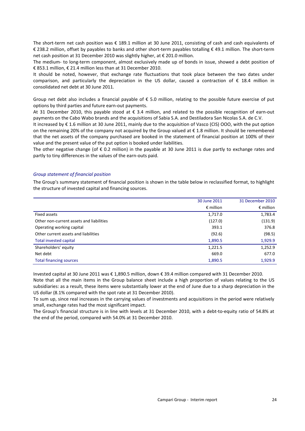The short-term net cash position was € 189.1 million at 30 June 2011, consisting of cash and cash equivalents of € 238.2 million, offset by payables to banks and other short-term payables totalling € 49.1 million. The short-term net cash position at 31 December 2010 was slightly higher, at € 201.0 million.

The medium- to long-term component, almost exclusively made up of bonds in issue, showed a debt position of € 853.1 million, € 21.4 million less than at 31 December 2010.

It should be noted, however, that exchange rate fluctuations that took place between the two dates under comparison, and particularly the depreciation in the US dollar, caused a contraction of € 18.4 million in consolidated net debt at 30 June 2011.

Group net debt also includes a financial payable of  $\epsilon$  5.0 million, relating to the possible future exercise of put options by third parties and future earn-out payments.

At 31 December 2010, this payable stood at € 3.4 million, and related to the possible recognition of earn-out payments on the Cabo Wabo brands and the acquisitions of Sabia S.A. and Destiladora San Nicolas S.A. de C.V.

It increased by € 1.6 million at 30 June 2011, mainly due to the acquisition of Vasco (CIS) OOO, with the put option on the remaining 20% of the company not acquired by the Group valued at € 1.8 million. It should be remembered that the net assets of the company purchased are booked in the statement of financial position at 100% of their value and the present value of the put option is booked under liabilities.

The other negative change (of  $\epsilon$  0.2 million) in the payable at 30 June 2011 is due partly to exchange rates and partly to tiny differences in the values of the earn-outs paid.

#### *Group statement of financial position*

The Group's summary statement of financial position is shown in the table below in reclassified format, to highlight the structure of invested capital and financing sources.

|                                          | 30 June 2011       | 31 December 2010   |
|------------------------------------------|--------------------|--------------------|
|                                          | $\epsilon$ million | $\epsilon$ million |
| Fixed assets                             | 1,717.0            | 1,783.4            |
| Other non-current assets and liabilities | (127.0)            | (131.9)            |
| Operating working capital                | 393.1              | 376.8              |
| Other current assets and liabilities     | (92.6)             | (98.5)             |
| Total invested capital                   | 1,890.5            | 1,929.9            |
| Shareholders' equity                     | 1,221.5            | 1,252.9            |
| Net debt                                 | 669.0              | 677.0              |
| <b>Total financing sources</b>           | 1,890.5            | 1,929.9            |

Invested capital at 30 June 2011 was € 1,890.5 million, down € 39.4 million compared with 31 December 2010.

Note that all the main items in the Group balance sheet include a high proportion of values relating to the US subsidiaries: as a result, these items were substantially lower at the end of June due to a sharp depreciation in the US dollar (8.1% compared with the spot rate at 31 December 2010).

To sum up, since real increases in the carrying values of investments and acquisitions in the period were relatively small, exchange rates had the most significant impact.

The Group's financial structure is in line with levels at 31 December 2010, with a debt-to-equity ratio of 54.8% at the end of the period, compared with 54.0% at 31 December 2010.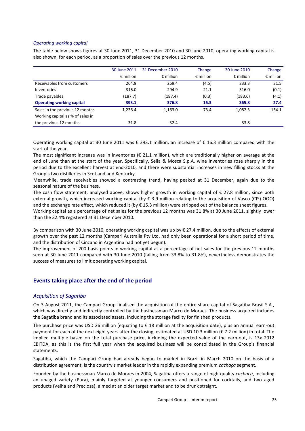#### *Operating working capital*

The table below shows figures at 30 June 2011, 31 December 2010 and 30 June 2010; operating working capital is also shown, for each period, as a proportion of sales over the previous 12 months.

|                                  | 30 June 2011       | 31 December 2010   | Change             | 30 June 2010       | Change             |
|----------------------------------|--------------------|--------------------|--------------------|--------------------|--------------------|
|                                  | $\epsilon$ million | $\epsilon$ million | $\epsilon$ million | $\epsilon$ million | $\epsilon$ million |
| Receivables from customers       | 264.9              | 269.4              | (4.5)              | 233.3              | 31.5               |
| Inventories                      | 316.0              | 294.9              | 21.1               | 316.0              | (0.1)              |
| Trade payables                   | (187.7)            | (187.4)            | (0.3)              | (183.6)            | (4.1)              |
| <b>Operating working capital</b> | 393.1              | 376.8              | 16.3               | 365.8              | 27.4               |
| Sales in the previous 12 months  | 1.236.4            | 1,163.0            | 73.4               | 1,082.3            | 154.1              |
| Working capital as % of sales in |                    |                    |                    |                    |                    |
| the previous 12 months           | 31.8               | 32.4               |                    | 33.8               |                    |

Operating working capital at 30 June 2011 was € 393.1 million, an increase of € 16.3 million compared with the start of the year.

The most significant increase was in inventories ( $\epsilon$  21.1 million), which are traditionally higher on average at the end of June than at the start of the year. Specifically, Sella & Mosca S.p.A. wine inventories rose sharply in the period due to the excellent harvest at end-2010, and there were substantial increases in new filling stocks at the Group's two distilleries in Scotland and Kentucky.

Meanwhile, trade receivables showed a contrasting trend, having peaked at 31 December, again due to the seasonal nature of the business.

The cash flow statement, analysed above, shows higher growth in working capital of  $\epsilon$  27.8 million, since both external growth, which increased working capital (by € 3.9 million relating to the acquisition of Vasco (CIS) OOO) and the exchange rate effect, which reduced it (by  $\epsilon$  15.3 million) were stripped out of the balance sheet figures.

Working capital as a percentage of net sales for the previous 12 months was 31.8% at 30 June 2011, slightly lower than the 32.4% registered at 31 December 2010.

By comparison with 30 June 2010, operating working capital was up by € 27.4 million, due to the effects of external growth over the past 12 months (Campari Australia Pty Ltd. had only been operational for a short period of time, and the distribution of Cinzano in Argentina had not yet begun).

The improvement of 200 basis points in working capital as a percentage of net sales for the previous 12 months seen at 30 June 2011 compared with 30 June 2010 (falling from 33.8% to 31.8%), nevertheless demonstrates the success of measures to limit operating working capital.

## **Events taking place after the end of the period**

## *Acquisition of Sagatiba*

On 3 August 2011, the Campari Group finalised the acquisition of the entire share capital of Sagatiba Brasil S.A., which was directly and indirectly controlled by the businessman Marco de Moraes. The business acquired includes the Sagatiba brand and its associated assets, including the storage facility for finished products.

The purchase price was USD 26 million (equating to € 18 million at the acquisition date), plus an annual earn-out payment for each of the next eight years after the closing, estimated at USD 10.3 million (€ 7.2 million) in total. The implied multiple based on the total purchase price, including the expected value of the earn-out, is 13x 2012 EBITDA, as this is the first full year when the acquired business will be consolidated in the Group's financial statements.

Sagatiba, which the Campari Group had already begun to market in Brazil in March 2010 on the basis of a distribution agreement, is the country's market leader in the rapidly expanding premium *cachaça* segment.

Founded by the businessman Marco de Moraes in 2004, Sagatiba offers a range of high-quality *cachaça*, including an unaged variety (Pura), mainly targeted at younger consumers and positioned for cocktails, and two aged products (Velha and Preciosa), aimed at an older target market and to be drunk straight.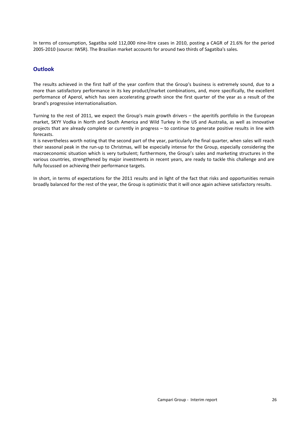In terms of consumption, Sagatiba sold 112,000 nine-litre cases in 2010, posting a CAGR of 21.6% for the period 2005-2010 (source: IWSR). The Brazilian market accounts for around two thirds of Sagatiba's sales.

## **Outlook**

The results achieved in the first half of the year confirm that the Group's business is extremely sound, due to a more than satisfactory performance in its key product/market combinations, and, more specifically, the excellent performance of Aperol, which has seen accelerating growth since the first quarter of the year as a result of the brand's progressive internationalisation.

Turning to the rest of 2011, we expect the Group's main growth drivers – the aperitifs portfolio in the European market, SKYY Vodka in North and South America and Wild Turkey in the US and Australia, as well as innovative projects that are already complete or currently in progress – to continue to generate positive results in line with forecasts.

It is nevertheless worth noting that the second part of the year, particularly the final quarter, when sales will reach their seasonal peak in the run-up to Christmas, will be especially intense for the Group, especially considering the macroeconomic situation which is very turbulent; furthermore, the Group's sales and marketing structures in the various countries, strengthened by major investments in recent years, are ready to tackle this challenge and are fully focussed on achieving their performance targets.

In short, in terms of expectations for the 2011 results and in light of the fact that risks and opportunities remain broadly balanced for the rest of the year, the Group is optimistic that it will once again achieve satisfactory results.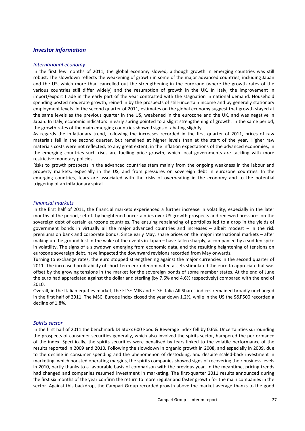## *Investor information*

#### *International economy*

In the first few months of 2011, the global economy slowed, although growth in emerging countries was still robust. The slowdown reflects the weakening of growth in some of the major advanced countries, including Japan and the US, which more than cancelled out the strengthening in the eurozone (where the growth rates of the various countries still differ widely) and the resumption of growth in the UK. In Italy, the improvement in import/export trade in the early part of the year contrasted with the stagnation in national demand. Household spending posted moderate growth, reined in by the prospects of still-uncertain income and by generally stationary employment levels. In the second quarter of 2011, estimates on the global economy suggest that growth stayed at the same levels as the previous quarter in the US, weakened in the eurozone and the UK, and was negative in Japan. In Italy, economic indicators in early spring pointed to a slight strengthening of growth. In the same period, the growth rates of the main emerging countries showed signs of abating slightly.

As regards the inflationary trend, following the increases recorded in the first quarter of 2011, prices of raw materials fell in the second quarter, but remained at higher levels than at the start of the year. Higher raw materials costs were not reflected, to any great extent, in the inflation expectations of the advanced economies; in the emerging countries such rises are fuelling price growth, which local governments are tackling with more restrictive monetary policies.

Risks to growth prospects in the advanced countries stem mainly from the ongoing weakness in the labour and property markets, especially in the US, and from pressures on sovereign debt in eurozone countries. In the emerging countries, fears are associated with the risks of overheating in the economy and to the potential triggering of an inflationary spiral.

#### *Financial markets*

In the first half of 2011, the financial markets experienced a further increase in volatility, especially in the later months of the period, set off by heightened uncertainties over US growth prospects and renewed pressures on the sovereign debt of certain eurozone countries. The ensuing rebalancing of portfolios led to a drop in the yields of government bonds in virtually all the major advanced countries and increases – albeit modest – in the risk premiums on bank and corporate bonds. Since early May, share prices on the major international markets – after making up the ground lost in the wake of the events in Japan – have fallen sharply, accompanied by a sudden spike in volatility. The signs of a slowdown emerging from economic data, and the resulting heightening of tensions on eurozone sovereign debt, have impacted the downward revisions recorded from May onwards.

Turning to exchange rates, the euro stopped strengthening against the major currencies in the second quarter of 2011. The increased profitability of short-term euro-denominated assets stimulated the euro to appreciate but was offset by the growing tensions in the market for the sovereign bonds of some member states. At the end of June the euro had appreciated against the dollar and sterling (by 7.6% and 4.6% respectively) compared with the end of 2010.

Overall, in the Italian equities market, the FTSE MIB and FTSE Italia All Shares indices remained broadly unchanged in the first half of 2011. The MSCI Europe index closed the year down 1.2%, while in the US the S&P500 recorded a decline of 1.8%.

#### *Spirits sector*

In the first half of 2011 the benchmark DJ Stoxx 600 Food & Beverage index fell by 0.6%. Uncertainties surrounding the prospects of consumer securities generally, which also involved the spirits sector, hampered the performance of the index. Specifically, the spirits securities were penalised by fears linked to the volatile performance of the results reported in 2009 and 2010*.* Following the slowdown in organic growth in 2008, and especially in 2009, due to the decline in consumer spending and the phenomenon of destocking, and despite scaled-back investment in marketing, which boosted operating margins, the spirits companies showed signs of recovering their business levels in 2010, partly thanks to a favourable basis of comparison with the previous year. In the meantime, pricing trends had changed and companies resumed investment in marketing. The first-quarter 2011 results announced during the first six months of the year confirm the return to more regular and faster growth for the main companies in the sector. Against this backdrop, the Campari Group recorded growth above the market average thanks to the good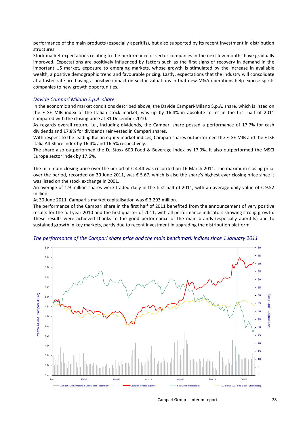performance of the main products (especially aperitifs), but also supported by its recent investment in distribution structures.

Stock market expectations relating to the performance of sector companies in the next few months have gradually improved. Expectations are positively influenced by factors such as the first signs of recovery in demand in the important US market, exposure to emerging markets, whose growth is stimulated by the increase in available wealth, a positive demographic trend and favourable pricing. Lastly, expectations that the industry will consolidate at a faster rate are having a positive impact on sector valuations in that new M&A operations help expose spirits companies to new growth opportunities.

#### *Davide Campari Milano S.p.A. share*

In the economic and market conditions described above, the Davide Campari-Milano S.p.A. share, which is listed on the FTSE MIB index of the Italian stock market, was up by 16.4% in absolute terms in the first half of 2011 compared with the closing price at 31 December 2010.

As regards overall return, i.e., including dividends, the Campari share posted a performance of 17.7% for cash dividends and 17.8% for dividends reinvested in Campari shares.

With respect to the leading Italian equity market indices, Campari shares outperformed the FTSE MIB and the FTSE Italia All-Share index by 16.4% and 16.5% respectively.

The share also outperformed the DJ Stoxx 600 Food & Beverage index by 17.0%. It also outperformed the MSCI Europe sector index by 17.6%.

The minimum closing price over the period of  $\epsilon$  4.44 was recorded on 16 March 2011. The maximum closing price over the period, recorded on 30 June 2011, was € 5.67, which is also the share's highest ever closing price since it was listed on the stock exchange in 2001.

An average of 1.9 million shares were traded daily in the first half of 2011, with an average daily value of € 9.52 million.

At 30 June 2011, Campari's market capitalisation was € 3,293 million.

The performance of the Campari share in the first half of 2011 benefited from the announcement of very positive results for the full year 2010 and the first quarter of 2011, with all performance indicators showing strong growth. These results were achieved thanks to the good performance of the main brands (especially aperitifs) and to sustained growth in key markets, partly due to recent investment in upgrading the distribution platform.

### *The performance of the Campari share price and the main benchmark indices since 1 January 2011*



Campari Group - Interim report 28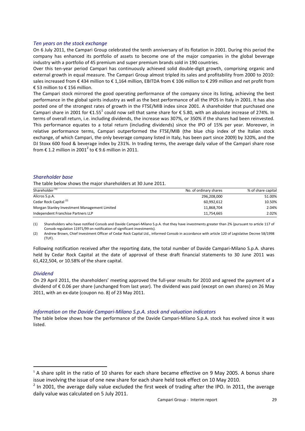### *Ten years on the stock exchange*

On 6 July 2011, the Campari Group celebrated the tenth anniversary of its flotation in 2001. During this period the company has enhanced its portfolio of assets to become one of the major companies in the global beverage industry with a portfolio of 45 premium and super premium brands sold in 190 countries.

Over this ten-year period Campari has continuously achieved solid double-digit growth, comprising organic and external growth in equal measure. The Campari Group almost tripled its sales and profitability from 2000 to 2010: sales increased from € 434 million to € 1,164 million, EBITDA from € 106 million to € 299 million and net profit from € 53 million to € 156 million.

The Campari stock mirrored the good operating performance of the company since its listing, achieving the best performance in the global spirits industry as well as the best performance of all the IPOS in Italy in 2001. It has also posted one of the strongest rates of growth in the FTSE/MIB index since 2001. A shareholder that purchased one Campari share in 2001 for  $\epsilon$ 1.55<sup>1</sup> could now sell that same share for  $\epsilon$  5.80, with an absolute increase of 274%. In terms of overall return, i.e. including dividends, the increase was 307%, or 350% if the shares had been reinvested. This performance equates to a total return (including dividends) since the IPO of 15% per year. Moreover, in relative performance terms, Campari outperformed the FTSE/MIB (the blue chip index of the Italian stock exchange, of which Campari, the only beverage company listed in Italy, has been part since 2009) by 320%, and the DJ Stoxx 600 food & beverage index by 231%. In trading terms, the average daily value of the Campari share rose from  $\boldsymbol{\epsilon}$  1.2 million in 2001 $^2$  to  $\boldsymbol{\epsilon}$  9.6 million in 2011.

## *Shareholder base*

The table below shows the major shareholders at 30 June 2011.

| Shareholder <sup>(1)</sup>                   | No. of ordinary shares | % of share capital |
|----------------------------------------------|------------------------|--------------------|
| Alicros S.p.A.                               | 296,208,000            | 51.00%             |
| Cedar Rock Capital <sup>(2)</sup>            | 60.992.612             | 10.50%             |
| Morgan Stanley Investment Management Limited | 11,868,704             | 2.04%              |
| Independent Franchise Partners LLP           | 11,754,665             | 2.02%              |

(1) Shareholders who have notified Consob and Davide Campari-Milano S.p.A. that they have investments greater than 2% (pursuant to article 117 of Consob regulation 11971/99 on notification of significant investments).

(2) Andrew Brown, Chief Investment Officer of Cedar Rock Capital Ltd., informed Consob in accordance with article 120 of Legislative Decree 58/1998 (TUF).

Following notification received after the reporting date, the total number of Davide Campari-Milano S.p.A. shares held by Cedar Rock Capital at the date of approval of these draft financial statements to 30 June 2011 was 61,422,504, or 10.58% of the share capital.

#### *Dividend*

 $\overline{\phantom{0}}$ 

On 29 April 2011, the shareholders' meeting approved the full-year results for 2010 and agreed the payment of a dividend of € 0.06 per share (unchanged from last year). The dividend was paid (except on own shares) on 26 May 2011, with an ex-date (coupon no. 8) of 23 May 2011.

## *Information on the Davide Campari-Milano S.p.A. stock and valuation indicators*

The table below shows how the performance of the Davide Campari-Milano S.p.A. stock has evolved since it was listed.

 $1$  A share split in the ratio of 10 shares for each share became effective on 9 May 2005. A bonus share issue involving the issue of one new share for each share held took effect on 10 May 2010.

 $2$  In 2001, the average daily value excluded the first week of trading after the IPO. In 2011, the average daily value was calculated on 5 July 2011.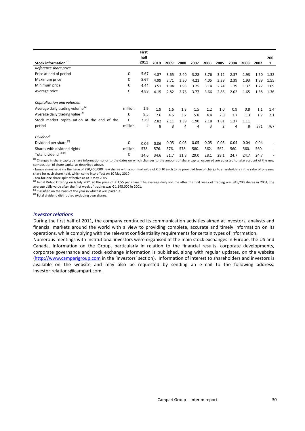|                                                                                                                                                                                                              |         | <b>First</b><br>half |      |      |      |      |      |      |      |      |      | 200  |
|--------------------------------------------------------------------------------------------------------------------------------------------------------------------------------------------------------------|---------|----------------------|------|------|------|------|------|------|------|------|------|------|
| Stock information <sup>(1)</sup>                                                                                                                                                                             |         | 2011                 | 2010 | 2009 | 2008 | 2007 | 2006 | 2005 | 2004 | 2003 | 2002 | 1    |
| Reference share price                                                                                                                                                                                        |         |                      |      |      |      |      |      |      |      |      |      |      |
| Price at end of period                                                                                                                                                                                       | €       | 5.67                 | 4.87 | 3.65 | 2.40 | 3.28 | 3.76 | 3.12 | 2.37 | 1.93 | 1.50 | 1.32 |
| Maximum price                                                                                                                                                                                                | €       | 5.67                 | 4.99 | 3.71 | 3.30 | 4.21 | 4.05 | 3.39 | 2.39 | 1.93 | 1.89 | 1.55 |
| Minimum price                                                                                                                                                                                                | €       | 4.44                 | 3.51 | 1.94 | 1.93 | 3.25 | 3.14 | 2.24 | 1.79 | 1.37 | 1.27 | 1.09 |
| Average price                                                                                                                                                                                                | €       | 4.89                 | 4.15 | 2.82 | 2.78 | 3.77 | 3.66 | 2.86 | 2.02 | 1.65 | 1.58 | 1.36 |
| Capitalisation and volumes                                                                                                                                                                                   |         |                      |      |      |      |      |      |      |      |      |      |      |
| Average daily trading volume <sup>(2)</sup>                                                                                                                                                                  | million | 1.9                  | 1.9  | 1.6  | 1.3  | 1.5  | 1.2  | 1.0  | 0.9  | 0.8  | 1.1  | 1.4  |
| Average daily trading value <sup>(2)</sup>                                                                                                                                                                   | €       | 9.5                  | 7.6  | 4.5  | 3.7  | 5.8  | 4.4  | 2.8  | 1.7  | 1.3  | 1.7  | 2.1  |
| Stock market capitalisation at the end of the                                                                                                                                                                | €       | 3.29                 | 2.82 | 2.11 | 1.39 | 1.90 | 2.18 | 1.81 | 1.37 | 1.11 |      |      |
| period                                                                                                                                                                                                       | million | 3                    | 8    | 8    | 4    | 4    | 3    | 2    | 4    | 8    | 871  | 767  |
| <b>Dividend</b>                                                                                                                                                                                              |         |                      |      |      |      |      |      |      |      |      |      |      |
| Dividend per share <sup>(3)</sup>                                                                                                                                                                            | €       | 0.06                 | 0.06 | 0.05 | 0.05 | 0.05 | 0.05 | 0.05 | 0.04 | 0.04 | 0.04 |      |
| Shares with dividend rights                                                                                                                                                                                  | million | 578.                 | 576. | 576. | 578. | 580. | 562. | 562. | 560. | 560. | 560. |      |
| Total dividend <sup>(3)(4)</sup><br>$^{(1)}$ Changes in share capital: share information prior to the dates on which changes to the amount of share capital occurred are adjusted to take account of the new | €       | 34.6                 | 34.6 | 31.7 | 31.8 | 29.0 | 28.1 | 28.1 | 24.7 | 24.7 | 24.7 |      |

tes on v  $^{(1)}$  Changes in share capital; share information prior to the dates on which changes to the amount of share capital occurred are adjusted to take account of the new composition of share capital as described above.

- bonus share issue via the issue of 290,400,000 new shares with a nominal value of € 0.10 each to be provided free of charge to shareholders in the ratio of one new share for each share held, which came into effect on 10 May 2010

- ten-for-one share split effective as at 9 May 2005

(2) Initial Public Offering on 6 July 2001 at the price of  $\epsilon$  1.55 per share. The average daily volume after the first week of trading was 845,200 shares in 2001; the average daily value after the first week of trading was € 1,145,000 in 2001.<br><sup>(3)</sup> Classified on the basis of the year in which it was paid out.

(4) Total dividend distributed excluding own shares.

#### *Investor relations*

During the first half of 2011, the company continued its communication activities aimed at investors, analysts and financial markets around the world with a view to providing complete, accurate and timely information on its operations, while complying with the relevant confidentiality requirements for certain types of information.

Numerous meetings with institutional investors were organised at the main stock exchanges in Europe, the US and Canada. Information on the Group, particularly in relation to the financial results, corporate developments, corporate governance and stock exchange information is published, along with regular updates, on the website (http://www.camparigroup.com in the 'Investors' section). Information of interest to shareholders and investors is available on the website and may also be requested by sending an e-mail to the following address: investor.relations@campari.com.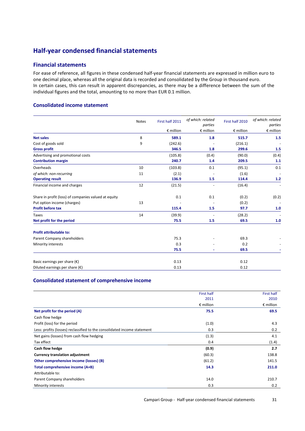## **Half-year condensed financial statements**

## **Financial statements**

For ease of reference, all figures in these condensed half-year financial statements are expressed in million euro to one decimal place, whereas all the original data is recorded and consolidated by the Group in thousand euro. In certain cases, this can result in apparent discrepancies, as there may be a difference between the sum of the individual figures and the total, amounting to no more than EUR 0.1 million.

## **Consolidated income statement**

|                                                      | <b>Notes</b> | First half 2011    | of which: related<br>parties | First half 2010    | of which: related<br>parties |
|------------------------------------------------------|--------------|--------------------|------------------------------|--------------------|------------------------------|
|                                                      |              | $\epsilon$ million | $E$ million                  | $\epsilon$ million | € million                    |
| <b>Net sales</b>                                     | 8            | 589.1              | 1.8                          | 515.7              | 1.5                          |
| Cost of goods sold                                   | 9            | (242.6)            |                              | (216.1)            |                              |
| <b>Gross profit</b>                                  |              | 346.5              | 1.8                          | 299.6              | 1.5                          |
| Advertising and promotional costs                    |              | (105.8)            | (0.4)                        | (90.0)             | (0.4)                        |
| <b>Contribution margin</b>                           |              | 240.7              | 1.4                          | 209.5              | 1.1                          |
| Overheads                                            | 10           | (103.8)            | 0.1                          | (95.1)             | 0.1                          |
| of which: non-recurring                              | 11           | (2.1)              |                              | (1.6)              |                              |
| <b>Operating result</b>                              |              | 136.9              | 1.5                          | 114.4              | $1.2$                        |
| Financial income and charges                         | 12           | (21.5)             |                              | (16.4)             |                              |
| Share in profit (loss) of companies valued at equity |              | 0.1                | 0.1                          | (0.2)              | (0.2)                        |
| Put option income (charges)                          | 13           |                    |                              | (0.2)              |                              |
| <b>Profit before tax</b>                             |              | 115.4              | 1.5                          | 97.7               | 1.0                          |
| <b>Taxes</b>                                         | 14           | (39.9)             |                              | (28.2)             |                              |
| Net profit for the period                            |              | 75.5               | 1.5                          | 69.5               | 1.0                          |
| Profit attributable to:                              |              |                    |                              |                    |                              |
| Parent Company shareholders                          |              | 75.3               |                              | 69.3               |                              |
| Minority interests                                   |              | 0.3                |                              | 0.2                |                              |
|                                                      |              | 75.5               |                              | 69.5               |                              |
| Basic earnings per share $(\epsilon)$                |              | 0.13               |                              | 0.12               |                              |
| Diluted earnings per share $(\epsilon)$              |              | 0.13               |                              | 0.12               |                              |

## **Consolidated statement of comprehensive income**

|                                                                          | First half         | <b>First half</b>  |
|--------------------------------------------------------------------------|--------------------|--------------------|
|                                                                          | 2011               | 2010               |
|                                                                          | $\epsilon$ million | $\epsilon$ million |
| Net profit for the period (A)                                            | 75.5               | 69.5               |
| Cash flow hedge                                                          |                    |                    |
| Profit (loss) for the period                                             | (1.0)              | 4.3                |
| Less: profits (losses) reclassified to the consolidated income statement | 0.3                | 0.2                |
| Net gains (losses) from cash flow hedging                                | (1.3)              | 4.1                |
| Tax effect                                                               | 0.4                | (1.4)              |
| Cash flow hedge                                                          | (0.9)              | 2.7                |
| <b>Currency translation adjustment</b>                                   | (60.3)             | 138.8              |
| Other comprehensive income (losses) (B)                                  | (61.2)             | 141.5              |
| Total comprehensive income (A+B)                                         | 14.3               | 211.0              |
| Attributable to:                                                         |                    |                    |
| Parent Company shareholders                                              | 14.0               | 210.7              |
| Minority interests                                                       | 0.3                | 0.2                |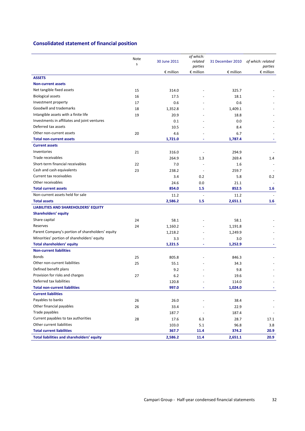## **Consolidated statement of financial position**

|                                                  |                 |                    | of which:                |                    |                    |
|--------------------------------------------------|-----------------|--------------------|--------------------------|--------------------|--------------------|
|                                                  | Note<br>$\sf S$ | 30 June 2011       | related                  | 31 December 2010   | of which: related  |
|                                                  |                 |                    | parties                  |                    | parties            |
|                                                  |                 | $\epsilon$ million | $E$ million              | $\epsilon$ million | $\epsilon$ million |
| <b>ASSETS</b>                                    |                 |                    |                          |                    |                    |
| <b>Non-current assets</b>                        |                 |                    |                          |                    |                    |
| Net tangible fixed assets                        | 15              | 314.0              |                          | 325.7              |                    |
| <b>Biological assets</b>                         | 16              | 17.5               |                          | 18.1               |                    |
| Investment property                              | 17              | 0.6                |                          | 0.6                |                    |
| Goodwill and trademarks                          | 18              | 1,352.8            |                          | 1,409.1            |                    |
| Intangible assets with a finite life             | 19              | 20.9               |                          | 18.8               |                    |
| Investments in affiliates and joint ventures     |                 | 0.1                |                          | 0.0                |                    |
| Deferred tax assets                              |                 | 10.5               |                          | 8.4                |                    |
| Other non-current assets                         | 20              | 4.6                |                          | 6.7                |                    |
| <b>Total non-current assets</b>                  |                 | 1,721.0            |                          | 1,787.4            |                    |
| <b>Current assets</b>                            |                 |                    |                          |                    |                    |
| Inventories                                      | 21              | 316.0              | $\overline{\phantom{a}}$ | 294.9              |                    |
| Trade receivables                                |                 | 264.9              | 1.3                      | 269.4              | 1.4                |
| Short-term financial receivables                 | 22              | 7.0                |                          | 1.6                |                    |
| Cash and cash equivalents                        | 23              | 238.2              |                          | 259.7              |                    |
| Current tax receivables                          |                 | 3.4                | 0.2                      | 5.8                | 0.2                |
| Other receivables                                |                 | 24.6               | 0.0                      | 21.1               |                    |
| <b>Total current assets</b>                      |                 | 854.0              | 1.5                      | 852.5              | 1.6                |
| Non-current assets held for sale                 |                 | 11.2               |                          | 11.2               |                    |
| <b>Total assets</b>                              |                 | 2,586.2            | 1.5                      | 2,651.1            | 1.6                |
| LIABILITIES AND SHAREHOLDERS' EQUITY             |                 |                    |                          |                    |                    |
| <b>Shareholders' equity</b>                      |                 |                    |                          |                    |                    |
| Share capital                                    | 24              | 58.1               |                          | 58.1               |                    |
| Reserves                                         | 24              | 1,160.2            |                          | 1,191.8            |                    |
| Parent Company's portion of shareholders' equity |                 | 1,218.2            |                          | 1,249.9            |                    |
| Minorities' portion of shareholders' equity      |                 | 3.3                |                          | 3.0                |                    |
| <b>Total shareholders' equity</b>                |                 | 1,221.5            | $\overline{\phantom{a}}$ | 1,252.9            |                    |
| <b>Non-current liabilities</b>                   |                 |                    |                          |                    |                    |
| <b>Bonds</b>                                     | 25              | 805.8              |                          | 846.3              |                    |
| Other non-current liabilities                    | 25              | 55.1               |                          | 34.3               |                    |
| Defined benefit plans                            |                 | 9.2                |                          | 9.8                |                    |
| Provision for risks and charges                  | 27              | 6.2                |                          | 19.6               |                    |
| Deferred tax liabilities                         |                 | 120.8              |                          | 114.0              |                    |
| <b>Total non-current liabilities</b>             |                 | 997.0              |                          | 1,024.0            |                    |
| <b>Current liabilities</b>                       |                 |                    |                          |                    |                    |
| Payables to banks                                | 26              | 26.0               |                          | 38.4               |                    |
| Other financial payables                         | 26              | 33.4               |                          | 22.9               |                    |
| Trade payables                                   |                 | 187.7              |                          | 187.4              |                    |
| Current payables to tax authorities              | 28              | 17.6               | 6.3                      | 28.7               | 17.1               |
| Other current liabilities                        |                 | 103.0              | 5.1                      | 96.8               | 3.8                |
| <b>Total current liabilities</b>                 |                 | 367.7              | 11.4                     | 374.2              | 20.9               |
| Total liabilities and shareholders' equity       |                 | 2,586.2            | 11.4                     | 2,651.1            | 20.9               |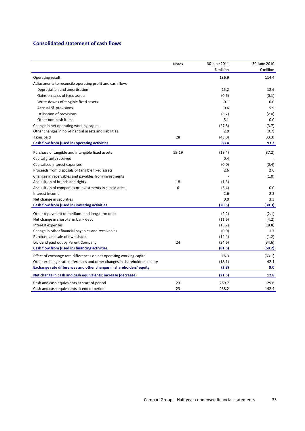## **Consolidated statement of cash flows**

|                                                                           | Notes     | 30 June 2011       | 30 June 2010       |
|---------------------------------------------------------------------------|-----------|--------------------|--------------------|
|                                                                           |           | $\epsilon$ million | $\epsilon$ million |
| Operating result                                                          |           | 136.9              | 114.4              |
| Adjustments to reconcile operating profit and cash flow:                  |           |                    |                    |
| Depreciation and amortisation                                             |           | 15.2               | 12.6               |
| Gains on sales of fixed assets                                            |           | (0.6)              | (0.1)              |
| Write-downs of tangible fixed assets                                      |           | 0.1                | 0.0                |
| Accrual of provisions                                                     |           | 0.6                | 5.9                |
| Utilisation of provisions                                                 |           | (5.2)              | (2.0)              |
| Other non-cash items                                                      |           | 5.1                | 0.0                |
| Change in net operating working capital                                   |           | (27.8)             | (3.7)              |
| Other changes in non-financial assets and liabilities                     |           | 2.0                | (0.7)              |
| Taxes paid                                                                | 28        | (43.0)             | (33.3)             |
| Cash flow from (used in) operating activities                             |           | 83.4               | 93.2               |
| Purchase of tangible and intangible fixed assets                          | $15 - 19$ | (18.4)             | (37.2)             |
| Capital grants received                                                   |           | 0.4                |                    |
| Capitalised interest expenses                                             |           | (0.0)              | (0.4)              |
| Proceeds from disposals of tangible fixed assets                          |           | 2.6                | 2.6                |
| Changes in receivables and payables from investments                      |           |                    | (1.0)              |
| Acquisition of brands and rights                                          | 18        | (1.3)              |                    |
| Acquisition of companies or investments in subsidiaries                   | 6         | (6.4)              | 0.0                |
| Interest income                                                           |           | 2.6                | 2.3                |
| Net change in securities                                                  |           | 0.0                | 3.3                |
| Cash flow from (used in) investing activities                             |           | (20.5)             | (30.3)             |
| Other repayment of medium- and long-term debt                             |           | (2.2)              | (2.1)              |
| Net change in short-term bank debt                                        |           | (11.6)             | (4.2)              |
| Interest expenses                                                         |           | (18.7)             | (18.8)             |
| Change in other financial payables and receivables                        |           | (0.0)              | 1.7                |
| Purchase and sale of own shares                                           |           | (14.4)             | (1.2)              |
| Dividend paid out by Parent Company                                       | 24        | (34.6)             | (34.6)             |
| Cash flow from (used in) financing activities                             |           | (81.5)             | (59.2)             |
| Effect of exchange rate differences on net operating working capital      |           | 15.3               | (33.1)             |
| Other exchange rate differences and other changes in shareholders' equity |           | (18.1)             | 42.1               |
| Exchange rate differences and other changes in shareholders' equity       |           | (2.8)              | 9.0                |
| Net change in cash and cash equivalents: increase (decrease)              |           | (21.5)             | 12.8               |
| Cash and cash equivalents at start of period                              | 23        | 259.7              | 129.6              |
| Cash and cash equivalents at end of period                                | 23        | 238.2              | 142.4              |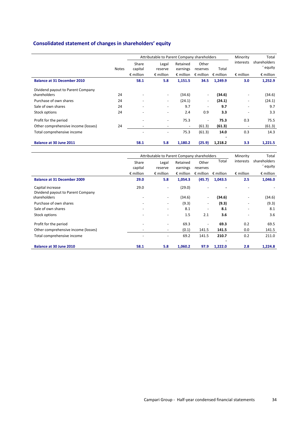## **Consolidated statement of changes in shareholders' equity**

|                                     |              |                              | Attributable to Parent Company shareholders | Minority                 | Total                    |                    |                          |                    |
|-------------------------------------|--------------|------------------------------|---------------------------------------------|--------------------------|--------------------------|--------------------|--------------------------|--------------------|
|                                     |              | Share                        | Legal                                       | Retained                 | Other                    |                    | interests                | shareholders       |
|                                     | <b>Notes</b> | capital                      | reserve                                     | earnings                 | reserves                 | Total              |                          | ' equity           |
|                                     |              | $\epsilon$ million           | $\epsilon$ million                          | $\epsilon$ million       | $\epsilon$ million       | $\epsilon$ million | $\epsilon$ million       | $\epsilon$ million |
| <b>Balance at 31 December 2010</b>  |              | 58.1                         | 5.8                                         | 1,151.5                  | 34.5                     | 1.249.9            | 3.0                      | 1,252.9            |
| Dividend payout to Parent Company   |              |                              |                                             |                          |                          |                    |                          |                    |
| shareholders                        | 24           |                              | $\overline{\phantom{a}}$                    | (34.6)                   | $\overline{\phantom{a}}$ | (34.6)             | $\overline{\phantom{a}}$ | (34.6)             |
| Purchase of own shares              | 24           |                              | $\overline{\phantom{a}}$                    | (24.1)                   | $\overline{\phantom{a}}$ | (24.1)             | $\overline{\phantom{a}}$ | (24.1)             |
| Sale of own shares                  | 24           | $\qquad \qquad \blacksquare$ | $\overline{\phantom{a}}$                    | 9.7                      | $\overline{\phantom{a}}$ | 9.7                | $\overline{\phantom{a}}$ | 9.7                |
| Stock options                       | 24           | $\overline{\phantom{a}}$     | $\overline{\phantom{a}}$                    | 2.4                      | 0.9                      | 3.3                | $\overline{\phantom{a}}$ | 3.3                |
| Profit for the period               |              |                              | $\overline{\phantom{a}}$                    | 75.3                     | $\overline{\phantom{a}}$ | 75.3               | 0.3                      | 75.5               |
| Other comprehensive income (losses) | 24           | $\overline{\phantom{0}}$     | $\overline{\phantom{a}}$                    | $\overline{\phantom{a}}$ | (61.3)                   | (61.3)             | $\overline{\phantom{a}}$ | (61.3)             |
| Total comprehensive income          |              |                              |                                             | 75.3                     | (61.3)                   | 14.0               | 0.3                      | 14.3               |
| Balance at 30 June 2011             |              | 58.1                         | 5.8                                         | 1,180.2                  | (25.9)                   | 1,218.2            | 3.3                      | 1,221.5            |

|                                     | Attributable to Parent Company shareholders | Minority                 | Total              |                          |                    |                          |                    |
|-------------------------------------|---------------------------------------------|--------------------------|--------------------|--------------------------|--------------------|--------------------------|--------------------|
|                                     | Share                                       | Legal                    | Retained           | Other                    | Total              | interests                | shareholders       |
|                                     | capital                                     | reserve                  | earnings           | reserves                 |                    |                          | ' equity           |
|                                     | $\epsilon$ million                          | $\epsilon$ million       | $\epsilon$ million | $\epsilon$ million       | $\epsilon$ million | $\epsilon$ million       | $\epsilon$ million |
| <b>Balance at 31 December 2009</b>  | 29.0                                        | 5.8                      | 1,054.3            | (45.7)                   | 1,043.5            | 2.5                      | 1,046.0            |
| Capital increase                    | 29.0                                        | $\overline{\phantom{a}}$ | (29.0)             |                          |                    |                          |                    |
| Dividend payout to Parent Company   |                                             |                          |                    |                          |                    |                          |                    |
| shareholders                        | -                                           | $\overline{\phantom{a}}$ | (34.6)             | $\overline{\phantom{a}}$ | (34.6)             |                          | (34.6)             |
| Purchase of own shares              | $\overline{\phantom{a}}$                    | -                        | (9.3)              | $\overline{\phantom{a}}$ | (9.3)              | $\overline{\phantom{0}}$ | (9.3)              |
| Sale of own shares                  |                                             | -                        | 8.1                | $\overline{\phantom{a}}$ | 8.1                |                          | 8.1                |
| Stock options                       | $\qquad \qquad \blacksquare$                | ٠                        | 1.5                | 2.1                      | 3.6                | $\overline{\phantom{a}}$ | 3.6                |
| Profit for the period               |                                             | ٠                        | 69.3               | $\overline{\phantom{a}}$ | 69.3               | 0.2                      | 69.5               |
| Other comprehensive income (losses) | -                                           | $\overline{\phantom{a}}$ | (0.1)              | 141.5                    | 141.5              | 0.0                      | 141.5              |
| Total comprehensive income          |                                             | ٠                        | 69.2               | 141.5                    | 210.7              | 0.2                      | 211.0              |
| Balance at 30 June 2010             | 58.1                                        | 5.8                      | 1,060.2            | 97.9                     | 1,222.0            | 2.8                      | 1,224.8            |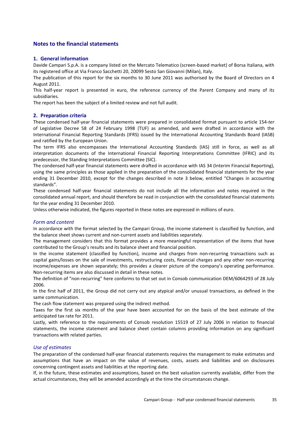## **Notes to the financial statements**

## **1. General information**

Davide Campari S.p.A. is a company listed on the Mercato Telematico (screen-based market) of Borsa Italiana, with its registered office at Via Franco Sacchetti 20, 20099 Sesto San Giovanni (Milan), Italy.

The publication of this report for the six months to 30 June 2011 was authorised by the Board of Directors on 4 August 2011.

This half-year report is presented in euro, the reference currency of the Parent Company and many of its subsidiaries.

The report has been the subject of a limited review and not full audit.

#### **2. Preparation criteria**

These condensed half-year financial statements were prepared in consolidated format pursuant to article 154-*ter* of Legislative Decree 58 of 24 February 1998 (TUF) as amended, and were drafted in accordance with the International Financial Reporting Standards (IFRS) issued by the International Accounting Standards Board (IASB) and ratified by the European Union.

The term IFRS also encompasses the International Accounting Standards (IAS) still in force, as well as all interpretation documents of the International Financial Reporting Interpretations Committee (IFRIC) and its predecessor, the Standing Interpretations Committee (SIC).

The condensed half-year financial statements were drafted in accordance with IAS 34 (Interim Financial Reporting), using the same principles as those applied in the preparation of the consolidated financial statements for the year ending 31 December 2010, except for the changes described in note 3 below, entitled "Changes in accounting standards".

These condensed half-year financial statements do not include all the information and notes required in the consolidated annual report, and should therefore be read in conjunction with the consolidated financial statements for the year ending 31 December 2010.

Unless otherwise indicated, the figures reported in these notes are expressed in millions of euro.

#### *Form and content*

In accordance with the format selected by the Campari Group, the income statement is classified by function, and the balance sheet shows current and non-current assets and liabilities separately.

The management considers that this format provides a more meaningful representation of the items that have contributed to the Group's results and its balance sheet and financial position.

In the income statement (classified by function), income and charges from non-recurring transactions such as capital gains/losses on the sale of investments, restructuring costs, financial charges and any other non-recurring income/expenses are shown separately; this provides a clearer picture of the company's operating performance. Non-recurring items are also discussed in detail in these notes.

The definition of "non-recurring" here conforms to that set out in Consob communication DEM/6064293 of 28 July 2006.

In the first half of 2011, the Group did not carry out any atypical and/or unusual transactions, as defined in the same communication.

The cash flow statement was prepared using the indirect method.

Taxes for the first six months of the year have been accounted for on the basis of the best estimate of the anticipated tax rate for 2011.

Lastly, with reference to the requirements of Consob resolution 15519 of 27 July 2006 in relation to financial statements, the income statement and balance sheet contain columns providing information on any significant transactions with related parties.

#### *Use of estimates*

The preparation of the condensed half-year financial statements requires the management to make estimates and assumptions that have an impact on the value of revenues, costs, assets and liabilities and on disclosures concerning contingent assets and liabilities at the reporting date.

If, in the future, these estimates and assumptions, based on the best valuation currently available, differ from the actual circumstances, they will be amended accordingly at the time the circumstances change.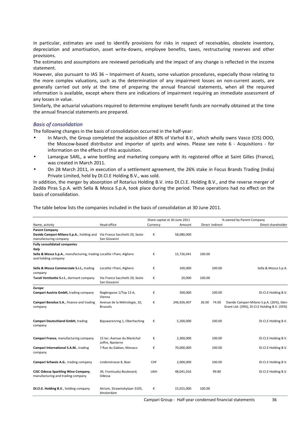In particular, estimates are used to identify provisions for risks in respect of receivables, obsolete inventory, depreciation and amortisation, asset write-downs, employee benefits, taxes, restructuring reserves and other provisions.

The estimates and assumptions are reviewed periodically and the impact of any change is reflected in the income statement.

However, also pursuant to IAS 36 – Impairment of Assets, some valuation procedures, especially those relating to the more complex valuations, such as the determination of any impairment losses on non-current assets, are generally carried out only at the time of preparing the annual financial statements, when all the required information is available, except where there are indications of impairment requiring an immediate assessment of any losses in value.

Similarly, the actuarial valuations required to determine employee benefit funds are normally obtained at the time the annual financial statements are prepared.

#### *Basis of consolidation*

The following changes in the basis of consolidation occurred in the half-year:

- In March, the Group completed the acquisition of 80% of Varhol B.V., which wholly owns Vasco (CIS) OOO, the Moscow-based distributor and importer of spirits and wines. Please see note 6 - Acquisitions - for information on the effects of this acquisition.
- Lamargue SARL, a wine bottling and marketing company with its registered office at Saint Gilles (France), was created in March 2011.
- On 28 March 2011, in execution of a settlement agreement, the 26% stake in Focus Brands Trading (India) Private Limited, held by DI.CI.E Holding B.V., was sold.

In addition, the merger by absorption of Rotarius Holding B.V. into DI.CI.E. Holding B.V., and the reverse merger of Zedda Piras S.p.A. with Sella & Mosca S.p.A, took place during the period. These operations had no effect on the basis of consolidation.

The table below lists the companies included in the basis of consolidation at 30 June 2011.

|                                                                                               |                                                |            | Share capital at 30 June 2011 |                 | % owned by Parent Company                    |
|-----------------------------------------------------------------------------------------------|------------------------------------------------|------------|-------------------------------|-----------------|----------------------------------------------|
| Name, activity                                                                                | Head office                                    | Currency   | Amount                        | Direct Indirect | Direct shareholder                           |
| <b>Parent Company</b>                                                                         |                                                |            |                               |                 |                                              |
| Davide Campari-Milano S.p.A., holding and                                                     | Via Franco Sacchetti 20, Sesto                 | €          | 58,080,000                    |                 |                                              |
| manufacturing company                                                                         | San Giovanni                                   |            |                               |                 |                                              |
| <b>Fully consolidated companies</b>                                                           |                                                |            |                               |                 |                                              |
| Italy                                                                                         |                                                |            |                               |                 |                                              |
| Sella & Mosca S.p.A., manufacturing, trading Località I Piani, Alghero<br>and holding company |                                                | €          | 15,726,041                    | 100.00          |                                              |
| Sella & Mosca Commerciale S.r.l., trading                                                     | Località I Piani, Alghero                      | €          | 100,000                       | 100.00          | Sella & Mosca S.p.A.                         |
| company                                                                                       |                                                |            |                               |                 |                                              |
| Turati Ventisette S.r.l., dormant company                                                     | Via Franco Sacchetti 20, Sesto<br>San Giovanni | €          | 20,000                        | 100.00          |                                              |
| <b>Europe</b>                                                                                 |                                                |            |                               |                 |                                              |
| Campari Austria GmbH, trading company                                                         | Naglergasse 1/Top 13 A,<br>Vienna              | €          | 500,000                       | 100.00          | DI.CI.E Holding B.V.                         |
| Campari Benelux S.A., finance and trading                                                     | Avenue de la Métrologie, 10,                   | €          | 246,926,407                   | 26.00<br>74.00  | Davide Campari-Milano S.p.A. (26%), Glen     |
| company                                                                                       | <b>Brussels</b>                                |            |                               |                 | Grant Ltd. (39%), DI.CI.E Holding B.V. (35%) |
| Campari Deutschland GmbH, trading<br>company                                                  | Bajuwarenring 1, Oberhaching                   | €          | 5,200,000                     | 100.00          | DI.CI.E Holding B.V.                         |
| Campari France, manufacturing company                                                         | 15 ter, Avenue du Maréchal                     | €          | 2,300,000                     | 100.00          | DI.CI.E Holding B.V.                         |
|                                                                                               | Joffre, Nanterre                               |            |                               |                 |                                              |
| Campari International S.A.M., trading<br>company                                              | 7 Rue du Gabian, Monaco                        | €          | 70,000,000                    | 100.00          | DI.CI.E Holding B.V.                         |
| Campari Schweiz A.G., trading company                                                         | Lindenstrasse 8, Baar                          | <b>CHF</b> | 2,000,000                     | 100.00          | DI.CI.E Holding B.V.                         |
| CJSC Odessa Sparkling Wine Company,<br>manufacturing and trading company                      | 36, Frantsuzky Boulevard,<br>Odessa            | <b>UAH</b> | 48,041,016                    | 99.80           | DI.CI.E Holding B.V.                         |
| DI.CI.E. Holding B.V., holding company                                                        | Atrium, Strawinskylaan 3105,<br>Amsterdam      | €          | 15,015,000                    | 100.00          |                                              |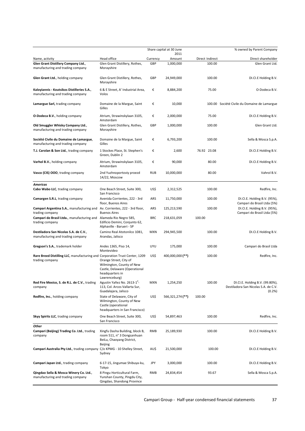|                                                                                                |                                                                                                                          |            | Share capital at 30 June |                 | % owned by Parent Company                                                         |
|------------------------------------------------------------------------------------------------|--------------------------------------------------------------------------------------------------------------------------|------------|--------------------------|-----------------|-----------------------------------------------------------------------------------|
| Name, activity                                                                                 | Head office                                                                                                              | Currency   | 2011<br>Amount           | Direct Indirect | Direct shareholder                                                                |
| Glen Grant Distillery Company Ltd.,                                                            | Glen Grant Distillery, Rothes,                                                                                           | GBP        | 1,000,000                | 100.00          | Glen Grant Ltd.                                                                   |
| manufacturing and trading company                                                              | Morayshire                                                                                                               |            |                          |                 |                                                                                   |
| Glen Grant Ltd., holding company                                                               | Glen Grant Distillery, Rothes,<br>Morayshire                                                                             | GBP        | 24,949,000               | 100.00          | DI.CI.E Holding B.V.                                                              |
| Kaloyiannis - Koutsikos Distilleries S.A.,<br>manufacturing and trading company                | 6 & E Street, A' Industrial Area,<br>Volos                                                                               | €          | 8,884,200                | 75.00           | O-Dodeca B.V.                                                                     |
| Lamargue Sarl, trading company                                                                 | Domaine de la Margue, Saint<br>Gilles                                                                                    | €          | 10,000                   |                 | 100.00 Société Civile du Domaine de Lamargue                                      |
| <b>O-Dodeca B.V., holding company</b>                                                          | Atrium, Strawinskylaan 3105,<br>Amsterdam                                                                                | €          | 2,000,000                | 75.00           | DI.CI.E Holding B.V.                                                              |
| Old Smuggler Whisky Company Ltd.,<br>manufacturing and trading company                         | Glen Grant Distillery, Rothes,<br>Morayshire                                                                             | GBP        | 1,000,000                | 100.00          | Glen Grant Ltd.                                                                   |
| Société Civile du Domaine de Lamargue,<br>manufacturing and trading company                    | Domaine de la Margue, Saint<br>Gilles                                                                                    | €          | 6,793,200                | 100.00          | Sella & Mosca S.p.A.                                                              |
| T.J. Carolan & Son Ltd., trading company                                                       | 1 Stockes Place, St. Stephen's<br>Green, Dublin 2                                                                        | €          | 2,600                    | 76.92 23.08     | DI.CI.E Holding B.V.                                                              |
| Varhol B.V., holding company                                                                   | Atrium, Strawinskylaan 3105,<br>Amsterdam                                                                                | €          | 90,000                   | 80.00           | DI.CI.E Holding B.V.                                                              |
| Vasco (CIS) OOO, trading company                                                               | 2nd Yuzhnoportoviy proezd<br>14/22, Moscow                                                                               | <b>RUB</b> | 10,000,000               | 80.00           | Vahrol B.V.                                                                       |
| <b>Americas</b>                                                                                |                                                                                                                          |            |                          |                 |                                                                                   |
| Cabo Wabo LLC, trading company                                                                 | One Beach Street, Suite 300,<br>San Francisco                                                                            | US\$       | 2,312,525                | 100.00          | Redfire, Inc.                                                                     |
| Camargen S.R.L, trading company                                                                | Avenida Corrientes, 222 - 3rd<br>floor, Buenos Aires                                                                     | ARS        | 11,750,000               | 100.00          | DI.CI.E. Holding B.V. (95%),<br>Campari do Brasil Ltda (5%)                       |
| Campari Argentina S.A., manufacturing and<br>trading company                                   | Av. Corrientes, 222 - 3rd floor,<br><b>Buenos Aires</b>                                                                  | ARS        | 125,213,590              | 100.00          | DI.CI.E. Holding B.V. (95%),<br>Campari do Brasil Ltda (5%)                       |
| Campari do Brasil Ltda., manufacturing and<br>trading company                                  | Alameda Rio Negro 585,<br>Edificio Demini, Conjunto 62,<br>Alphaville - Barueri - SP                                     | <b>BRC</b> | 218,631,059              | 100.00          |                                                                                   |
| Destiladora San Nicolas S.A. de C.V.,<br>manufacturing and trading company                     | Camino Real Atotonilco 1081,<br>Arandas, Jalisco                                                                         | <b>MXN</b> | 294,945,500              | 100.00          | DI.CI.E Holding B.V.                                                              |
| Gregson's S.A., trademark holder                                                               | Andes 1365, Piso 14,<br>Montevideo                                                                                       | UYU        | 175,000                  | 100.00          | Campari do Brasil Ltda                                                            |
| Rare Breed Distilling LLC, manufacturing and Corporation Trust Center, 1209<br>trading company | Orange Street, City of<br>Wilmington, County of New<br>Castle, Delaware (Operational<br>headquarters in<br>Lawrenceburg) | US\$       | 400,000,000 (**)         | 100.00          | Redfire, Inc.                                                                     |
| Red Fire Mexico, S. de R.L. de C.V., trading<br>company                                        | Agustin Yañez No. 2613-1 <sup>ª</sup> -<br>113, Col. Arcos Vallarta Sur,<br>Guadalajara, Jalisco                         | MXN        | 1,254,250                | 100.00          | DI.CI.E. Holding B.V. (99.80%),<br>Destiladora San Nicolas S.A. de C.V.<br>(0.2%) |
| Redfire, Inc., holding company                                                                 | State of Delaware, City of<br>Wilmington, County of New<br>Castle (operational<br>headquarters in San Francisco)         | US\$       | 566,321,274 (**)         | 100.00          |                                                                                   |
| Skyy Spirits LLC, trading company                                                              | One Beach Street, Suite 300,<br>San Francisco                                                                            | US\$       | 54,897,463               | 100.00          | Redfire, Inc.                                                                     |
| Other<br>Campari (Beijing) Trading Co. Ltd., trading<br>company                                | Xingfu Dasha Building, block B,<br>room 511, n° 3 Dongsanhuan<br>BeiLu, Chaoyang District,<br><b>Beijing</b>             | RMB        | 25,189,930               | 100.00          | DI.CI.E Holding B.V.                                                              |
| Campari Australia Pty Ltd., trading company                                                    | C/o KPMG - 10 Shelley Street,<br>Sydney                                                                                  | AU\$       | 21,500,000               | 100.00          | DI.CI.E Holding B.V.                                                              |
| Campari Japan Ltd., trading company                                                            | 6-17-15, Jingumae Shibuya-ku,<br>Tokyo                                                                                   | JPY        | 3,000,000                | 100.00          | DI.CI.E Holding B.V.                                                              |
| Qingdao Sella & Mosca Winery Co. Ltd.,<br>manufacturing and trading company                    | 8 Pingu Horticultural Farm,<br>Yunshan County, Pingdu City,<br>Qingdao, Shandong Province                                | <b>RMB</b> | 24,834,454               | 93.67           | Sella & Mosca S.p.A.                                                              |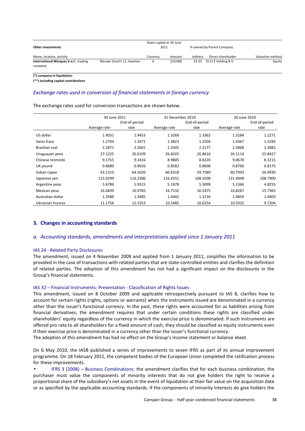| Other investments                                |                           | Share capital at 30 June<br>2011 |         |          | % owned by Parent Company |                  |  |
|--------------------------------------------------|---------------------------|----------------------------------|---------|----------|---------------------------|------------------|--|
| Name, location, activity                         |                           | Currencv                         | Amount  | Indirect | Direct shareholder        | Valuation method |  |
| International Marques V.o.f., trading<br>company | Nieuwe Gracht 11, Haarlem |                                  | 210.000 | 33.33    | DI.CI.E Holding B.V.      | Equity           |  |

**(\*) company in liquidation**

**(\*\*) including capital contributions**

## *Exchange rates used in conversion of financial statements in foreign currency*

The exchange rates used for conversion transactions are shown below.

|                   | 30 June 2011 |               | 31 December 2010 |               | 30 June 2010  |          |  |
|-------------------|--------------|---------------|------------------|---------------|---------------|----------|--|
|                   |              | End-of-period |                  | End-of-period | End-of-period |          |  |
|                   | Average rate | rate          | Average rate     | rate          | Average rate  | rate     |  |
| US dollar         | 1.4031       | 1.4453        | 1.3268           | 1.3362        | 1.3284        | 1.2271   |  |
| Swiss franc       | 1.2704       | 1.2071        | 1.3823           | 1.2504        | 1.4367        | 1.3283   |  |
| Brazilian real    | 2.2871       | 2.2601        | 2.3345           | 2.2177        | 2.3868        | 2.2082   |  |
| Uruguayan peso    | 27.1225      | 26.6109       | 26.6025          | 26.8616       | 26.1114       | 25.8427  |  |
| Chinese renminbi  | 9.1755       | 9.3416        | 8.9805           | 8.8220        | 9.0678        | 8.3215   |  |
| UK pound          | 0.8680       | 0.9026        | 0.8582           | 0.8608        | 0.8700        | 0.8175   |  |
| Indian rupee      | 63.1315      | 64.5620       | 60.6318          | 59.7580       | 60.7993       | 56.9930  |  |
| Japanese yen      | 115.0299     | 116.2500      | 116.4551         | 108.6500      | 121.4948      | 108.7900 |  |
| Argentine peso    | 5.6786       | 5.9315        | 5.1878           | 5.3099        | 5.1366        | 4.8255   |  |
| Mexican peso      | 16.6839      | 16.9765       | 16.7532          | 16.5475       | 16.8287       | 15.7363  |  |
| Australian dollar | 1.3580       | 1.3485        | 1.4442           | 1.3136        | 1.4859        | 1.4403   |  |
| Ukrainian hryvnia | 11.1756      | 11.5353       | 10.5485          | 10.6254       | 10.5925       | 9.7204   |  |

#### **3. Changes in accounting standards**

#### *a. Accounting standards, amendments and interpretations applied since 1 January 2011*

#### IAS 24 - Related Party Disclosures

The amendment, issued on 4 November 2009 and applied from 1 January 2011, simplifies the information to be provided in the case of transactions with related parties that are state-controlled entities and clarifies the definition of related parties. The adoption of this amendment has not had a significant impact on the disclosures in the Group's financial statements.

#### IAS 32 – Financial Instruments: Presentation - Classification of Rights Issues

This amendment, issued on 8 October 2009 and applicable retrospectively pursuant to IAS 8, clarifies how to account for certain rights (rights, options or warrants) when the instruments issued are denominated in a currency other than the issuer's functional currency. In the past, these rights were accounted for as liabilities arising from financial derivatives; the amendment requires that under certain conditions these rights are classified under shareholders' equity regardless of the currency in which the exercise price is denominated. If such instruments are offered pro rata to all shareholders for a fixed amount of cash, they should be classified as equity instruments even if their exercise price is denominated in a currency other than the issuer's functional currency.

The adoption of this amendment has had no effect on the Group's income statement or balance sheet.

On 6 May 2010, the IASB published a series of improvements to seven IFRS as part of its annual improvement programme. On 18 February 2011, the competent bodies of the European Union completed the ratification process for these improvements.

• IFRS 3 (2008) – Business Combinations: the amendment clarifies that for each business combination, the purchaser must value the components of minority interests that do not give holders the right to receive a proportional share of the subsidiary's net assets in the event of liquidation at their fair value on the acquisition date or as specified by the applicable accounting standards. If the components of minority interests do give holders the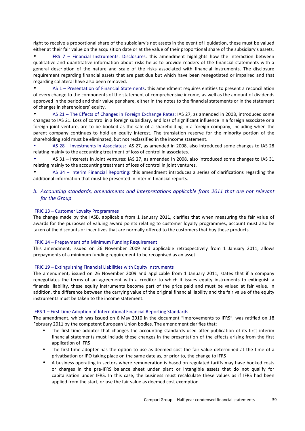right to receive a proportional share of the subsidiary's net assets in the event of liquidation, these must be valued either at their fair value on the acquisition date or at the value of their proportional share of the subsidiary's assets.

• IFRS 7 – Financial Instruments: Disclosures: this amendment highlights how the interaction between qualitative and quantitative information about risks helps to provide readers of the financial statements with a general description of the nature and scale of the risks associated with financial instruments. The disclosure requirement regarding financial assets that are past due but which have been renegotiated or impaired and that regarding collateral have also been removed.

• IAS 1 – Presentation of Financial Statements: this amendment requires entities to present a reconciliation of every change to the components of the statement of comprehensive income, as well as the amount of dividends approved in the period and their value per share, either in the notes to the financial statements or in the statement of changes in shareholders' equity.

• IAS 21 – The Effects of Changes in Foreign Exchange Rates: IAS 27, as amended in 2008, introduced some changes to IAS 21. Loss of control in a foreign subsidiary, and loss of significant influence in a foreign associate or a foreign joint venture, are to be booked as the sale of a shareholding in a foreign company, including when the parent company continues to hold an equity interest. The translation reserve for the minority portion of the shareholding sold must be eliminated, but not reclassified in the income statement.

• IAS 28 – Investments in Associates: IAS 27, as amended in 2008, also introduced some changes to IAS 28 relating mainly to the accounting treatment of loss of control in associates.

IAS 31 – Interests in Joint ventures: IAS 27, as amended in 2008, also introduced some changes to IAS 31 relating mainly to the accounting treatment of loss of control in joint ventures.

• IAS 34 – Interim Financial Reporting: this amendment introduces a series of clarifications regarding the additional information that must be presented in interim financial reports.

## *b. Accounting standards, amendments and interpretations applicable from 2011 that are not relevant for the Group*

#### IFRIC 13 *–* Customer Loyalty Programmes

The change made by the IASB, applicable from 1 January 2011, clarifies that when measuring the fair value of awards for the purposes of valuing award points relating to customer loyalty programmes, account must also be taken of the discounts or incentives that are normally offered to the customers that buy these products.

#### IFRIC 14 – Prepayment of a Minimum Funding Requirement

This amendment, issued on 26 November 2009 and applicable retrospectively from 1 January 2011, allows prepayments of a minimum funding requirement to be recognised as an asset.

#### IFRIC 19 – Extinguishing Financial Liabilities with Equity Instruments

The amendment, issued on 26 November 2009 and applicable from 1 January 2011, states that if a company renegotiates the terms of an agreement with a creditor to which it issues equity instruments to extinguish a financial liability, these equity instruments become part of the price paid and must be valued at fair value. In addition, the difference between the carrying value of the original financial liability and the fair value of the equity instruments must be taken to the income statement.

#### IFRS 1 – First-time Adoption of International Financial Reporting Standards

The amendment, which was issued on 6 May 2010 in the document "Improvements to IFRS", was ratified on 18 February 2011 by the competent European Union bodies. The amendment clarifies that:

- The first-time adopter that changes the accounting standards used after publication of its first interim financial statements must include these changes in the presentation of the effects arising from the first application of IFRS
- The first-time adopter has the option to use as deemed cost the fair value determined at the time of a privatisation or IPO taking place on the same date as, or prior to, the change to IFRS
- A business operating in sectors where remuneration is based on regulated tariffs may have booked costs or charges in the pre-IFRS balance sheet under plant or intangible assets that do not qualify for capitalisation under IFRS. In this case, the business must recalculate these values as if IFRS had been applied from the start, or use the fair value as deemed cost exemption.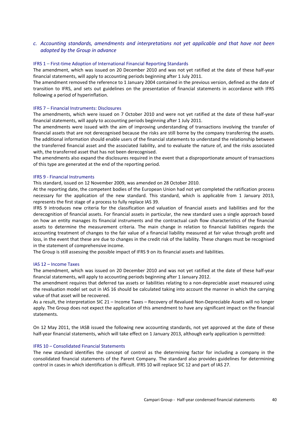## *c. Accounting standards, amendments and interpretations not yet applicable and that have not been adopted by the Group in advance*

#### IFRS 1 – First-time Adoption of International Financial Reporting Standards

The amendment, which was issued on 20 December 2010 and was not yet ratified at the date of these half-year financial statements, will apply to accounting periods beginning after 1 July 2011.

The amendment removed the reference to 1 January 2004 contained in the previous version, defined as the date of transition to IFRS, and sets out guidelines on the presentation of financial statements in accordance with IFRS following a period of hyperinflation.

#### IFRS 7 – Financial Instruments: Disclosures

The amendments, which were issued on 7 October 2010 and were not yet ratified at the date of these half-year financial statements, will apply to accounting periods beginning after 1 July 2011.

The amendments were issued with the aim of improving understanding of transactions involving the transfer of financial assets that are not derecognised because the risks are still borne by the company transferring the assets. The additional information should enable users of the financial statements to understand the relationship between the transferred financial asset and the associated liability, and to evaluate the nature of, and the risks associated with, the transferred asset that has not been derecognised.

The amendments also expand the disclosures required in the event that a disproportionate amount of transactions of this type are generated at the end of the reporting period.

#### IFRS 9 - Financial Instruments

This standard, issued on 12 November 2009, was amended on 28 October 2010.

At the reporting date, the competent bodies of the European Union had not yet completed the ratification process necessary for the application of the new standard. This standard, which is applicable from 1 January 2013, represents the first stage of a process to fully replace IAS 39.

IFRS 9 introduces new criteria for the classification and valuation of financial assets and liabilities and for the derecognition of financial assets. For financial assets in particular, the new standard uses a single approach based on how an entity manages its financial instruments and the contractual cash flow characteristics of the financial assets to determine the measurement criteria. The main change in relation to financial liabilities regards the accounting treatment of changes to the fair value of a financial liability measured at fair value through profit and loss, in the event that these are due to changes in the credit risk of the liability. These changes must be recognised in the statement of comprehensive income.

The Group is still assessing the possible impact of IFRS 9 on its financial assets and liabilities.

#### IAS 12 – Income Taxes

The amendment, which was issued on 20 December 2010 and was not yet ratified at the date of these half-year financial statements, will apply to accounting periods beginning after 1 January 2012.

The amendment requires that deferred tax assets or liabilities relating to a non-depreciable asset measured using the revaluation model set out in IAS 16 should be calculated taking into account the manner in which the carrying value of that asset will be recovered.

As a result, the interpretation SIC 21 – Income Taxes – Recovery of Revalued Non-Depreciable Assets will no longer apply. The Group does not expect the application of this amendment to have any significant impact on the financial statements.

On 12 May 2011, the IASB issued the following new accounting standards, not yet approved at the date of these half-year financial statements, which will take effect on 1 January 2013, although early application is permitted:

#### IFRS 10 – Consolidated Financial Statements

The new standard identifies the concept of control as the determining factor for including a company in the consolidated financial statements of the Parent Company. The standard also provides guidelines for determining control in cases in which identification is difficult. IFRS 10 will replace SIC 12 and part of IAS 27.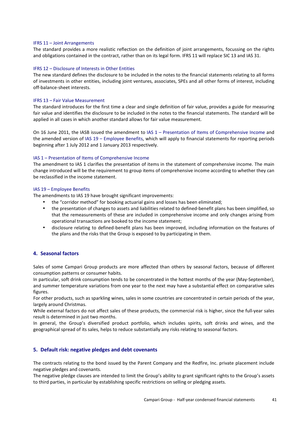#### IFRS 11 – Joint Arrangements

The standard provides a more realistic reflection on the definition of joint arrangements, focussing on the rights and obligations contained in the contract, rather than on its legal form. IFRS 11 will replace SIC 13 and IAS 31.

#### IFRS 12 – Disclosure of Interests in Other Entities

The new standard defines the disclosure to be included in the notes to the financial statements relating to all forms of investments in other entities, including joint ventures, associates, SPEs and all other forms of interest, including off-balance-sheet interests.

#### IFRS 13 – Fair Value Measurement

The standard introduces for the first time a clear and single definition of fair value, provides a guide for measuring fair value and identifies the disclosure to be included in the notes to the financial statements. The standard will be applied in all cases in which another standard allows for fair value measurement.

On 16 June 2011, the IASB issued the amendment to IAS 1 – Presentation of Items of Comprehensive Income and the amended version of IAS 19 – Employee Benefits, which will apply to financial statements for reporting periods beginning after 1 July 2012 and 1 January 2013 respectively.

#### IAS 1 – Presentation of Items of Comprehensive Income

The amendment to IAS 1 clarifies the presentation of items in the statement of comprehensive income. The main change introduced will be the requirement to group items of comprehensive income according to whether they can be reclassified in the income statement.

#### IAS 19 – Employee Benefits

The amendments to IAS 19 have brought significant improvements:

- the "corridor method" for booking actuarial gains and losses has been eliminated;
- the presentation of changes to assets and liabilities related to defined-benefit plans has been simplified, so that the remeasurements of these are included in comprehensive income and only changes arising from operational transactions are booked to the income statement;
- disclosure relating to defined-benefit plans has been improved, including information on the features of the plans and the risks that the Group is exposed to by participating in them.

## **4. Seasonal factors**

Sales of some Campari Group products are more affected than others by seasonal factors, because of different consumption patterns or consumer habits.

In particular, soft drink consumption tends to be concentrated in the hottest months of the year (May-September), and summer temperature variations from one year to the next may have a substantial effect on comparative sales figures.

For other products, such as sparkling wines, sales in some countries are concentrated in certain periods of the year, largely around Christmas.

While external factors do not affect sales of these products, the commercial risk is higher, since the full-year sales result is determined in just two months.

In general, the Group's diversified product portfolio, which includes spirits, soft drinks and wines, and the geographical spread of its sales, helps to reduce substantially any risks relating to seasonal factors.

#### **5. Default risk: negative pledges and debt covenants**

The contracts relating to the bond issued by the Parent Company and the Redfire, Inc. private placement include negative pledges and covenants.

The negative pledge clauses are intended to limit the Group's ability to grant significant rights to the Group's assets to third parties, in particular by establishing specific restrictions on selling or pledging assets.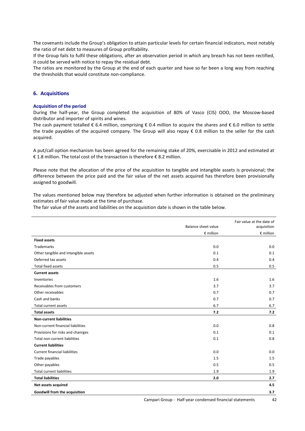The covenants include the Group's obligation to attain particular levels for certain financial indicators, most notably the ratio of net debt to measures of Group profitability.

If the Group fails to fulfil these obligations, after an observation period in which any breach has not been rectified, it could be served with notice to repay the residual debt.

The ratios are monitored by the Group at the end of each quarter and have so far been a long way from reaching the thresholds that would constitute non-compliance.

#### **6. Acquisitions**

#### **Acquisition of the period**

During the half-year, the Group completed the acquisition of 80% of Vasco (CIS) OOO, the Moscow-based distributor and importer of spirits and wines.

The cash payment totalled  $\epsilon$  6.4 million, comprising  $\epsilon$  0.4 million to acquire the shares and  $\epsilon$  6.0 million to settle the trade payables of the acquired company. The Group will also repay € 0.8 million to the seller for the cash acquired.

A put/call option mechanism has been agreed for the remaining stake of 20%, exercisable in 2012 and estimated at € 1.8 million. The total cost of the transaction is therefore € 8.2 million.

Please note that the allocation of the price of the acquisition to tangible and intangible assets is provisional; the difference between the price paid and the fair value of the net assets acquired has therefore been provisionally assigned to goodwill.

The values mentioned below may therefore be adjusted when further information is obtained on the preliminary estimates of fair value made at the time of purchase.

The fair value of the assets and liabilities on the acquisition date is shown in the table below.

|                                      |                            | Fair value at the date of |
|--------------------------------------|----------------------------|---------------------------|
|                                      | <b>Balance sheet value</b> | acquisition               |
|                                      | $E$ million                | $E$ million               |
| <b>Fixed assets</b>                  |                            |                           |
| <b>Trademarks</b>                    | 0.0                        | 0.0                       |
| Other tangible and intangible assets | 0.1                        | 0.1                       |
| Deferred tax assets                  | 0.4                        | 0.4                       |
| <b>Total fixed assets</b>            | 0.5                        | 0.5                       |
| <b>Current assets</b>                |                            |                           |
| Inventories                          | 1.6                        | 1.6                       |
| Receivables from customers           | 3.7                        | 3.7                       |
| Other receivables                    | 0.7                        | 0.7                       |
| Cash and banks                       | 0.7                        | 0.7                       |
| Total current assets                 | 6.7                        | 6.7                       |
| <b>Total assets</b>                  | 7.2                        | 7.2                       |
| <b>Non-current liabilities</b>       |                            |                           |
| Non-current financial liabilities    | 0.0                        | 0.8                       |
| Provisions for risks and chanrges    | 0.1                        | 0.1                       |
| Total non-current liabilities        | 0.1                        | 0.8                       |
| <b>Current liabilities</b>           |                            |                           |
| <b>Current financial liabilities</b> | 0.0                        | 0.0                       |
| Trade payables                       | 1.5                        | 1.5                       |
| Other payables                       | 0.5                        | 0.5                       |
| Total current liabilities            | 1.9                        | 1.9                       |
| <b>Total liabilities</b>             | 2.0                        | 2.7                       |
| Net assets acquired                  |                            | 4.5                       |
| Goodwill from the acquisition        |                            | 3.7                       |
|                                      |                            |                           |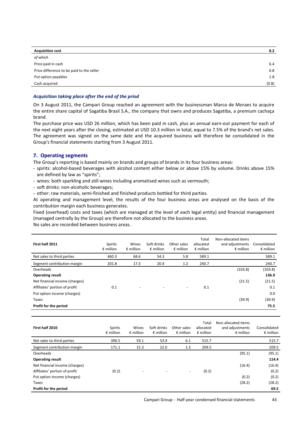| <b>Acquisition cost</b>                   | 8.2   |
|-------------------------------------------|-------|
| of which                                  |       |
| Price paid in cash                        | 6.4   |
| Price difference to be paid to the seller | 0.8   |
| Put option payables                       | 1.8   |
| Cash acquired                             | (0.8) |

#### *Acquisition taking place after the end of the priod*

On 3 August 2011, the Campari Group reached an agreement with the businessman Marco de Moraes to acquire the entire share capital of Sagatiba Brasil S.A., the company that owns and produces Sagatiba, a premium cachaça brand.

The purchase price was USD 26 million, which has been paid in cash, plus an annual earn-out payment for each of the next eight years after the closing, estimated at USD 10.3 million in total, equal to 7.5% of the brand's net sales. The agreement was signed on the same date and the acquired business will therefore be consolidated in the Group's financial statements starting from 3 August 2011.

## **7. Operating segments**

The Group's reporting is based mainly on brands and groups of brands in its four business areas:

- spirits: alcohol-based beverages with alcohol content either below or above 15% by volume. Drinks above 15% are defined by law as "spirits";
- wines: both sparkling and still wines including aromatised wines such as vermouth;
- soft drinks: non-alcoholic beverages;
- other: raw materials, semi-finished and finished products bottled for third parties.

At operating and management level, the results of the four business areas are analysed on the basis of the contribution margin each business generates.

Fixed (overhead) costs and taxes (which are managed at the level of each legal entity) and financial management (managed centrally by the Group) are therefore not allocated to the business areas.

No sales are recorded between business areas.

| First half 2011                | <b>Spirits</b><br>$\epsilon$ million | Wines<br>$\epsilon$ million | Soft drinks<br>$\epsilon$ million | Other sales<br>$\epsilon$ million | Total<br>allocated<br>€ million | Non-allocated items<br>and adjustments<br>$\epsilon$ million | Consolidated<br>$\epsilon$ million |
|--------------------------------|--------------------------------------|-----------------------------|-----------------------------------|-----------------------------------|---------------------------------|--------------------------------------------------------------|------------------------------------|
| Net sales to third parties     | 460.3                                | 68.6                        | 54.3                              | 5.8                               | 589.1                           |                                                              | 589.1                              |
| Segment contribution margin    | 201.8                                | 17.3                        | 20.4                              | 1.2                               | 240.7                           |                                                              | 240.7                              |
| Overheads                      |                                      |                             |                                   |                                   |                                 | (103.8)                                                      | (103.8)                            |
| <b>Operating result</b>        |                                      |                             |                                   |                                   |                                 |                                                              | 136.9                              |
| Net financial income (charges) |                                      |                             |                                   |                                   |                                 | (21.5)                                                       | (21.5)                             |
| Affiliates' portion of profit  | 0.1                                  | ٠                           |                                   | $\overline{\phantom{a}}$          | 0.1                             |                                                              | 0.1                                |
| Put option income (charges)    |                                      |                             |                                   |                                   |                                 |                                                              | 0.0                                |
| Taxes                          |                                      |                             |                                   |                                   |                                 | (39.9)                                                       | (39.9)                             |
| Profit for the period          |                                      |                             |                                   |                                   |                                 |                                                              | 75.5                               |

| First half 2010                | <b>Spirits</b><br>$\epsilon$ million | Wines<br>$\epsilon$ million | Soft drinks<br>$\epsilon$ million | Other sales<br>$\epsilon$ million | Total<br>allocated<br>$\epsilon$ million | Non-allocated items<br>and adjustments<br>$\epsilon$ million | Consolidated<br>$\epsilon$ million |
|--------------------------------|--------------------------------------|-----------------------------|-----------------------------------|-----------------------------------|------------------------------------------|--------------------------------------------------------------|------------------------------------|
| Net sales to third parties     | 396.5                                | 59.1                        | 53.9                              | 6.1                               | 515.7                                    |                                                              | 515.7                              |
| Segment contribution margin    | 171.1                                | 15.3                        | 22.0                              | 1.3                               | 209.5                                    |                                                              | 209.5                              |
| Overheads                      |                                      |                             |                                   |                                   |                                          | (95.1)                                                       | (95.1)                             |
| <b>Operating result</b>        |                                      |                             |                                   |                                   |                                          |                                                              | 114.4                              |
| Net financial income (charges) |                                      |                             |                                   |                                   |                                          | (16.4)                                                       | (16.4)                             |
| Affiliates' portion of profit  | (0.2)                                | $\overline{\phantom{a}}$    | $\overline{\phantom{a}}$          | $\overline{\phantom{a}}$          | (0.2)                                    |                                                              | (0.2)                              |
| Put option income (charges)    |                                      |                             |                                   |                                   |                                          | (0.2)                                                        | (0.2)                              |
| Taxes                          |                                      |                             |                                   |                                   |                                          | (28.2)                                                       | (28.2)                             |
| Profit for the period          |                                      |                             |                                   |                                   |                                          |                                                              | 69.5                               |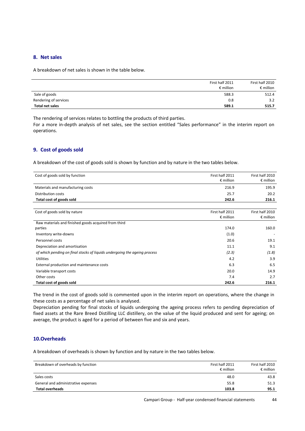## **8. Net sales**

A breakdown of net sales is shown in the table below.

|                       | First half 2011<br>$\epsilon$ million | First half 2010<br>$\epsilon$ million |
|-----------------------|---------------------------------------|---------------------------------------|
| Sale of goods         | 588.3                                 | 512.4                                 |
| Rendering of services | 0.8                                   | 3.2                                   |
| Total net sales       | 589.1                                 | 515.7                                 |

The rendering of services relates to bottling the products of third parties.

For a more in-depth analysis of net sales, see the section entitled "Sales performance" in the interim report on operations.

## **9. Cost of goods sold**

A breakdown of the cost of goods sold is shown by function and by nature in the two tables below.

| Cost of goods sold by function                                            | First half 2011<br>$\epsilon$ million | First half 2010<br>$\epsilon$ million |
|---------------------------------------------------------------------------|---------------------------------------|---------------------------------------|
| Materials and manufacturing costs                                         | 216.9                                 | 195.9                                 |
| <b>Distribution costs</b>                                                 | 25.7                                  | 20.2                                  |
| Total cost of goods sold                                                  | 242.6                                 | 216.1                                 |
|                                                                           |                                       |                                       |
| Cost of goods sold by nature                                              | First half 2011<br>$\epsilon$ million | First half 2010<br>$\epsilon$ million |
| Raw materials and finished goods acquired from third                      |                                       |                                       |
| parties                                                                   | 174.0                                 | 160.0                                 |
| Inventory write-downs                                                     | (1.0)                                 |                                       |
| Personnel costs                                                           | 20.6                                  | 19.1                                  |
| Depreciation and amortisation                                             | 11.1                                  | 9.1                                   |
| of which pending on final stocks of liquids undergoing the ageing process | (2.3)                                 | (1.8)                                 |
| <b>Utilities</b>                                                          | 4.2                                   | 3.9                                   |
| External production and maintenance costs                                 | 6.3                                   | 6.5                                   |
| Variable transport costs                                                  | 20.0                                  | 14.9                                  |
| Other costs                                                               | 7.4                                   | 2.7                                   |
| Total cost of goods sold                                                  | 242.6                                 | 216.1                                 |

The trend in the cost of goods sold is commented upon in the interim report on operations, where the change in these costs as a percentage of net sales is analysed.

Depreciation pending for final stocks of liquids undergoing the ageing process refers to pending depreciation of fixed assets at the Rare Breed Distilling LLC distillery, on the value of the liquid produced and sent for ageing; on average, the product is aged for a period of between five and six and years.

## **10.Overheads**

A breakdown of overheads is shown by function and by nature in the two tables below.

| Breakdown of overheads by function  | First half 2011<br>$\epsilon$ million | First half 2010<br>$\epsilon$ million |
|-------------------------------------|---------------------------------------|---------------------------------------|
| Sales costs                         | 48.0                                  | 43.8                                  |
| General and administrative expenses | 55.8                                  | 51.3                                  |
| <b>Total overheads</b>              | 103.8                                 | 95.1                                  |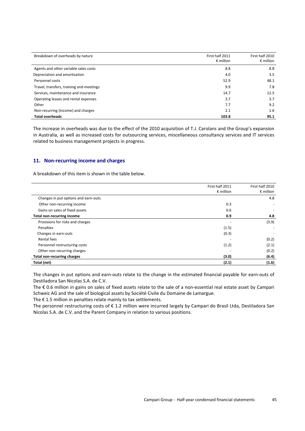| Breakdown of overheads by nature         | First half 2011<br>$\epsilon$ million | First half 2010<br>$\epsilon$ million |
|------------------------------------------|---------------------------------------|---------------------------------------|
| Agents and other variable sales costs    | 8.8                                   | 8.8                                   |
| Depreciation and amortisation            | 4.0                                   | 3.5                                   |
| Personnel costs                          | 52.9                                  | 48.1                                  |
| Travel, transfers, training and meetings | 9.9                                   | 7.8                                   |
| Services, maintenance and insurance      | 14.7                                  | 12.5                                  |
| Operating leases and rental expenses     | 3.7                                   | 3.7                                   |
| Other                                    | 7.7                                   | 9.2                                   |
| Non-recurring (income) and charges       | 2.1                                   | 1.6                                   |
| <b>Total overheads</b>                   | 103.8                                 | 95.1                                  |

The increase in overheads was due to the effect of the 2010 acquisition of T.J. Carolans and the Group's expansion in Australia, as well as increased costs for outsourcing services, miscellaneous consultancy services and IT services related to business management projects in progress.

#### **11. Non-recurring income and charges**

A breakdown of this item is shown in the table below.

|                                      | First half 2011    | First half 2010    |
|--------------------------------------|--------------------|--------------------|
|                                      | $\epsilon$ million | $\epsilon$ million |
| Changes in put options and earn-outs |                    | 4.8                |
| Other non-recurring income           | 0.3                |                    |
| Gains on sales of fixed assets       | 0.6                |                    |
| <b>Total non-recurring income</b>    | 0.9                | 4.8                |
| Provisions for risks and charges     |                    | (3.9)              |
| Penalties                            | (1.5)              |                    |
| Changes in earn-outs                 | (0.3)              |                    |
| Rental fees                          |                    | (0.2)              |
| Personnel restructuring costs        | (1.2)              | (2.1)              |
| Other non-recurring charges          |                    | (0.2)              |
| <b>Total non-recurring charges</b>   | (3.0)              | (6.4)              |
| Total (net)                          | (2.1)              | (1.6)              |

The changes in put options and earn-outs relate to the change in the estimated financial payable for earn-outs of Destiladora San Nicolas S.A. de C.V.

The € 0.6 million in gains on sales of fixed assets relate to the sale of a non-essential real estate asset by Campari Schweiz AG and the sale of biological assets by Société Civile du Domaine de Lamargue.

The € 1.5 million in penalties relate mainly to tax settlements.

The personnel restructuring costs of € 1.2 million were incurred largely by Campari do Brasil Ltda, Destiladora San Nicolas S.A. de C.V. and the Parent Company in relation to various positions.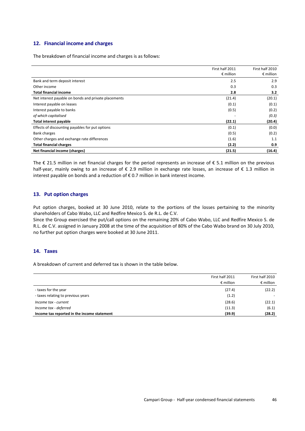## **12. Financial income and charges**

The breakdown of financial income and charges is as follows:

|                                                      | First half 2011<br>$\epsilon$ million | First half 2010<br>$\epsilon$ million |
|------------------------------------------------------|---------------------------------------|---------------------------------------|
| Bank and term deposit interest                       | 2.5                                   | 2.9                                   |
| Other income                                         | 0.3                                   | 0.3                                   |
| <b>Total financial income</b>                        | 2.8                                   | 3.2                                   |
| Net interest payable on bonds and private placements | (21.4)                                | (20.1)                                |
| Interest payable on leases                           | (0.1)                                 | (0.1)                                 |
| Interest payable to banks                            | (0.5)                                 | (0.2)                                 |
| of which capitalised                                 |                                       | (0.3)                                 |
| <b>Total interest payable</b>                        | (22.1)                                | (20.4)                                |
| Effects of discounting payables for put options      | (0.1)                                 | (0.0)                                 |
| <b>Bank charges</b>                                  | (0.5)                                 | (0.2)                                 |
| Other charges and exchange rate differences          | (1.6)                                 | 1.1                                   |
| <b>Total financial charges</b>                       | (2.2)                                 | 0.9                                   |
| Net financial income (charges)                       | (21.5)                                | (16.4)                                |

The € 21.5 million in net financial charges for the period represents an increase of € 5.1 million on the previous half-year, mainly owing to an increase of € 2.9 million in exchange rate losses, an increase of € 1.3 million in interest payable on bonds and a reduction of  $\epsilon$  0.7 million in bank interest income.

## **13. Put option charges**

Put option charges, booked at 30 June 2010, relate to the portions of the losses pertaining to the minority shareholders of Cabo Wabo, LLC and Redfire Mexico S. de R.L. de C.V.

Since the Group exercised the put/call options on the remaining 20% of Cabo Wabo, LLC and Redfire Mexico S. de R.L. de C.V. assigned in January 2008 at the time of the acquisition of 80% of the Cabo Wabo brand on 30 July 2010, no further put option charges were booked at 30 June 2011.

## **14. Taxes**

A breakdown of current and deferred tax is shown in the table below.

|                                             | First half 2011<br>$\epsilon$ million | First half 2010<br>$\epsilon$ million |
|---------------------------------------------|---------------------------------------|---------------------------------------|
| - taxes for the year                        | (27.4)                                | (22.2)                                |
| - taxes relating to previous years          | (1.2)                                 |                                       |
| Income tax - current                        | (28.6)                                | (22.1)                                |
| Income tax - deferred                       | (11.3)                                | (6.1)                                 |
| Income tax reported in the income statement | (39.9)                                | (28.2)                                |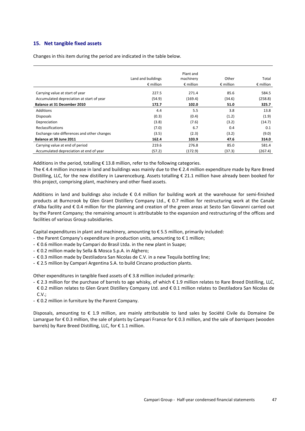## **15. Net tangible fixed assets**

Changes in this item during the period are indicated in the table below.

|                                             |                    | Plant and          |                    |                    |
|---------------------------------------------|--------------------|--------------------|--------------------|--------------------|
|                                             | Land and buildings | machinery          | Other              | Total              |
|                                             | $\epsilon$ million | $\epsilon$ million | $\epsilon$ million | $\epsilon$ million |
| Carrying value at start of year             | 227.5              | 271.4              | 85.6               | 584.5              |
| Accumulated depreciation at start of year   | (54.9)             | (169.4)            | (34.6)             | (258.8)            |
| Balance at 31 December 2010                 | 172.7              | 102.0              | 51.0               | 325.7              |
| <b>Additions</b>                            | 4.4                | 5.5                | 3.8                | 13.8               |
| <b>Disposals</b>                            | (0.3)              | (0.4)              | (1.2)              | (1.9)              |
| Depreciation                                | (3.8)              | (7.6)              | (3.2)              | (14.7)             |
| <b>Reclassifications</b>                    | (7.0)              | 6.7                | 0.4                | 0.1                |
| Exchange rate differences and other changes | (3.5)              | (2.3)              | (3.2)              | (9.0)              |
| Balance at 30 June 2011                     | 162.4              | 103.9              | 47.6               | 314.0              |
| Carrying value at end of period             | 219.6              | 276.8              | 85.0               | 581.4              |
| Accumulated depreciation at end of year     | (57.2)             | (172.9)            | (37.3)             | (267.4)            |

Additions in the period, totalling  $\epsilon$  13.8 million, refer to the following categories.

The € 4.4 million increase in land and buildings was mainly due to the € 2.4 million expenditure made by Rare Breed Distilling, LLC, for the new distillery in Lawrenceburg. Assets totalling € 21.1 million have already been booked for this project, comprising plant, machinery and other fixed assets.

Additions in land and buildings also include  $\epsilon$  0.4 million for building work at the warehouse for semi-finished products at Burncrook by Glen Grant Distillery Company Ltd., € 0.7 million for restructuring work at the Canale d'Alba facility and € 0.4 million for the planning and creation of the green areas at Sesto San Giovanni carried out by the Parent Company; the remaining amount is attributable to the expansion and restructuring of the offices and facilities of various Group subsidiaries.

Capital expenditures in plant and machinery, amounting to € 5.5 million, primarily included:

- the Parent Company's expenditure in production units, amounting to € 1 million;
- € 0.6 million made by Campari do Brasil Ltda. in the new plant in Suape;
- € 0.2 million made by Sella & Mosca S.p.A. in Alghero;
- € 0.3 million made by Destiladora San Nicolas de C.V. in a new Tequila bottling line;
- € 2.5 million by Campari Argentina S.A. to build Cinzano production plants.

Other expenditures in tangible fixed assets of  $\epsilon$  3.8 million included primarily:

- € 2.3 million for the purchase of barrels to age whisky, of which € 1.9 million relates to Rare Breed Distilling, LLC, € 0.2 million relates to Glen Grant Distillery Company Ltd. and € 0.1 million relates to Destiladora San Nicolas de  $C.V.:$
- € 0.2 million in furniture by the Parent Company.

Disposals, amounting to € 1.9 million, are mainly attributable to land sales by Société Civile du Domaine De Lamargue for € 0.3 million, the sale of plants by Campari France for € 0.3 million, and the sale of *barriques* (wooden barrels) by Rare Breed Distilling, LLC, for € 1.1 million.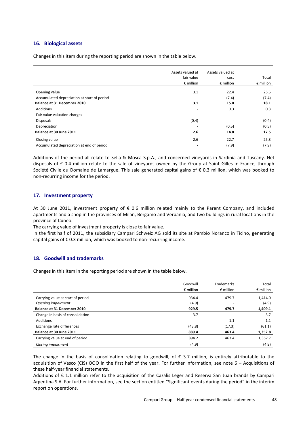## **16. Biological assets**

Changes in this item during the reporting period are shown in the table below.

|                                             | Assets valued at<br>fair value | Assets valued at<br>cost | Total              |
|---------------------------------------------|--------------------------------|--------------------------|--------------------|
|                                             | $\epsilon$ million             | $\epsilon$ million       | $\epsilon$ million |
| Opening value                               | 3.1                            | 22.4                     | 25.5               |
| Accumulated depreciation at start of period |                                | (7.4)                    | (7.4)              |
| Balance at 31 December 2010                 | 3.1                            | 15.0                     | 18.1               |
| Additions                                   | $\overline{\phantom{0}}$       | 0.3                      | 0.3                |
| Fair value valuation charges                |                                | $\overline{\phantom{0}}$ |                    |
| <b>Disposals</b>                            | (0.4)                          |                          | (0.4)              |
| Depreciation                                |                                | (0.5)                    | (0.5)              |
| Balance at 30 June 2011                     | 2.6                            | 14.8                     | 17.5               |
| Closing value                               | 2.6                            | 22.7                     | 25.3               |
| Accumulated depreciation at end of period   | ٠                              | (7.9)                    | (7.9)              |

Additions of the period all relate to Sella & Mosca S.p.A., and concerned vineyards in Sardinia and Tuscany. Net disposals of € 0.4 million relate to the sale of vineyards owned by the Group at Saint Gilles in France, through Société Civile du Domaine de Lamargue. This sale generated capital gains of € 0.3 million, which was booked to non-recurring income for the period.

### **17. Investment property**

At 30 June 2011, investment property of € 0.6 million related mainly to the Parent Company, and included apartments and a shop in the provinces of Milan, Bergamo and Verbania, and two buildings in rural locations in the province of Cuneo.

The carrying value of investment property is close to fair value.

In the first half of 2011, the subsidiary Campari Schweiz AG sold its site at Pambio Noranco in Ticino, generating capital gains of  $\epsilon$  0.3 million, which was booked to non-recurring income.

#### **18. Goodwill and trademarks**

Changes in this item in the reporting period are shown in the table below.

|                                    | Goodwill           | <b>Trademarks</b>        | Total              |
|------------------------------------|--------------------|--------------------------|--------------------|
|                                    | $\epsilon$ million | $\epsilon$ million       | $\epsilon$ million |
| Carrying value at start of period  | 934.4              | 479.7                    | 1,414.0            |
| Opening impairment                 | (4.9)              | $\overline{\phantom{0}}$ | (4.9)              |
| <b>Balance at 31 December 2010</b> | 929.5              | 479.7                    | 1,409.1            |
| Change in basis of consolidation   | 3.7                | $\overline{\phantom{m}}$ | 3.7                |
| Additions                          |                    | 1.1                      | 1.1                |
| Exchange rate differences          | (43.8)             | (17.3)                   | (61.1)             |
| Balance at 30 June 2011            | 889.4              | 463.4                    | 1,352.8            |
| Carrying value at end of period    | 894.2              | 463.4                    | 1,357.7            |
| Closing impairment                 | (4.9)              |                          | (4.9)              |

The change in the basis of consolidation relating to goodwill, of  $\epsilon$  3.7 million, is entirely attributable to the acquisition of Vasco (CIS) OOO in the first half of the year. For further information, see note 6 – Acquisitions of these half-year financial statements.

Additions of € 1.1 million refer to the acquisition of the Cazalis Leger and Reserva San Juan brands by Campari Argentina S.A. For further information, see the section entitled "Significant events during the period" in the interim report on operations.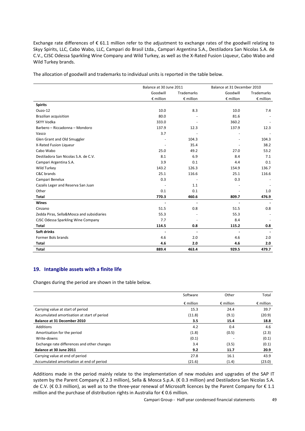Exchange rate differences of € 61.1 million refer to the adjustment to exchange rates of the goodwill relating to Skyy Spirits, LLC, Cabo Wabo, LLC, Campari do Brasil Ltda., Campari Argentina S.A., Destiladora San Nicolas S.A. de C.V., CJSC Odessa Sparkling Wine Company and Wild Turkey, as well as the X-Rated Fusion Liqueur, Cabo Wabo and Wild Turkey brands.

The allocation of goodwill and trademarks to individual units is reported in the table below.

|                                           |                    | Balance at 30 June 2011 |                    | Balance at 31 December 2010 |
|-------------------------------------------|--------------------|-------------------------|--------------------|-----------------------------|
|                                           | Goodwill           | <b>Trademarks</b>       | Goodwill           | Trademarks                  |
|                                           | $\epsilon$ million | € million               | $\epsilon$ million | $\epsilon$ million          |
| <b>Spirits</b>                            |                    |                         |                    |                             |
| Ouzo-12                                   | 10.0               | 8.3                     | 10.0               | 7.4                         |
| <b>Brazilian acquisition</b>              | 80.0               |                         | 81.6               |                             |
| SKYY Vodka                                | 333.0              |                         | 360.2              |                             |
| Barbero - Riccadonna - Mondoro            | 137.9              | 12.3                    | 137.9              | 12.3                        |
| Vasco                                     | 3.7                |                         |                    |                             |
| Glen Grant and Old Smuggler               |                    | 104.3                   |                    | 104.3                       |
| X-Rated Fusion Liqueur                    |                    | 35.4                    |                    | 38.2                        |
| Cabo Wabo                                 | 25.0               | 49.2                    | 27.0               | 53.2                        |
| Destiladora San Nicolas S.A. de C.V.      | 8.1                | 6.9                     | 8.4                | 7.1                         |
| Campari Argentina S.A.                    | 3.9                | 0.1                     | 4.4                | 0.1                         |
| Wild Turkey                               | 143.2              | 126.3                   | 154.9              | 136.7                       |
| C&C brands                                | 25.1               | 116.6                   | 25.1               | 116.6                       |
| Campari Benelux                           | 0.3                |                         | 0.3                |                             |
| Cazalis Leger and Reserva San Juan        |                    | 1.1                     |                    |                             |
| Other                                     | 0.1                | 0.1                     |                    | 1.0                         |
| <b>Total</b>                              | 770.3              | 460.6                   | 809.7              | 476.9                       |
| Wines                                     | ÷                  |                         |                    |                             |
| Cinzano                                   | 51.5               | 0.8                     | 51.5               | 0.8                         |
| Zedda Piras, Sella&Mosca and subsidiaries | 55.3               |                         | 55.3               |                             |
| CJSC Odessa Sparkling Wine Company        | 7.7                |                         | 8.4                |                             |
| <b>Total</b>                              | 114.5              | 0.8                     | 115.2              | 0.8                         |
| Soft drinks                               | $\blacksquare$     | $\blacksquare$          |                    |                             |
| Former Bols brands                        | 4.6                | 2.0                     | 4.6                | 2.0                         |
| Total                                     | 4.6                | 2.0                     | 4.6                | 2.0                         |
| Total                                     | 889.4              | 463.4                   | 929.5              | 479.7                       |

### **19. Intangible assets with a finite life**

Changes during the period are shown in the table below.

|                                             | Software           | Other              | Total              |
|---------------------------------------------|--------------------|--------------------|--------------------|
|                                             | $\epsilon$ million | $\epsilon$ million | $\epsilon$ million |
| Carrying value at start of period           | 15.3               | 24.4               | 39.7               |
| Accumulated amortisation at start of period | (11.8)             | (9.1)              | (20.9)             |
| <b>Balance at 31 December 2010</b>          | 3.5                | 15.4               | 18.8               |
| Additions                                   | 4.2                | 0.4                | 4.6                |
| Amortisation for the period                 | (1.8)              | (0.5)              | (2.3)              |
| Write-downs                                 | (0.1)              |                    | (0.1)              |
| Exchange rate differences and other changes | 3.4                | (3.5)              | (0.1)              |
| Balance at 30 June 2011                     | 9.2                | 11.7               | 20.9               |
| Carrying value at end of period             | 27.8               | 16.1               | 43.9               |
| Accumulated amortisation at end of period   | (21.6)             | (1.4)              | (23.0)             |

Additions made in the period mainly relate to the implementation of new modules and upgrades of the SAP IT system by the Parent Company (€ 2.3 million), Sella & Mosca S.p.A. (€ 0.3 million) and Destiladora San Nicolas S.A. de C.V. (€ 0.3 million), as well as to the three-year renewal of Microsoft licences by the Parent Company for € 1.1 million and the purchase of distribution rights in Australia for € 0.6 million.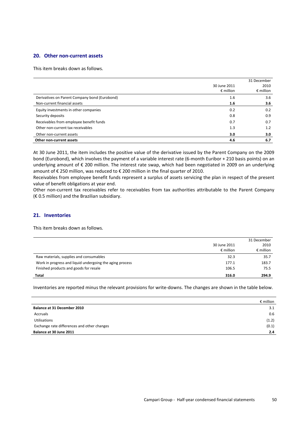#### **20. Other non-current assets**

This item breaks down as follows.

|                                               |                    | 31 December        |
|-----------------------------------------------|--------------------|--------------------|
|                                               | 30 June 2011       | 2010               |
|                                               | $\epsilon$ million | $\epsilon$ million |
| Derivatives on Parent Company bond (Eurobond) | 1.6                | 3.6                |
| Non-current financial assets                  | 1.6                | 3.6                |
| Equity investments in other companies         | 0.2                | 0.2                |
| Security deposits                             | 0.8                | 0.9                |
| Receivables from employee benefit funds       | 0.7                | 0.7                |
| Other non-current tax receivables             | 1.3                | 1.2                |
| Other non-current assets                      | 3.0                | 3.0                |
| Other non-current assets                      | 4.6                | 6.7                |

At 30 June 2011, the item includes the positive value of the derivative issued by the Parent Company on the 2009 bond (Eurobond), which involves the payment of a variable interest rate (6-month Euribor + 210 basis points) on an underlying amount of € 200 million. The interest rate swap, which had been negotiated in 2009 on an underlying amount of € 250 million, was reduced to € 200 million in the final quarter of 2010.

Receivables from employee benefit funds represent a surplus of assets servicing the plan in respect of the present value of benefit obligations at year end.

Other non-current tax receivables refer to receivables from tax authorities attributable to the Parent Company  $(E 0.5$  million) and the Brazilian subsidiary.

## **21. Inventories**

This item breaks down as follows.

|                                                          | 30 June 2011<br>$\epsilon$ million | 31 December<br>2010<br>$\epsilon$ million |
|----------------------------------------------------------|------------------------------------|-------------------------------------------|
| Raw materials, supplies and consumables                  | 32.3                               | 35.7                                      |
| Work in progress and liquid undergoing the aging process | 177.1                              | 183.7                                     |
| Finished products and goods for resale                   | 106.5                              | 75.5                                      |
| Total                                                    | 316.0                              | 294.9                                     |

Inventories are reported minus the relevant provisions for write-downs. The changes are shown in the table below.

|                                             | $\epsilon$ million |
|---------------------------------------------|--------------------|
| <b>Balance at 31 December 2010</b>          | 3.1                |
| Accruals                                    | 0.6                |
| <b>Utilisations</b>                         | (1.2)              |
| Exchange rate differences and other changes | (0.1)              |
| Balance at 30 June 2011                     | 2.4                |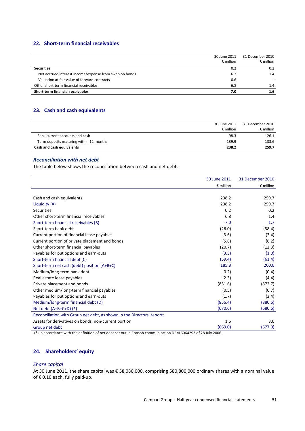## **22. Short-term financial receivables**

|                                                        | 30 June 2011<br>$\epsilon$ million | 31 December 2010<br>$\epsilon$ million |
|--------------------------------------------------------|------------------------------------|----------------------------------------|
| <b>Securities</b>                                      | 0.2                                | 0.2                                    |
| Net accrued interest income/expense from swap on bonds | 6.2                                | 1.4                                    |
| Valuation at fair value of forward contracts           | 0.6                                |                                        |
| Other short-term financial receivables                 | 6.8                                | 1.4                                    |
| Short-term financial receivables                       | 7.0                                | 1.6                                    |

## **23. Cash and cash equivalents**

|                                         | 30 June 2011<br>$\epsilon$ million | 31 December 2010<br>$\epsilon$ million |
|-----------------------------------------|------------------------------------|----------------------------------------|
| Bank current accounts and cash          | 98.3                               | 126.1                                  |
| Term deposits maturing within 12 months | 139.9                              | 133.6                                  |
| Cash and cash equivalents               | 238.2                              | 259.7                                  |

## *Reconciliation with net debt*

The table below shows the reconciliation between cash and net debt.

|                                                                        | 30 June 2011       | 31 December 2010   |
|------------------------------------------------------------------------|--------------------|--------------------|
|                                                                        | $\epsilon$ million | $\epsilon$ million |
|                                                                        |                    |                    |
| Cash and cash equivalents                                              | 238.2              | 259.7              |
| Liquidity (A)                                                          | 238.2              | 259.7              |
| <b>Securities</b>                                                      | 0.2                | 0.2                |
| Other short-term financial receivables                                 | 6.8                | 1.4                |
| Short-term financial receivables (B)                                   | 7.0                | 1.7                |
| Short-term bank debt                                                   | (26.0)             | (38.4)             |
| Current portion of financial lease payables                            | (3.6)              | (3.4)              |
| Current portion of private placement and bonds                         | (5.8)              | (6.2)              |
| Other short-term financial payables                                    | (20.7)             | (12.3)             |
| Payables for put options and earn-outs                                 | (3.3)              | (1.0)              |
| Short-term financial debt (C)                                          | (59.4)             | (61.4)             |
| Short-term net cash (debt) position (A+B+C)                            | 185.8              | 200.0              |
| Medium/long-term bank debt                                             | (0.2)              | (0.4)              |
| Real estate lease payables                                             | (2.3)              | (4.4)              |
| Private placement and bonds                                            | (851.6)            | (872.7)            |
| Other medium/long-term financial payables                              | (0.5)              | (0.7)              |
| Payables for put options and earn-outs                                 | (1.7)              | (2.4)              |
| Medium/long-term financial debt (D)                                    | (856.4)            | (880.6)            |
| Net debt $(A+B+C+D)$ (*)                                               | (670.6)            | (680.6)            |
| Reconciliation with Group net debt, as shown in the Directors' report: |                    |                    |
| Assets for derivatives on bonds, non-current portion                   | 1.6                | 3.6                |
| Group net debt                                                         | (669.0)            | (677.0)            |

(\*) in accordance with the definition of net debt set out in Consob communication DEM 6064293 of 28 July 2006.

## **24. Shareholders' equity**

## *Share capital*

At 30 June 2011, the share capital was € 58,080,000, comprising 580,800,000 ordinary shares with a nominal value of € 0.10 each, fully paid-up.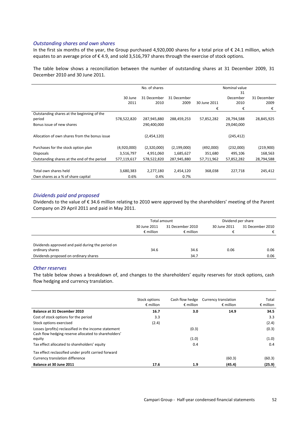### *Outstanding shares and own shares*

In the first six months of the year, the Group purchased 4,920,000 shares for a total price of  $\epsilon$  24.1 million, which equates to an average price of €4.9, and sold 3,516,797 shares through the exercise of stock options.

The table below shows a reconciliation between the number of outstanding shares at 31 December 2009, 31 December 2010 and 30 June 2011.

|                                               |             | No. of shares |               |              | Nominal value |             |
|-----------------------------------------------|-------------|---------------|---------------|--------------|---------------|-------------|
|                                               |             |               |               |              | 31            |             |
|                                               | 30 June     | 31 December   | 31 December   |              | December      | 31 December |
|                                               | 2011        | 2010          | 2009          | 30 June 2011 | 2010          | 2009        |
|                                               |             |               |               | €            | €             | €           |
| Outstanding shares at the beginning of the    |             |               |               |              |               |             |
| period                                        | 578,522,820 | 287,945,880   | 288,459,253   | 57,852,282   | 28,794,588    | 28,845,925  |
| Bonus issue of new shares                     |             | 290,400,000   |               |              | 29,040,000    |             |
|                                               |             |               |               |              |               |             |
| Allocation of own shares from the bonus issue |             | (2,454,120)   |               |              | (245, 412)    |             |
|                                               |             |               |               |              |               |             |
| Purchases for the stock option plan           | (4,920,000) | (2,320,000)   | (2, 199, 000) | (492,000)    | (232,000)     | (219,900)   |
| <b>Disposals</b>                              | 3,516,797   | 4,951,060     | 1,685,627     | 351,680      | 495,106       | 168,563     |
| Outstanding shares at the end of the period   | 577,119,617 | 578,522,820   | 287,945,880   | 57,711,962   | 57,852,282    | 28,794,588  |
|                                               |             |               |               |              |               |             |
| Total own shares held                         | 3,680,383   | 2,277,180     | 2,454,120     | 368,038      | 227,718       | 245,412     |
| Own shares as a % of share capital            | 0.6%        | 0.4%          | 0.7%          |              |               |             |

#### *Dividends paid and proposed*

Dividends to the value of € 34.6 million relating to 2010 were approved by the shareholders' meeting of the Parent Company on 29 April 2011 and paid in May 2011.

|                                                  | Total amount       |                    | Dividend per share |                  |
|--------------------------------------------------|--------------------|--------------------|--------------------|------------------|
|                                                  | 30 June 2011       | 31 December 2010   | 30 June 2011       | 31 December 2010 |
|                                                  | $\epsilon$ million | $\epsilon$ million |                    | €                |
|                                                  |                    |                    |                    |                  |
| Dividends approved and paid during the period on |                    |                    |                    |                  |
| ordinary shares                                  | 34.6               | 34.6               | 0.06               | 0.06             |
| Dividends proposed on ordinary shares            |                    | 34.7               |                    | 0.06             |

#### *Other reserves*

The table below shows a breakdown of, and changes to the shareholders' equity reserves for stock options, cash flow hedging and currency translation.

|                                                                                                               | Stock options<br>$\epsilon$ million | Cash flow hedge<br>$\epsilon$ million | Currency translation<br>$\epsilon$ million | Total<br>$\epsilon$ million |
|---------------------------------------------------------------------------------------------------------------|-------------------------------------|---------------------------------------|--------------------------------------------|-----------------------------|
| Balance at 31 December 2010                                                                                   | 16.7                                | 3.0                                   | 14.9                                       | 34.5                        |
| Cost of stock options for the period                                                                          | 3.3                                 |                                       |                                            | 3.3                         |
| Stock options exercised                                                                                       | (2.4)                               |                                       |                                            | (2.4)                       |
| Losses (profits) reclassified in the income statement<br>Cash flow hedging reserve allocated to shareholders' |                                     | (0.3)                                 |                                            | (0.3)                       |
| equity                                                                                                        |                                     | (1.0)                                 |                                            | (1.0)                       |
| Tax effect allocated to shareholders' equity                                                                  |                                     | 0.4                                   |                                            | 0.4                         |
| Tax effect reclassified under profit carried forward                                                          |                                     |                                       |                                            |                             |
| Currency translation difference                                                                               |                                     |                                       | (60.3)                                     | (60.3)                      |
| Balance at 30 June 2011                                                                                       | 17.6                                | 1.9                                   | (45.4)                                     | (25.9)                      |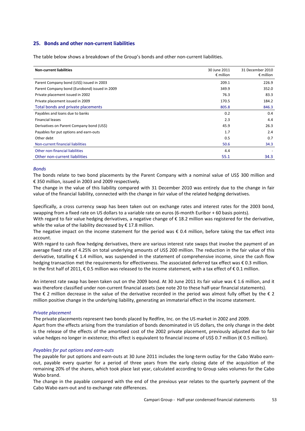## **25. Bonds and other non-current liabilities**

The table below shows a breakdown of the Group's bonds and other non-current liabilities.

| <b>Non-current liabilities</b>                | 30 June 2011<br>$\epsilon$ million | 31 December 2010<br>$\epsilon$ million |
|-----------------------------------------------|------------------------------------|----------------------------------------|
| Parent Company bond (US\$) issued in 2003     | 209.1                              | 226.9                                  |
| Parent Company bond (Eurobond) issued in 2009 | 349.9                              | 352.0                                  |
| Private placement issued in 2002              | 76.3                               | 83.3                                   |
| Private placement issued in 2009              | 170.5                              | 184.2                                  |
| Total bonds and private placements            | 805.8                              | 846.3                                  |
| Payables and loans due to banks               | 0.2                                | 0.4                                    |
| <b>Financial leases</b>                       | 2.3                                | 4.4                                    |
| Derivatives on Parent Company bond (US\$)     | 45.9                               | 26.3                                   |
| Payables for put options and earn-outs        | 1.7                                | 2.4                                    |
| Other debt                                    | 0.5                                | 0.7                                    |
| Non-current financial liabilities             | 50.6                               | 34.3                                   |
| Other non-financial liabilities               | 4.4                                |                                        |
| Other non-current liabilities                 | 55.1                               | 34.3                                   |

#### *Bonds*

The bonds relate to two bond placements by the Parent Company with a nominal value of US\$ 300 million and € 350 million, issued in 2003 and 2009 respectively.

The change in the value of this liability compared with 31 December 2010 was entirely due to the change in fair value of the financial liability, connected with the change in fair value of the related hedging derivatives.

Specifically, a cross currency swap has been taken out on exchange rates and interest rates for the 2003 bond, swapping from a fixed rate on US dollars to a variable rate on euros (6-month Euribor + 60 basis points).

With regard to fair value hedging derivatives, a negative change of € 18.2 million was registered for the derivative, while the value of the liability decreased by  $\epsilon$  17.8 million.

The negative impact on the income statement for the period was € 0.4 million, before taking the tax effect into account.

With regard to cash flow hedging derivatives, there are various interest rate swaps that involve the payment of an average fixed rate of 4.25% on total underlying amounts of US\$ 200 million. The reduction in the fair value of this derivative, totalling € 1.4 million, was suspended in the statement of comprehensive income, since the cash flow hedging transaction met the requirements for effectiveness. The associated deferred tax effect was € 0.3 million. In the first half of 2011, € 0.5 million was released to the income statement, with a tax effect of € 0.1 million.

An interest rate swap has been taken out on the 2009 bond. At 30 June 2011 its fair value was € 1.6 million, and it was therefore classified under non-current financial assets (see note 20 to these half-year financial statements). The  $\epsilon$  2 million decrease in the value of the derivative recorded in the period was almost fully offset by the  $\epsilon$  2 million positive change in the underlying liability, generating an immaterial effect in the income statement.

#### *Private placement*

The private placements represent two bonds placed by Redfire, Inc. on the US market in 2002 and 2009. Apart from the effects arising from the translation of bonds denominated in US dollars, the only change in the debt is the release of the effects of the amortised cost of the 2002 private placement, previously adjusted due to fair value hedges no longer in existence; this effect is equivalent to financial income of US\$ 0.7 million ( $\epsilon$  0.5 million).

#### *Payables for put options and earn-outs*

The payable for put options and earn-outs at 30 June 2011 includes the long-term outlay for the Cabo Wabo earnout, payable every quarter for a period of three years from the early closing date of the acquisition of the remaining 20% of the shares, which took place last year, calculated according to Group sales volumes for the Cabo Wabo brand.

The change in the payable compared with the end of the previous year relates to the quarterly payment of the Cabo Wabo earn-out and to exchange rate differences.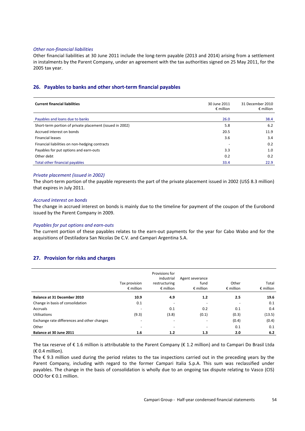#### *Other non-financial liabilities*

Other financial liabilities at 30 June 2011 include the long-term payable (2013 and 2014) arising from a settlement in instalments by the Parent Company, under an agreement with the tax authorities signed on 25 May 2011, for the 2005 tax year.

#### **26. Payables to banks and other short-term financial payables**

| <b>Current financial liabilities</b>                     | 30 June 2011<br>$\epsilon$ million | 31 December 2010<br>$\epsilon$ million |
|----------------------------------------------------------|------------------------------------|----------------------------------------|
| Payables and loans due to banks                          | 26.0                               | 38.4                                   |
| Short-term portion of private placement (issued in 2002) | 5.8                                | 6.2                                    |
| Accrued interest on bonds                                | 20.5                               | 11.9                                   |
| <b>Financial leases</b>                                  | 3.6                                | 3.4                                    |
| Financial liabilities on non-hedging contracts           |                                    | 0.2                                    |
| Payables for put options and earn-outs                   | 3.3                                | 1.0                                    |
| Other debt                                               | 0.2                                | 0.2                                    |
| Total other financial payables                           | 33.4                               | 22.9                                   |

#### *Private placement (issued in 2002)*

The short-term portion of the payable represents the part of the private placement issued in 2002 (US\$ 8.3 million) that expires in July 2011.

#### *Accrued interest on bonds*

The change in accrued interest on bonds is mainly due to the timeline for payment of the coupon of the Eurobond issued by the Parent Company in 2009.

#### *Payables for put options and earn-outs*

The current portion of these payables relates to the earn-out payments for the year for Cabo Wabo and for the acquisitions of Destiladora San Nicolas De C.V. and Campari Argentina S.A.

### **27. Provision for risks and charges**

|                                             | Tax provision<br>$\epsilon$ million | Provisions for<br>industrial<br>restructuring<br>$\epsilon$ million | Agent severance<br>fund<br>$\epsilon$ million | Other<br>$\epsilon$ million | Total<br>$\epsilon$ million |
|---------------------------------------------|-------------------------------------|---------------------------------------------------------------------|-----------------------------------------------|-----------------------------|-----------------------------|
| Balance at 31 December 2010                 | 10.9                                | 4.9                                                                 | 1.2                                           | 2.5                         | 19.6                        |
| Change in basis of consolidation            | 0.1                                 | $\overline{\phantom{0}}$                                            |                                               |                             | 0.1                         |
| Accruals                                    |                                     | 0.1                                                                 | 0.2                                           | 0.1                         | 0.4                         |
| <b>Utilisations</b>                         | (9.3)                               | (3.8)                                                               | (0.1)                                         | (0.3)                       | (13.5)                      |
| Exchange rate differences and other changes | $\overline{\phantom{0}}$            | $\overline{\phantom{0}}$                                            | $\overline{\phantom{0}}$                      | (0.4)                       | (0.4)                       |
| Other                                       | -                                   | -                                                                   |                                               | 0.1                         | 0.1                         |
| Balance at 30 June 2011                     | 1.6                                 | 1.2                                                                 | 1.3                                           | 2.0                         | $6.2$                       |

The tax reserve of  $\epsilon$  1.6 million is attributable to the Parent Company ( $\epsilon$  1.2 million) and to Campari Do Brasil Ltda  $(E 0.4$  million).

The € 9.3 million used during the period relates to the tax inspections carried out in the preceding years by the Parent Company, including with regard to the former Campari Italia S.p.A. This sum was reclassified under payables. The change in the basis of consolidation is wholly due to an ongoing tax dispute relating to Vasco (CIS) OOO for € 0.1 million.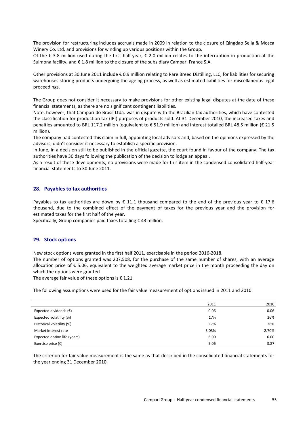The provision for restructuring includes accruals made in 2009 in relation to the closure of Qingdao Sella & Mosca Winery Co. Ltd. and provisions for winding up various positions within the Group.

Of the € 3.8 million used during the first half-year, € 2.0 million relates to the interruption in production at the Sulmona facility, and € 1.8 million to the closure of the subsidiary Campari France S.A.

Other provisions at 30 June 2011 include € 0.9 million relating to Rare Breed Distilling, LLC, for liabilities for securing warehouses storing products undergoing the ageing process, as well as estimated liabilities for miscellaneous legal proceedings.

The Group does not consider it necessary to make provisions for other existing legal disputes at the date of these financial statements, as there are no significant contingent liabilities.

Note, however, that Campari do Brasil Ltda. was in dispute with the Brazilian tax authorities, which have contested the classification for production tax (IPI) purposes of products sold. At 31 December 2010, the increased taxes and penalties amounted to BRL 117.2 million (equivalent to € 51.9 million) and interest totalled BRL 48.5 million (€ 21.5 million).

The company had contested this claim in full, appointing local advisors and, based on the opinions expressed by the advisors, didn't consider it necessary to establish a specific provision.

In June, in a decision still to be published in the official gazette, the court found in favour of the company. The tax authorities have 30 days following the publication of the decision to lodge an appeal.

As a result of these developments, no provisions were made for this item in the condensed consolidated half-year financial statements to 30 June 2011.

#### **28. Payables to tax authorities**

Payables to tax authorities are down by  $\epsilon$  11.1 thousand compared to the end of the previous year to  $\epsilon$  17.6 thousand, due to the combined effect of the payment of taxes for the previous year and the provision for estimated taxes for the first half of the year.

Specifically, Group companies paid taxes totalling € 43 million.

#### **29. Stock options**

New stock options were granted in the first half 2011, exercisable in the period 2016-2018.

The number of options granted was 207,508, for the purchase of the same number of shares, with an average allocation price of  $\epsilon$  5.06, equivalent to the weighted average market price in the month proceeding the day on which the options were granted.

The average fair value of these options is  $\epsilon$  1.21.

The following assumptions were used for the fair value measurement of options issued in 2011 and 2010:

|                                 | 2011  | 2010  |
|---------------------------------|-------|-------|
| Expected dividends $(\epsilon)$ | 0.06  | 0.06  |
| Expected volatility (%)         | 17%   | 26%   |
| Historical volatility (%)       | 17%   | 26%   |
| Market interest rate            | 3.03% | 2.70% |
| Expected option life (years)    | 6.00  | 6.00  |
| Exercise price $(\epsilon)$     | 5.06  | 3.87  |

The criterion for fair value measurement is the same as that described in the consolidated financial statements for the year ending 31 December 2010.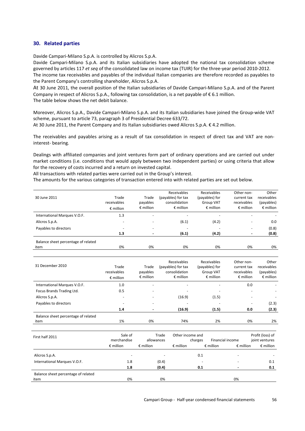#### **30. Related parties**

Davide Campari-Milano S.p.A. is controlled by Alicros S.p.A.

Davide Campari-Milano S.p.A. and its Italian subsidiaries have adopted the national tax consolidation scheme governed by articles 117 *et seq* of the consolidated law on income tax (TUIR) for the three-year period 2010-2012. The income tax receivables and payables of the individual Italian companies are therefore recorded as payables to the Parent Company's controlling shareholder, Alicros S.p.A.

At 30 June 2011, the overall position of the Italian subsidiaries of Davide Campari-Milano S.p.A. and of the Parent Company in respect of Alicros S.p.A., following tax consolidation, is a net payable of  $\epsilon$  6.1 million. The table below shows the net debit balance.

Moreover, Alicros S.p.A., Davide Campari-Milano S.p.A. and its Italian subsidiaries have joined the Group-wide VAT scheme, pursuant to article 73, paragraph 3 of Presidential Decree 633/72.

At 30 June 2011, the Parent Company and its Italian subsidiaries owed Alicros S.p.A. € 4.2 million.

The receivables and payables arising as a result of tax consolidation in respect of direct tax and VAT are noninterest- bearing*.* 

Dealings with affiliated companies and joint ventures form part of ordinary operations and are carried out under market conditions (i.e. conditions that would apply between two independent parties) or using criteria that allow for the recovery of costs incurred and a return on invested capital.

All transactions with related parties were carried out in the Group's interest.

The amounts for the various categories of transaction entered into with related parties are set out below.

| 30 June 2011                                | Trade<br>receivables<br>$\epsilon$ million | Trade<br>payables<br>$\epsilon$ million | Receivables<br>(payables) for tax<br>consolidation<br>$\epsilon$ million | Receivables<br>(payables) for<br><b>Group VAT</b><br>$\epsilon$ million | Other non-<br>current tax<br>receivables<br>$\epsilon$ million | Other<br>receivables<br>(payables)<br>$\epsilon$ million |
|---------------------------------------------|--------------------------------------------|-----------------------------------------|--------------------------------------------------------------------------|-------------------------------------------------------------------------|----------------------------------------------------------------|----------------------------------------------------------|
| International Marques V.O.F.                | 1.3                                        | $\overline{\phantom{a}}$                |                                                                          |                                                                         |                                                                |                                                          |
| Alicros S.p.A.                              | $\overline{\phantom{0}}$                   | $\overline{\phantom{a}}$                | (6.1)                                                                    | (4.2)                                                                   | $\overline{\phantom{0}}$                                       | 0.0                                                      |
| Payables to directors                       |                                            |                                         |                                                                          |                                                                         |                                                                | (0.8)                                                    |
|                                             | 1.3                                        |                                         | (6.1)                                                                    | (4.2)                                                                   | $\,$ $\,$                                                      | (0.8)                                                    |
| Balance sheet percentage of related<br>item | 0%                                         | 0%                                      | 0%                                                                       | 0%                                                                      | 0%                                                             | 0%                                                       |

| 31 December 2010                    | Trade<br>receivables<br>$\epsilon$ million | Trade<br>payables<br>$\epsilon$ million | Receivables<br>(payables) for tax<br>consolidation<br>$\epsilon$ million | <b>Receivables</b><br>(payables) for<br><b>Group VAT</b><br>$\epsilon$ million | Other non-<br>current tax<br>receivables<br>$\epsilon$ million | Other<br>receivables<br>(payables)<br>$\epsilon$ million |
|-------------------------------------|--------------------------------------------|-----------------------------------------|--------------------------------------------------------------------------|--------------------------------------------------------------------------------|----------------------------------------------------------------|----------------------------------------------------------|
| International Marques V.O.F.        | 1.0                                        | $\overline{\phantom{a}}$                | $\overline{\phantom{0}}$                                                 |                                                                                | 0.0                                                            |                                                          |
| Focus Brands Trading Ltd.           | 0.5                                        | $\overline{\phantom{a}}$                |                                                                          |                                                                                |                                                                |                                                          |
| Alicros S.p.A.                      | $\overline{\phantom{0}}$                   | $\overline{\phantom{a}}$                | (16.9)                                                                   | (1.5)                                                                          | $\overline{\phantom{0}}$                                       |                                                          |
| Payables to directors               | $\overline{\phantom{0}}$                   | $\overline{\phantom{a}}$                |                                                                          |                                                                                | $\overline{\phantom{0}}$                                       | (2.3)                                                    |
|                                     | 1.4                                        |                                         | (16.9)                                                                   | (1.5)                                                                          | 0.0                                                            | (2.3)                                                    |
| Balance sheet percentage of related |                                            |                                         |                                                                          |                                                                                |                                                                |                                                          |
| item                                | 1%                                         | 0%                                      | 74%                                                                      | 2%                                                                             | 0%                                                             | 2%                                                       |

| First half 2011                     | Sale of<br>merchandise   | Trade<br>allowances      | Other income and<br>charges | Financial income                         | Profit (loss) of<br>joint ventures |
|-------------------------------------|--------------------------|--------------------------|-----------------------------|------------------------------------------|------------------------------------|
|                                     | $\epsilon$ million       | $\epsilon$ million       | $\epsilon$ million          | $\epsilon$ million<br>$\epsilon$ million | $\epsilon$ million                 |
| Alicros S.p.A.                      | $\overline{\phantom{0}}$ | $\overline{\phantom{a}}$ | 0.1                         |                                          |                                    |
| International Marques V.O.F.        | 1.8                      | (0.4)                    | -                           |                                          | 0.1                                |
|                                     | 1.8                      | (0.4)                    | 0.1                         |                                          | 0.1                                |
| Balance sheet percentage of related |                          |                          |                             |                                          |                                    |
| item                                | 0%                       | 0%                       |                             | 0%                                       |                                    |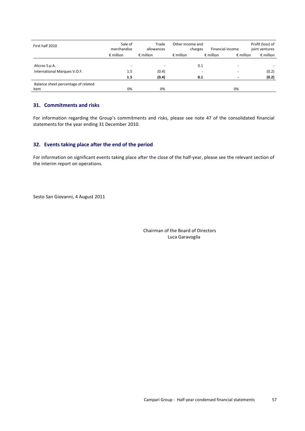| First half 2010                     | Sale of<br>merchandise   | Trade<br>allowances      | Other income and<br>charges | Financial income                         | Profit (loss) of<br>joint ventures |
|-------------------------------------|--------------------------|--------------------------|-----------------------------|------------------------------------------|------------------------------------|
|                                     | $\epsilon$ million       | $\epsilon$ million       | $\epsilon$ million          | $\epsilon$ million<br>$\epsilon$ million | $\epsilon$ million                 |
| Alicros S.p.A.                      | $\overline{\phantom{a}}$ | $\overline{\phantom{a}}$ | 0.1                         |                                          |                                    |
| International Marques V.O.F.        | 1.5<br>1.5               | (0.4)<br>(0.4)           | 0.1                         |                                          | (0.2)<br>(0.2)                     |
| Balance sheet percentage of related |                          |                          |                             |                                          |                                    |
| item                                | 0%                       | 0%                       |                             | 0%                                       |                                    |

## **31. Commitments and risks**

For information regarding the Group's commitments and risks, please see note 47 of the consolidated financial statements for the year ending 31 December 2010.

## **32. Events taking place after the end of the period**

For information on significant events taking place after the close of the half-year, please see the relevant section of the interim report on operations.

Sesto San Giovanni, 4 August 2011

 Chairman of the Board of Directors Luca Garavoglia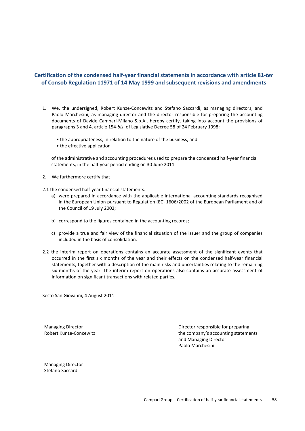## **Certification of the condensed half-year financial statements in accordance with article 81-***ter*  **of Consob Regulation 11971 of 14 May 1999 and subsequent revisions and amendments**

- 1. We, the undersigned, Robert Kunze-Concewitz and Stefano Saccardi, as managing directors, and Paolo Marchesini, as managing director and the director responsible for preparing the accounting documents of Davide Campari-Milano S.p.A., hereby certify, taking into account the provisions of paragraphs 3 and 4, article 154-*bis*, of Legislative Decree 58 of 24 February 1998:
	- the appropriateness, in relation to the nature of the business, and
	- the effective application

of the administrative and accounting procedures used to prepare the condensed half-year financial statements, in the half-year period ending on 30 June 2011.

- 2. We furthermore certify that
- 2.1 the condensed half-year financial statements:
	- a) were prepared in accordance with the applicable international accounting standards recognised in the European Union pursuant to Regulation (EC) 1606/2002 of the European Parliament and of the Council of 19 July 2002;
	- b) correspond to the figures contained in the accounting records;
	- c) provide a true and fair view of the financial situation of the issuer and the group of companies included in the basis of consolidation.
- 2.2 the interim report on operations contains an accurate assessment of the significant events that occurred in the first six months of the year and their effects on the condensed half-year financial statements, together with a description of the main risks and uncertainties relating to the remaining six months of the year. The interim report on operations also contains an accurate assessment of information on significant transactions with related parties.

Sesto San Giovanni, 4 August 2011

Managing Director Director responsible for preparing Robert Kunze-Concewitz **the company's accounting statements**  and Managing Director Paolo Marchesini

Managing Director Stefano Saccardi